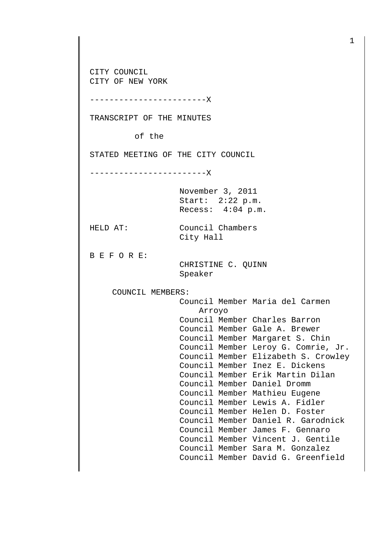CITY COUNCIL CITY OF NEW YORK

------------------------X

TRANSCRIPT OF THE MINUTES

of the

STATED MEETING OF THE CITY COUNCIL

------------------------X

November 3, 2011 Start: 2:22 p.m. Recess: 4:04 p.m.

HELD AT: Council Chambers

City Hall

B E F O R E:

 CHRISTINE C. QUINN Speaker

COUNCIL MEMBERS:

 Council Member Maria del Carmen Arroyo Council Member Charles Barron Council Member Gale A. Brewer Council Member Margaret S. Chin Council Member Leroy G. Comrie, Jr. Council Member Elizabeth S. Crowley Council Member Inez E. Dickens Council Member Erik Martin Dilan Council Member Daniel Dromm Council Member Mathieu Eugene Council Member Lewis A. Fidler Council Member Helen D. Foster Council Member Daniel R. Garodnick Council Member James F. Gennaro Council Member Vincent J. Gentile Council Member Sara M. Gonzalez Council Member David G. Greenfield

1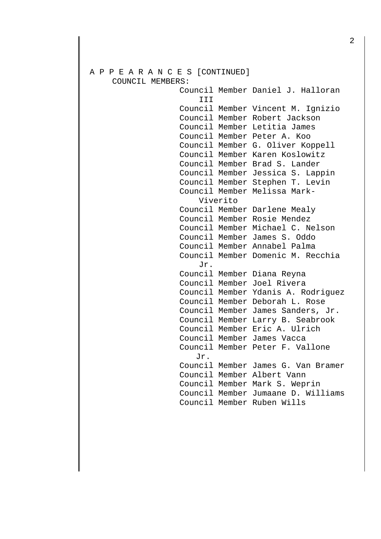## A P P E A R A N C E S [CONTINUED] COUNCIL MEMBERS: Council Member Daniel J. Halloran III Council Member Vincent M. Ignizio Council Member Robert Jackson Council Member Letitia James Council Member Peter A. Koo Council Member G. Oliver Koppell Council Member Karen Koslowitz Council Member Brad S. Lander Council Member Jessica S. Lappin Council Member Stephen T. Levin Council Member Melissa Mark- Viverito Council Member Darlene Mealy Council Member Rosie Mendez Council Member Michael C. Nelson Council Member James S. Oddo Council Member Annabel Palma Council Member Domenic M. Recchia Jr. Council Member Diana Reyna Council Member Joel Rivera Council Member Ydanis A. Rodriguez Council Member Deborah L. Rose Council Member James Sanders, Jr. Council Member Larry B. Seabrook Council Member Eric A. Ulrich Council Member James Vacca Council Member Peter F. Vallone Jr. Council Member James G. Van Bramer Council Member Albert Vann Council Member Mark S. Weprin Council Member Jumaane D. Williams Council Member Ruben Wills

2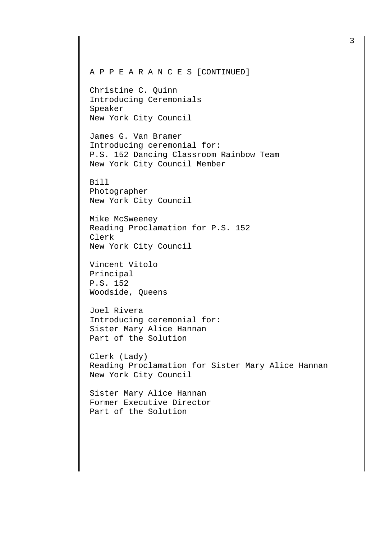Christine C. Quinn Introducing Ceremonials Speaker New York City Council

James G. Van Bramer Introducing ceremonial for: P.S. 152 Dancing Classroom Rainbow Team New York City Council Member

Bill Photographer New York City Council

Mike McSweeney Reading Proclamation for P.S. 152 Clerk New York City Council

Vincent Vitolo Principal P.S. 152 Woodside, Queens

Joel Rivera Introducing ceremonial for: Sister Mary Alice Hannan Part of the Solution

Clerk (Lady) Reading Proclamation for Sister Mary Alice Hannan New York City Council

Sister Mary Alice Hannan Former Executive Director Part of the Solution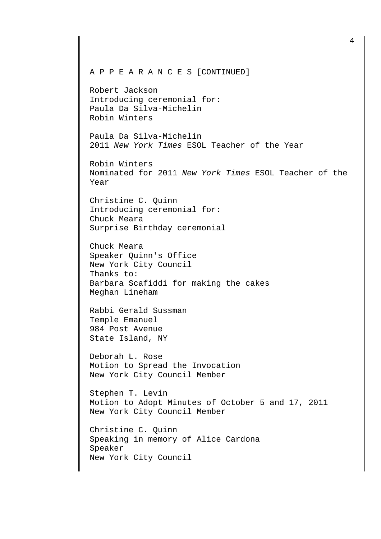Robert Jackson Introducing ceremonial for: Paula Da Silva-Michelin Robin Winters

Paula Da Silva-Michelin 2011 New York Times ESOL Teacher of the Year

Robin Winters Nominated for 2011 New York Times ESOL Teacher of the Year

Christine C. Quinn Introducing ceremonial for: Chuck Meara Surprise Birthday ceremonial

Chuck Meara Speaker Quinn's Office New York City Council Thanks to: Barbara Scafiddi for making the cakes Meghan Lineham

Rabbi Gerald Sussman Temple Emanuel 984 Post Avenue State Island, NY

Deborah L. Rose Motion to Spread the Invocation New York City Council Member

Stephen T. Levin Motion to Adopt Minutes of October 5 and 17, 2011 New York City Council Member

Christine C. Quinn Speaking in memory of Alice Cardona Speaker New York City Council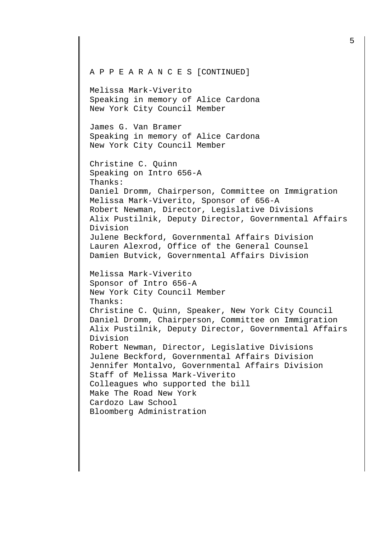A P P E A R A N C E S [CONTINUED] Melissa Mark-Viverito Speaking in memory of Alice Cardona New York City Council Member James G. Van Bramer Speaking in memory of Alice Cardona New York City Council Member Christine C. Quinn Speaking on Intro 656-A Thanks: Daniel Dromm, Chairperson, Committee on Immigration Melissa Mark-Viverito, Sponsor of 656-A Robert Newman, Director, Legislative Divisions Alix Pustilnik, Deputy Director, Governmental Affairs Division Julene Beckford, Governmental Affairs Division Lauren Alexrod, Office of the General Counsel Damien Butvick, Governmental Affairs Division Melissa Mark-Viverito Sponsor of Intro 656-A New York City Council Member Thanks: Christine C. Quinn, Speaker, New York City Council Daniel Dromm, Chairperson, Committee on Immigration Alix Pustilnik, Deputy Director, Governmental Affairs Division Robert Newman, Director, Legislative Divisions Julene Beckford, Governmental Affairs Division Jennifer Montalvo, Governmental Affairs Division Staff of Melissa Mark-Viverito Colleagues who supported the bill Make The Road New York Cardozo Law School

Bloomberg Administration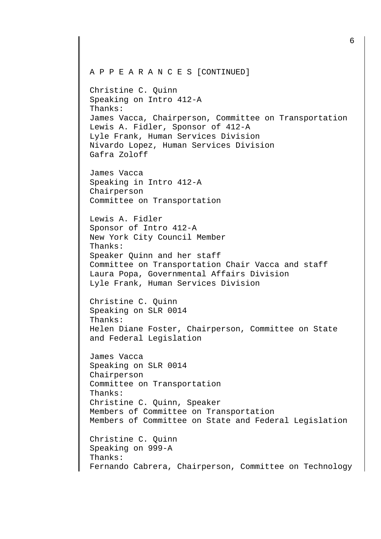Christine C. Quinn Speaking on Intro 412-A Thanks: James Vacca, Chairperson, Committee on Transportation Lewis A. Fidler, Sponsor of 412-A Lyle Frank, Human Services Division Nivardo Lopez, Human Services Division Gafra Zoloff

James Vacca Speaking in Intro 412-A Chairperson Committee on Transportation

Lewis A. Fidler Sponsor of Intro 412-A New York City Council Member Thanks: Speaker Quinn and her staff Committee on Transportation Chair Vacca and staff Laura Popa, Governmental Affairs Division Lyle Frank, Human Services Division

Christine C. Quinn Speaking on SLR 0014 Thanks: Helen Diane Foster, Chairperson, Committee on State and Federal Legislation

James Vacca Speaking on SLR 0014 Chairperson Committee on Transportation Thanks: Christine C. Quinn, Speaker Members of Committee on Transportation Members of Committee on State and Federal Legislation Christine C. Quinn Speaking on 999-A

Thanks: Fernando Cabrera, Chairperson, Committee on Technology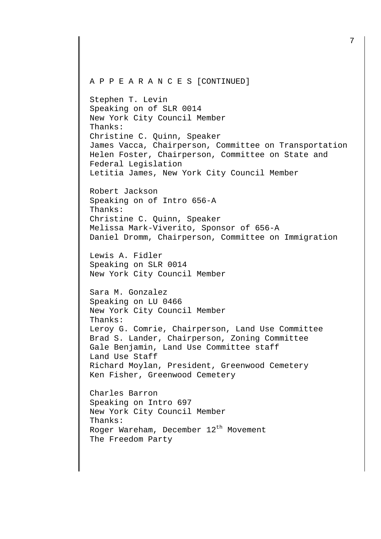Stephen T. Levin Speaking on of SLR 0014 New York City Council Member Thanks: Christine C. Quinn, Speaker James Vacca, Chairperson, Committee on Transportation Helen Foster, Chairperson, Committee on State and Federal Legislation Letitia James, New York City Council Member

Robert Jackson Speaking on of Intro 656-A Thanks: Christine C. Quinn, Speaker Melissa Mark-Viverito, Sponsor of 656-A Daniel Dromm, Chairperson, Committee on Immigration

Lewis A. Fidler Speaking on SLR 0014 New York City Council Member

Sara M. Gonzalez Speaking on LU 0466 New York City Council Member Thanks: Leroy G. Comrie, Chairperson, Land Use Committee Brad S. Lander, Chairperson, Zoning Committee Gale Benjamin, Land Use Committee staff Land Use Staff Richard Moylan, President, Greenwood Cemetery Ken Fisher, Greenwood Cemetery

Charles Barron Speaking on Intro 697 New York City Council Member Thanks: Roger Wareham, December  $12<sup>th</sup>$  Movement The Freedom Party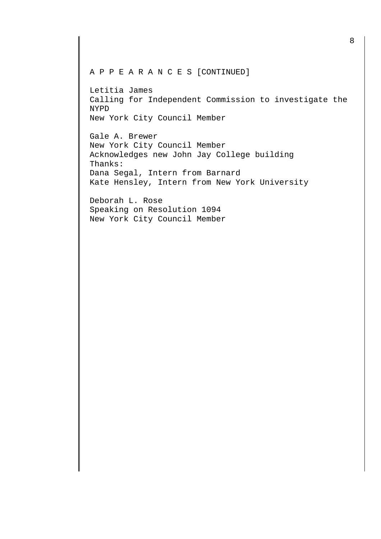Letitia James Calling for Independent Commission to investigate the NYPD New York City Council Member

Gale A. Brewer New York City Council Member Acknowledges new John Jay College building Thanks: Dana Segal, Intern from Barnard Kate Hensley, Intern from New York University

Deborah L. Rose Speaking on Resolution 1094 New York City Council Member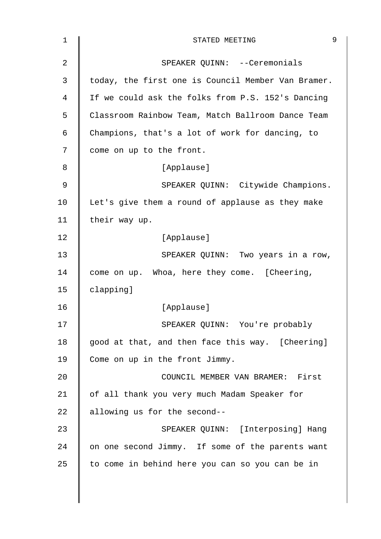| 1  | 9<br>STATED MEETING                                |
|----|----------------------------------------------------|
| 2  | SPEAKER QUINN: --Ceremonials                       |
| 3  | today, the first one is Council Member Van Bramer. |
| 4  | If we could ask the folks from P.S. 152's Dancing  |
| 5  | Classroom Rainbow Team, Match Ballroom Dance Team  |
| 6  | Champions, that's a lot of work for dancing, to    |
| 7  | come on up to the front.                           |
| 8  | [Applause]                                         |
| 9  | SPEAKER QUINN: Citywide Champions.                 |
| 10 | Let's give them a round of applause as they make   |
| 11 | their way up.                                      |
| 12 | [Applause]                                         |
| 13 | SPEAKER QUINN: Two years in a row,                 |
| 14 | come on up. Whoa, here they come. [Cheering,       |
| 15 | clapping]                                          |
| 16 | [Applause]                                         |
| 17 | SPEAKER QUINN: You're probably                     |
| 18 | good at that, and then face this way. [Cheering]   |
| 19 | Come on up in the front Jimmy.                     |
| 20 | COUNCIL MEMBER VAN BRAMER: First                   |
| 21 | of all thank you very much Madam Speaker for       |
| 22 | allowing us for the second--                       |
| 23 | SPEAKER QUINN: [Interposing] Hang                  |
| 24 | on one second Jimmy. If some of the parents want   |
| 25 | to come in behind here you can so you can be in    |
|    |                                                    |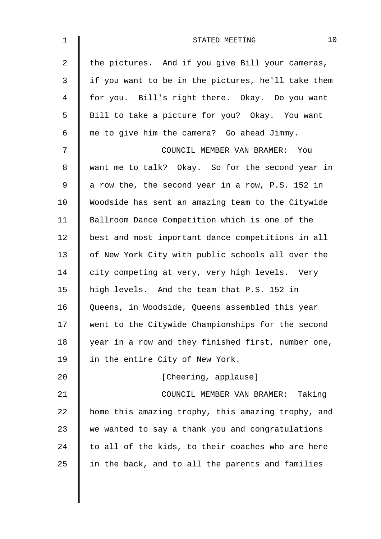| 1              | 10<br>STATED MEETING                               |
|----------------|----------------------------------------------------|
| $\overline{2}$ | the pictures. And if you give Bill your cameras,   |
| $\mathbf{3}$   | if you want to be in the pictures, he'll take them |
| 4              | for you. Bill's right there. Okay. Do you want     |
| 5              | Bill to take a picture for you? Okay. You want     |
| 6              | me to give him the camera? Go ahead Jimmy.         |
| 7              | COUNCIL MEMBER VAN BRAMER:<br>You                  |
| 8              | want me to talk? Okay. So for the second year in   |
| 9              | a row the, the second year in a row, P.S. 152 in   |
| 10             | Woodside has sent an amazing team to the Citywide  |
| 11             | Ballroom Dance Competition which is one of the     |
| 12             | best and most important dance competitions in all  |
| 13             | of New York City with public schools all over the  |
| 14             | city competing at very, very high levels. Very     |
| 15             | high levels. And the team that P.S. 152 in         |
| 16             | Queens, in Woodside, Queens assembled this year    |
| 17             | went to the Citywide Championships for the second  |
| 18             | year in a row and they finished first, number one, |
| 19             | in the entire City of New York.                    |
| 20             | [Cheering, applause]                               |
| 21             | COUNCIL MEMBER VAN BRAMER: Taking                  |
| 22             | home this amazing trophy, this amazing trophy, and |
| 23             | we wanted to say a thank you and congratulations   |
| 24             | to all of the kids, to their coaches who are here  |
| 25             | in the back, and to all the parents and families   |
|                |                                                    |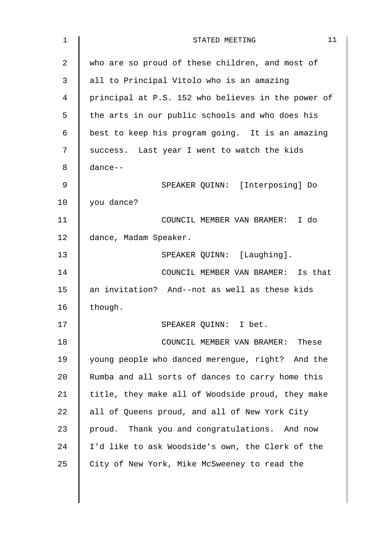| 1  | 11<br>STATED MEETING                               |
|----|----------------------------------------------------|
| 2  | who are so proud of these children, and most of    |
| 3  | all to Principal Vitolo who is an amazing          |
| 4  | principal at P.S. 152 who believes in the power of |
| 5  | the arts in our public schools and who does his    |
| 6  | best to keep his program going. It is an amazing   |
| 7  | success. Last year I went to watch the kids        |
| 8  | dance--                                            |
| 9  | SPEAKER QUINN: [Interposing] Do                    |
| 10 | you dance?                                         |
| 11 | COUNCIL MEMBER VAN BRAMER: I do                    |
| 12 | dance, Madam Speaker.                              |
| 13 | SPEAKER QUINN: [Laughing].                         |
| 14 | COUNCIL MEMBER VAN BRAMER: Is that                 |
| 15 | an invitation? And--not as well as these kids      |
| 16 | though.                                            |
| 17 | SPEAKER QUINN: I bet.                              |
| 18 | COUNCIL MEMBER VAN BRAMER:<br>These                |
| 19 | young people who danced merengue, right? And the   |
| 20 | Rumba and all sorts of dances to carry home this   |
| 21 | title, they make all of Woodside proud, they make  |
| 22 | all of Queens proud, and all of New York City      |
| 23 | proud. Thank you and congratulations. And now      |
| 24 | I'd like to ask Woodside's own, the Clerk of the   |
| 25 | City of New York, Mike McSweeney to read the       |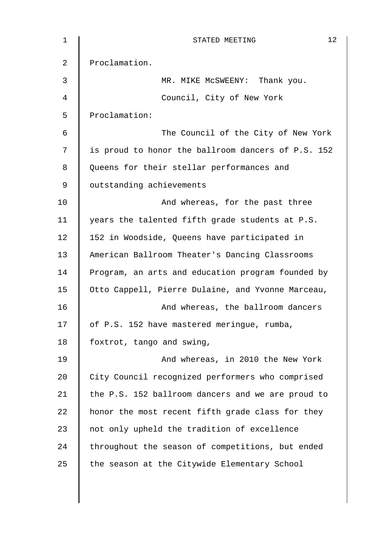| $\mathbf 1$ | 12<br>STATED MEETING                               |
|-------------|----------------------------------------------------|
| 2           | Proclamation.                                      |
| 3           | MR. MIKE MCSWEENY:<br>Thank you.                   |
| 4           | Council, City of New York                          |
| 5           | Proclamation:                                      |
| 6           | The Council of the City of New York                |
| 7           | is proud to honor the ballroom dancers of P.S. 152 |
| 8           | Queens for their stellar performances and          |
| 9           | outstanding achievements                           |
| 10          | And whereas, for the past three                    |
| 11          | years the talented fifth grade students at P.S.    |
| 12          | 152 in Woodside, Queens have participated in       |
| 13          | American Ballroom Theater's Dancing Classrooms     |
| 14          | Program, an arts and education program founded by  |
| 15          | Otto Cappell, Pierre Dulaine, and Yvonne Marceau,  |
| 16          | And whereas, the ballroom dancers                  |
| 17          | of P.S. 152 have mastered meringue, rumba,         |
| 18          | foxtrot, tango and swing,                          |
| 19          | And whereas, in 2010 the New York                  |
| 20          | City Council recognized performers who comprised   |
| 21          | the P.S. 152 ballroom dancers and we are proud to  |
| 22          | honor the most recent fifth grade class for they   |
| 23          | not only upheld the tradition of excellence        |
| 24          | throughout the season of competitions, but ended   |
| 25          | the season at the Citywide Elementary School       |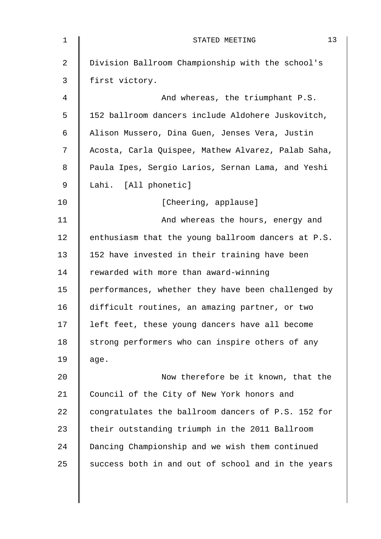| 1  | 13<br>STATED MEETING                               |
|----|----------------------------------------------------|
| 2  | Division Ballroom Championship with the school's   |
| 3  | first victory.                                     |
| 4  | And whereas, the triumphant P.S.                   |
| 5  | 152 ballroom dancers include Aldohere Juskovitch,  |
| 6  | Alison Mussero, Dina Guen, Jenses Vera, Justin     |
| 7  | Acosta, Carla Quispee, Mathew Alvarez, Palab Saha, |
| 8  | Paula Ipes, Sergio Larios, Sernan Lama, and Yeshi  |
| 9  | Lahi. [All phonetic]                               |
| 10 | [Cheering, applause]                               |
| 11 | And whereas the hours, energy and                  |
| 12 | enthusiasm that the young ballroom dancers at P.S. |
| 13 | 152 have invested in their training have been      |
| 14 | rewarded with more than award-winning              |
| 15 | performances, whether they have been challenged by |
| 16 | difficult routines, an amazing partner, or two     |
| 17 | left feet, these young dancers have all become     |
| 18 | strong performers who can inspire others of any    |
| 19 | age.                                               |
| 20 | Now therefore be it known, that the                |
| 21 | Council of the City of New York honors and         |
| 22 | congratulates the ballroom dancers of P.S. 152 for |
| 23 | their outstanding triumph in the 2011 Ballroom     |
| 24 | Dancing Championship and we wish them continued    |
| 25 | success both in and out of school and in the years |
|    |                                                    |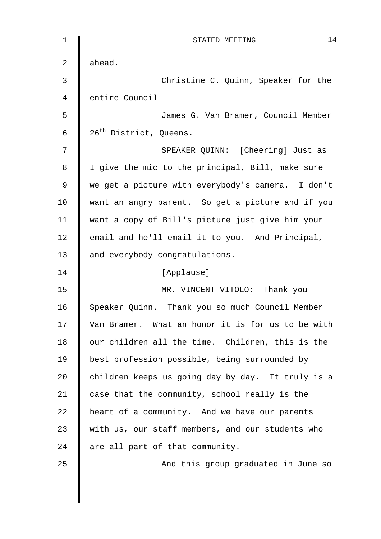| $\mathbf{1}$ | 14<br>STATED MEETING                              |
|--------------|---------------------------------------------------|
| 2            | ahead.                                            |
| 3            | Christine C. Quinn, Speaker for the               |
| 4            | entire Council                                    |
| 5            | James G. Van Bramer, Council Member               |
| 6            | 26 <sup>th</sup> District, Queens.                |
| 7            | SPEAKER QUINN: [Cheering] Just as                 |
| 8            | I give the mic to the principal, Bill, make sure  |
| 9            | we get a picture with everybody's camera. I don't |
| 10           | want an angry parent. So get a picture and if you |
| 11           | want a copy of Bill's picture just give him your  |
| 12           | email and he'll email it to you. And Principal,   |
| 13           | and everybody congratulations.                    |
| 14           | [Applause]                                        |
| 15           | MR. VINCENT VITOLO: Thank you                     |
| 16           | Speaker Quinn. Thank you so much Council Member   |
| 17           | Van Bramer. What an honor it is for us to be with |
| 18           | our children all the time. Children, this is the  |
| 19           | best profession possible, being surrounded by     |
| 20           | children keeps us going day by day. It truly is a |
| 21           | case that the community, school really is the     |
| 22           | heart of a community. And we have our parents     |
| 23           | with us, our staff members, and our students who  |
| 24           | are all part of that community.                   |
| 25           | And this group graduated in June so               |
|              |                                                   |
|              |                                                   |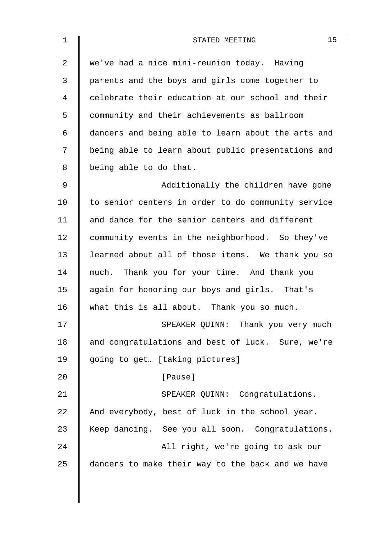| $\mathbf 1$    | 15<br>STATED MEETING                               |
|----------------|----------------------------------------------------|
| $\overline{2}$ | we've had a nice mini-reunion today. Having        |
| 3              | parents and the boys and girls come together to    |
| 4              | celebrate their education at our school and their  |
| 5              | community and their achievements as ballroom       |
| 6              | dancers and being able to learn about the arts and |
| 7              | being able to learn about public presentations and |
| 8              | being able to do that.                             |
| 9              | Additionally the children have gone                |
| 10             | to senior centers in order to do community service |
| 11             | and dance for the senior centers and different     |
| 12             | community events in the neighborhood. So they've   |
| 13             | learned about all of those items. We thank you so  |
| 14             | much. Thank you for your time. And thank you       |
| 15             | again for honoring our boys and girls. That's      |
| 16             | what this is all about. Thank you so much.         |
| 17             | SPEAKER QUINN: Thank you very much                 |
| 18             | and congratulations and best of luck. Sure, we're  |
| 19             | going to get [taking pictures]                     |
| 20             | [Pause]                                            |
| 21             | SPEAKER QUINN: Congratulations.                    |
| 22             | And everybody, best of luck in the school year.    |
| 23             | Keep dancing. See you all soon. Congratulations.   |
| 24             | All right, we're going to ask our                  |
| 25             | dancers to make their way to the back and we have  |
|                |                                                    |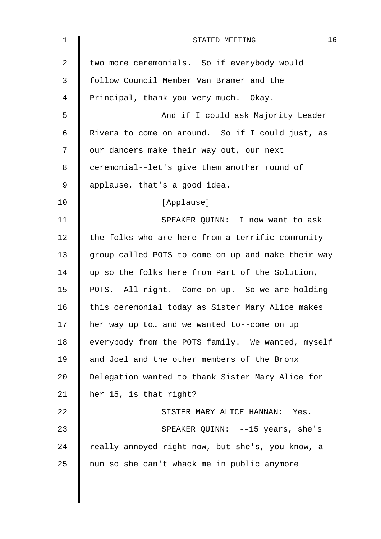| $\mathbf 1$    | 16<br>STATED MEETING                               |
|----------------|----------------------------------------------------|
| $\overline{2}$ | two more ceremonials. So if everybody would        |
| 3              | follow Council Member Van Bramer and the           |
| 4              | Principal, thank you very much. Okay.              |
| 5              | And if I could ask Majority Leader                 |
| 6              | Rivera to come on around. So if I could just, as   |
| 7              | our dancers make their way out, our next           |
| 8              | ceremonial--let's give them another round of       |
| 9              | applause, that's a good idea.                      |
| 10             | [Applause]                                         |
| 11             | SPEAKER QUINN: I now want to ask                   |
| 12             | the folks who are here from a terrific community   |
| 13             | group called POTS to come on up and make their way |
| 14             | up so the folks here from Part of the Solution,    |
| 15             | POTS. All right. Come on up. So we are holding     |
| 16             | this ceremonial today as Sister Mary Alice makes   |
| 17             | her way up to and we wanted to--come on up         |
| 18             | everybody from the POTS family. We wanted, myself  |
| 19             | and Joel and the other members of the Bronx        |
| 20             | Delegation wanted to thank Sister Mary Alice for   |
| 21             | her 15, is that right?                             |
| 22             | SISTER MARY ALICE HANNAN: Yes.                     |
| 23             | SPEAKER QUINN: --15 years, she's                   |
| 24             | really annoyed right now, but she's, you know, a   |
| 25             | nun so she can't whack me in public anymore        |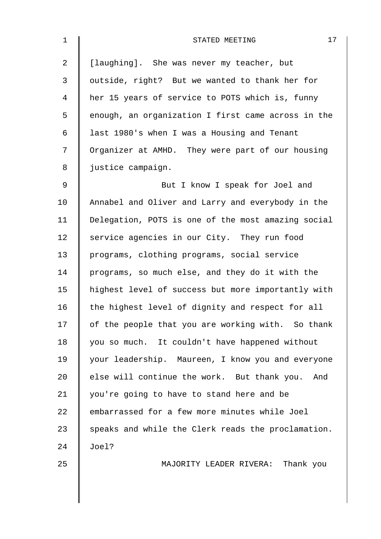| $\mathbf 1$    | 17<br>STATED MEETING                               |
|----------------|----------------------------------------------------|
| $\overline{2}$ | [laughing]. She was never my teacher, but          |
| 3              | outside, right? But we wanted to thank her for     |
| 4              | her 15 years of service to POTS which is, funny    |
| 5              | enough, an organization I first came across in the |
| 6              | last 1980's when I was a Housing and Tenant        |
| 7              | Organizer at AMHD. They were part of our housing   |
| 8              | justice campaign.                                  |
| $\mathsf 9$    | But I know I speak for Joel and                    |
| 10             | Annabel and Oliver and Larry and everybody in the  |
| 11             | Delegation, POTS is one of the most amazing social |
| 12             | service agencies in our City. They run food        |
| 13             | programs, clothing programs, social service        |
| 14             | programs, so much else, and they do it with the    |
| 15             | highest level of success but more importantly with |
| 16             | the highest level of dignity and respect for all   |
| 17             | of the people that you are working with. So thank  |
| 18             | you so much. It couldn't have happened without     |
| 19             | your leadership. Maureen, I know you and everyone  |
| 20             | else will continue the work. But thank you. And    |
| 21             | you're going to have to stand here and be          |
| 22             | embarrassed for a few more minutes while Joel      |
| 23             | speaks and while the Clerk reads the proclamation. |
| 24             | Joel?                                              |
| 25             | MAJORITY LEADER RIVERA: Thank you                  |
|                |                                                    |
|                |                                                    |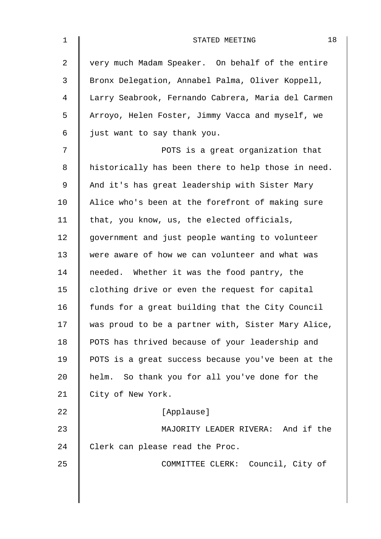| $\mathbf 1$    | 18<br>STATED MEETING                               |
|----------------|----------------------------------------------------|
| $\overline{2}$ | very much Madam Speaker. On behalf of the entire   |
| 3              | Bronx Delegation, Annabel Palma, Oliver Koppell,   |
| 4              | Larry Seabrook, Fernando Cabrera, Maria del Carmen |
| 5              | Arroyo, Helen Foster, Jimmy Vacca and myself, we   |
| 6              | just want to say thank you.                        |
| 7              | POTS is a great organization that                  |
| 8              | historically has been there to help those in need. |
| 9              | And it's has great leadership with Sister Mary     |
| 10             | Alice who's been at the forefront of making sure   |
| 11             | that, you know, us, the elected officials,         |
| 12             | government and just people wanting to volunteer    |
| 13             | were aware of how we can volunteer and what was    |
| 14             | needed. Whether it was the food pantry, the        |
| 15             | clothing drive or even the request for capital     |
| 16             | funds for a great building that the City Council   |
| 17             | was proud to be a partner with, Sister Mary Alice, |
| 18             | POTS has thrived because of your leadership and    |
| 19             | POTS is a great success because you've been at the |
| 20             | helm. So thank you for all you've done for the     |
| 21             | City of New York.                                  |
| 22             | [Applause]                                         |
| 23             | MAJORITY LEADER RIVERA: And if the                 |
| 24             | Clerk can please read the Proc.                    |
| 25             | COMMITTEE CLERK: Council, City of                  |
|                |                                                    |
|                |                                                    |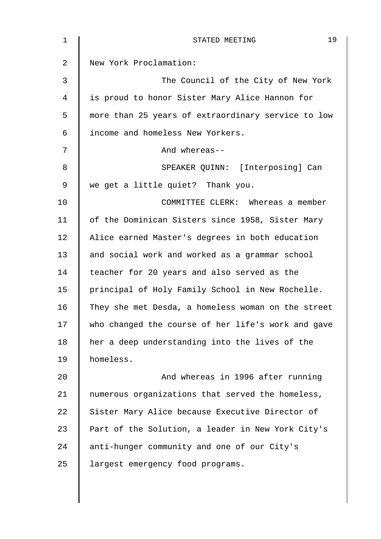| $\mathbf 1$    | 19<br>STATED MEETING                               |
|----------------|----------------------------------------------------|
| $\overline{2}$ | New York Proclamation:                             |
| 3              | The Council of the City of New York                |
| 4              | is proud to honor Sister Mary Alice Hannon for     |
| 5              | more than 25 years of extraordinary service to low |
| 6              | income and homeless New Yorkers.                   |
| 7              | And whereas--                                      |
| 8              | SPEAKER QUINN: [Interposing] Can                   |
| 9              | we get a little quiet? Thank you.                  |
| 10             | COMMITTEE CLERK: Whereas a member                  |
| 11             | of the Dominican Sisters since 1958, Sister Mary   |
| 12             | Alice earned Master's degrees in both education    |
| 13             | and social work and worked as a grammar school     |
| 14             | teacher for 20 years and also served as the        |
| 15             | principal of Holy Family School in New Rochelle.   |
| 16             | They she met Desda, a homeless woman on the street |
| 17             | who changed the course of her life's work and gave |
| 18             | her a deep understanding into the lives of the     |
| 19             | homeless.                                          |
| 20             | And whereas in 1996 after running                  |
| 21             | numerous organizations that served the homeless,   |
| 22             | Sister Mary Alice because Executive Director of    |
| 23             | Part of the Solution, a leader in New York City's  |
| 24             | anti-hunger community and one of our City's        |
| 25             | largest emergency food programs.                   |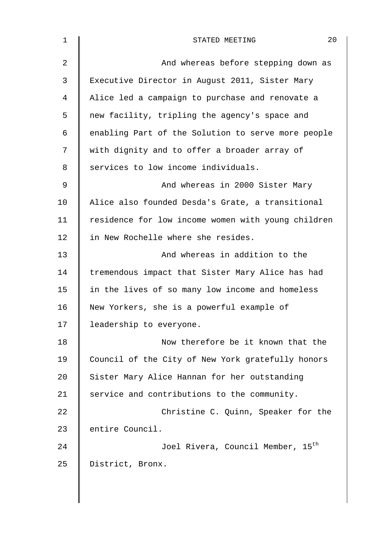| $\mathbf 1$ | 20<br>STATED MEETING                               |
|-------------|----------------------------------------------------|
| 2           | And whereas before stepping down as                |
| 3           | Executive Director in August 2011, Sister Mary     |
| 4           | Alice led a campaign to purchase and renovate a    |
| 5           | new facility, tripling the agency's space and      |
| 6           | enabling Part of the Solution to serve more people |
| 7           | with dignity and to offer a broader array of       |
| 8           | services to low income individuals.                |
| 9           | And whereas in 2000 Sister Mary                    |
| 10          | Alice also founded Desda's Grate, a transitional   |
| 11          | residence for low income women with young children |
| 12          | in New Rochelle where she resides.                 |
| 13          | And whereas in addition to the                     |
| 14          | tremendous impact that Sister Mary Alice has had   |
| 15          | in the lives of so many low income and homeless    |
| 16          | New Yorkers, she is a powerful example of          |
| 17          | leadership to everyone.                            |
| 18          | Now therefore be it known that the                 |
| 19          | Council of the City of New York gratefully honors  |
| 20          | Sister Mary Alice Hannan for her outstanding       |
| 21          | service and contributions to the community.        |
| 22          | Christine C. Quinn, Speaker for the                |
| 23          | entire Council.                                    |
| 24          | Joel Rivera, Council Member, 15 <sup>th</sup>      |
| 25          | District, Bronx.                                   |
|             |                                                    |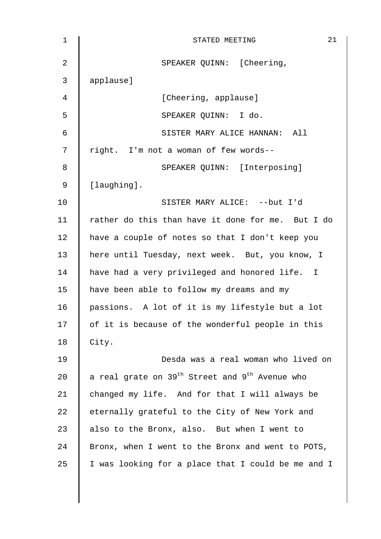| 1              | 21<br>STATED MEETING                                                   |
|----------------|------------------------------------------------------------------------|
| $\overline{2}$ | SPEAKER QUINN: [Cheering,                                              |
| 3              | applause]                                                              |
| 4              | [Cheering, applause]                                                   |
| 5              | SPEAKER QUINN: I do.                                                   |
| 6              | SISTER MARY ALICE HANNAN: All                                          |
| 7              | right. I'm not a woman of few words--                                  |
| 8              | SPEAKER QUINN: [Interposing]                                           |
| 9              | [laughing].                                                            |
| 10             | SISTER MARY ALICE: -- but I'd                                          |
| 11             | rather do this than have it done for me. But I do                      |
| 12             | have a couple of notes so that I don't keep you                        |
| 13             | here until Tuesday, next week. But, you know, I                        |
| 14             | have had a very privileged and honored life. I                         |
| 15             | have been able to follow my dreams and my                              |
| 16             | passions. A lot of it is my lifestyle but a lot                        |
| 17             | of it is because of the wonderful people in this                       |
| 18             | City.                                                                  |
| 19             | Desda was a real woman who lived on                                    |
| 20             | a real grate on 39 <sup>th</sup> Street and 9 <sup>th</sup> Avenue who |
| 21             | changed my life. And for that I will always be                         |
| 22             | eternally grateful to the City of New York and                         |
| 23             | also to the Bronx, also. But when I went to                            |
| 24             | Bronx, when I went to the Bronx and went to POTS,                      |
| 25             | I was looking for a place that I could be me and I                     |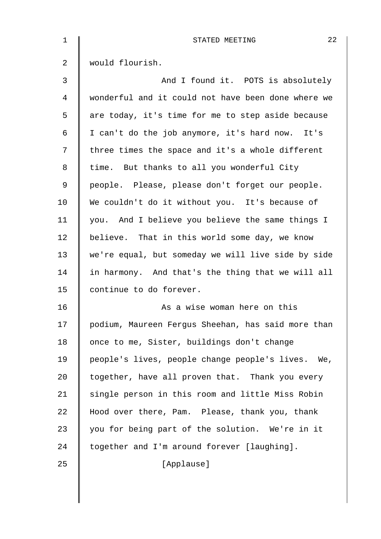| $\mathbf 1$ | 22<br>STATED MEETING                               |
|-------------|----------------------------------------------------|
| 2           | would flourish.                                    |
| 3           | And I found it. POTS is absolutely                 |
| 4           | wonderful and it could not have been done where we |
| 5           | are today, it's time for me to step aside because  |
| 6           | I can't do the job anymore, it's hard now. It's    |
| 7           | three times the space and it's a whole different   |
| 8           | time. But thanks to all you wonderful City         |
| $\mathsf 9$ | people. Please, please don't forget our people.    |
| 10          | We couldn't do it without you. It's because of     |
| 11          | you. And I believe you believe the same things I   |
| 12          | believe. That in this world some day, we know      |
| 13          | we're equal, but someday we will live side by side |
| 14          | in harmony. And that's the thing that we will all  |
| 15          | continue to do forever.                            |
| 16          | As a wise woman here on this                       |
| 17          | podium, Maureen Fergus Sheehan, has said more than |
| 18          | once to me, Sister, buildings don't change         |
| 19          | people's lives, people change people's lives. We,  |
| 20          | together, have all proven that. Thank you every    |
| 21          | single person in this room and little Miss Robin   |
| 22          | Hood over there, Pam. Please, thank you, thank     |
| 23          | you for being part of the solution. We're in it    |
| 24          | together and I'm around forever [laughing].        |
| 25          | [Applause]                                         |
|             |                                                    |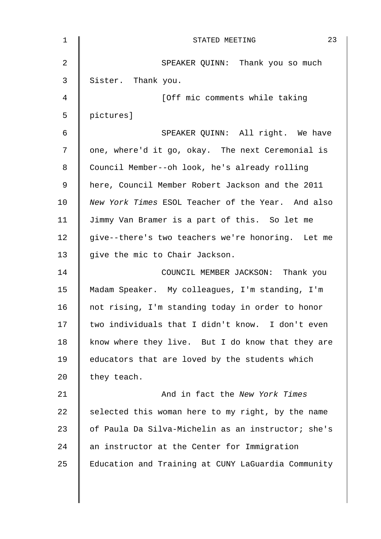| $\mathbf 1$ | 23<br>STATED MEETING                               |
|-------------|----------------------------------------------------|
| 2           | SPEAKER QUINN: Thank you so much                   |
| 3           | Sister. Thank you.                                 |
| 4           | [Off mic comments while taking                     |
| 5           | pictures]                                          |
| 6           | SPEAKER QUINN: All right. We have                  |
| 7           | one, where'd it go, okay. The next Ceremonial is   |
| 8           | Council Member--oh look, he's already rolling      |
| 9           | here, Council Member Robert Jackson and the 2011   |
| 10          | New York Times ESOL Teacher of the Year. And also  |
| 11          | Jimmy Van Bramer is a part of this. So let me      |
| 12          | give--there's two teachers we're honoring. Let me  |
| 13          | give the mic to Chair Jackson.                     |
| 14          | COUNCIL MEMBER JACKSON: Thank you                  |
| 15          | Madam Speaker. My colleagues, I'm standing, I'm    |
| 16          | not rising, I'm standing today in order to honor   |
| 17          | two individuals that I didn't know. I don't even   |
| 18          | know where they live. But I do know that they are  |
| 19          | educators that are loved by the students which     |
| 20          | they teach.                                        |
| 21          | And in fact the New York Times                     |
| 22          | selected this woman here to my right, by the name  |
| 23          | of Paula Da Silva-Michelin as an instructor; she's |
| 24          | an instructor at the Center for Immigration        |
| 25          | Education and Training at CUNY LaGuardia Community |
|             |                                                    |
|             |                                                    |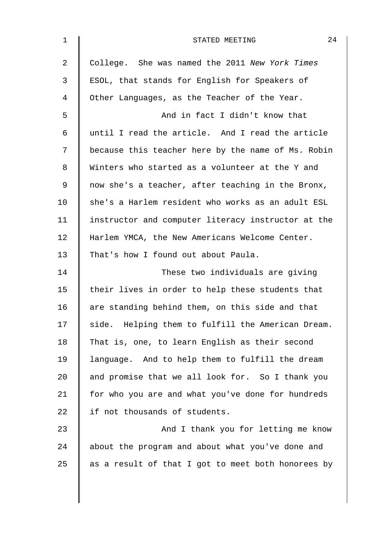| $\mathbf 1$ | 24<br>STATED MEETING                               |
|-------------|----------------------------------------------------|
| 2           | College. She was named the 2011 New York Times     |
| 3           | ESOL, that stands for English for Speakers of      |
| 4           | Other Languages, as the Teacher of the Year.       |
| 5           | And in fact I didn't know that                     |
| 6           | until I read the article. And I read the article   |
| 7           | because this teacher here by the name of Ms. Robin |
| 8           | Winters who started as a volunteer at the Y and    |
| 9           | now she's a teacher, after teaching in the Bronx,  |
| 10          | she's a Harlem resident who works as an adult ESL  |
| 11          | instructor and computer literacy instructor at the |
| 12          | Harlem YMCA, the New Americans Welcome Center.     |
| 13          | That's how I found out about Paula.                |
| 14          | These two individuals are giving                   |
| 15          | their lives in order to help these students that   |
| 16          | are standing behind them, on this side and that    |
| 17          | side. Helping them to fulfill the American Dream.  |
| 18          | That is, one, to learn English as their second     |
| 19          | language. And to help them to fulfill the dream    |
| 20          | and promise that we all look for. So I thank you   |
| 21          | for who you are and what you've done for hundreds  |
| 22          | if not thousands of students.                      |
| 23          | And I thank you for letting me know                |
| 24          | about the program and about what you've done and   |
| 25          | as a result of that I got to meet both honorees by |
|             |                                                    |
|             |                                                    |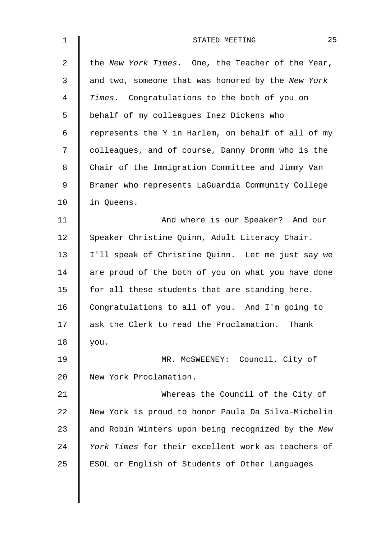| $\mathbf 1$    | 25<br>STATED MEETING                               |
|----------------|----------------------------------------------------|
| $\overline{a}$ | the New York Times. One, the Teacher of the Year,  |
| 3              | and two, someone that was honored by the New York  |
| $\overline{4}$ | Times. Congratulations to the both of you on       |
| 5              | behalf of my colleagues Inez Dickens who           |
| 6              | represents the Y in Harlem, on behalf of all of my |
| 7              | colleagues, and of course, Danny Dromm who is the  |
| 8              | Chair of the Immigration Committee and Jimmy Van   |
| $\mathsf 9$    | Bramer who represents LaGuardia Community College  |
| 10             | in Queens.                                         |
| 11             | And where is our Speaker? And our                  |
| 12             | Speaker Christine Quinn, Adult Literacy Chair.     |
| 13             | I'll speak of Christine Quinn. Let me just say we  |
| 14             | are proud of the both of you on what you have done |
| 15             | for all these students that are standing here.     |
| 16             | Congratulations to all of you. And I'm going to    |
| 17             | ask the Clerk to read the Proclamation.<br>Thank   |
| 18             | you.                                               |
| 19             | MR. MCSWEENEY: Council, City of                    |
| 20             | New York Proclamation.                             |
| 21             | Whereas the Council of the City of                 |
| 22             | New York is proud to honor Paula Da Silva-Michelin |
| 23             | and Robin Winters upon being recognized by the New |
| 24             | York Times for their excellent work as teachers of |
| 25             | ESOL or English of Students of Other Languages     |
|                |                                                    |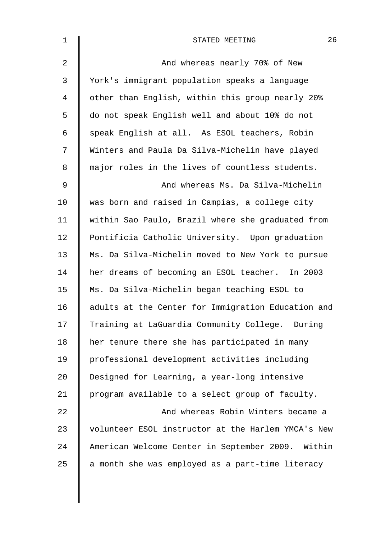| $\mathbf 1$    | 26<br>STATED MEETING                               |
|----------------|----------------------------------------------------|
| $\overline{2}$ | And whereas nearly 70% of New                      |
| 3              | York's immigrant population speaks a language      |
| 4              | other than English, within this group nearly 20%   |
| 5              | do not speak English well and about 10% do not     |
| 6              | speak English at all. As ESOL teachers, Robin      |
| 7              | Winters and Paula Da Silva-Michelin have played    |
| 8              | major roles in the lives of countless students.    |
| 9              | And whereas Ms. Da Silva-Michelin                  |
| 10             | was born and raised in Campias, a college city     |
| 11             | within Sao Paulo, Brazil where she graduated from  |
| 12             | Pontificia Catholic University. Upon graduation    |
| 13             | Ms. Da Silva-Michelin moved to New York to pursue  |
| 14             | her dreams of becoming an ESOL teacher. In 2003    |
| 15             | Ms. Da Silva-Michelin began teaching ESOL to       |
| 16             | adults at the Center for Immigration Education and |
| 17             | Training at LaGuardia Community College. During    |
| 18             | her tenure there she has participated in many      |
| 19             | professional development activities including      |
| 20             | Designed for Learning, a year-long intensive       |
| 21             | program available to a select group of faculty.    |
| 22             | And whereas Robin Winters became a                 |
| 23             | volunteer ESOL instructor at the Harlem YMCA's New |
| 24             | American Welcome Center in September 2009. Within  |
| 25             | a month she was employed as a part-time literacy   |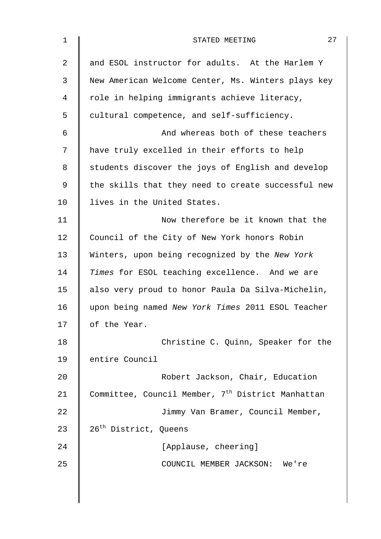| $\mathbf 1$    | 27<br>STATED MEETING                                          |
|----------------|---------------------------------------------------------------|
| $\overline{2}$ | and ESOL instructor for adults. At the Harlem Y               |
| 3              | New American Welcome Center, Ms. Winters plays key            |
| 4              | role in helping immigrants achieve literacy,                  |
| 5              | cultural competence, and self-sufficiency.                    |
| 6              | And whereas both of these teachers                            |
| 7              | have truly excelled in their efforts to help                  |
| 8              | students discover the joys of English and develop             |
| 9              | the skills that they need to create successful new            |
| 10             | lives in the United States.                                   |
| 11             | Now therefore be it known that the                            |
| 12             | Council of the City of New York honors Robin                  |
| 13             | Winters, upon being recognized by the New York                |
| 14             | Times for ESOL teaching excellence. And we are                |
| 15             | also very proud to honor Paula Da Silva-Michelin,             |
| 16             | upon being named New York Times 2011 ESOL Teacher             |
| 17             | of the Year.                                                  |
| 18             | Christine C. Quinn, Speaker for the                           |
| 19             | entire Council                                                |
| 20             | Robert Jackson, Chair, Education                              |
| 21             | Committee, Council Member, 7 <sup>th</sup> District Manhattan |
| 22             | Jimmy Van Bramer, Council Member,                             |
| 23             | 26 <sup>th</sup> District, Queens                             |
| 24             | [Applause, cheering]                                          |
| 25             | COUNCIL MEMBER JACKSON: We're                                 |
|                |                                                               |
|                |                                                               |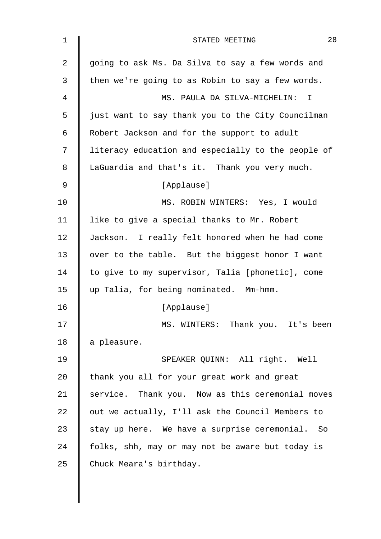| $\mathbf 1$    | 28<br>STATED MEETING                               |
|----------------|----------------------------------------------------|
| $\overline{2}$ | going to ask Ms. Da Silva to say a few words and   |
| 3              | then we're going to as Robin to say a few words.   |
| 4              | MS. PAULA DA SILVA-MICHELIN: I                     |
| 5              | just want to say thank you to the City Councilman  |
| 6              | Robert Jackson and for the support to adult        |
| 7              | literacy education and especially to the people of |
| 8              | LaGuardia and that's it. Thank you very much.      |
| 9              | [Applause]                                         |
| 10             | MS. ROBIN WINTERS: Yes, I would                    |
| 11             | like to give a special thanks to Mr. Robert        |
| 12             | Jackson. I really felt honored when he had come    |
| 13             | over to the table. But the biggest honor I want    |
| 14             | to give to my supervisor, Talia [phonetic], come   |
| 15             | up Talia, for being nominated. Mm-hmm.             |
| 16             | [Applause]                                         |
| 17             | MS. WINTERS: Thank you. It's been                  |
| 18             | a pleasure.                                        |
| 19             | SPEAKER QUINN: All right. Well                     |
| 20             | thank you all for your great work and great        |
| 21             | service. Thank you. Now as this ceremonial moves   |
| 22             | out we actually, I'll ask the Council Members to   |
| 23             | stay up here. We have a surprise ceremonial. So    |
| 24             | folks, shh, may or may not be aware but today is   |
| 25             | Chuck Meara's birthday.                            |
|                |                                                    |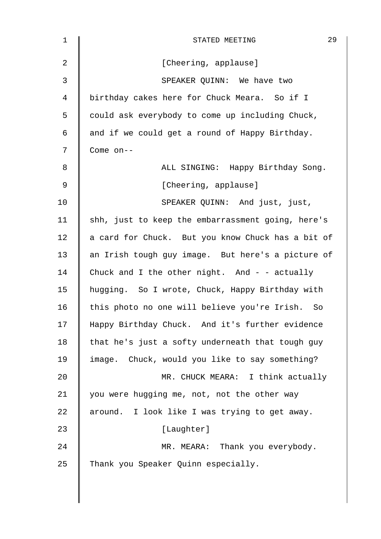| 29<br>STATED MEETING                               |
|----------------------------------------------------|
| [Cheering, applause]                               |
| SPEAKER QUINN: We have two                         |
| birthday cakes here for Chuck Meara. So if I       |
| could ask everybody to come up including Chuck,    |
| and if we could get a round of Happy Birthday.     |
| Come on--                                          |
| ALL SINGING: Happy Birthday Song.                  |
| [Cheering, applause]                               |
| SPEAKER QUINN: And just, just,                     |
| shh, just to keep the embarrassment going, here's  |
| a card for Chuck. But you know Chuck has a bit of  |
| an Irish tough guy image. But here's a picture of  |
| Chuck and I the other night. And - - actually      |
| hugging. So I wrote, Chuck, Happy Birthday with    |
| this photo no one will believe you're Irish.<br>So |
| Happy Birthday Chuck. And it's further evidence    |
| that he's just a softy underneath that tough guy   |
| image. Chuck, would you like to say something?     |
| MR. CHUCK MEARA: I think actually                  |
| you were hugging me, not, not the other way        |
| around. I look like I was trying to get away.      |
| [Laughter]                                         |
| MR. MEARA: Thank you everybody.                    |
| Thank you Speaker Quinn especially.                |
|                                                    |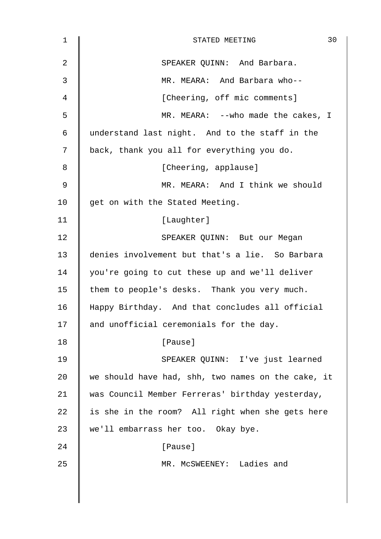| $\mathbf 1$ | 30<br>STATED MEETING                               |
|-------------|----------------------------------------------------|
| 2           | SPEAKER QUINN: And Barbara.                        |
| 3           | MR. MEARA: And Barbara who--                       |
| 4           | [Cheering, off mic comments]                       |
| 5           | MR. MEARA: -- who made the cakes, I                |
| 6           | understand last night. And to the staff in the     |
| 7           | back, thank you all for everything you do.         |
| 8           | [Cheering, applause]                               |
| 9           | MR. MEARA: And I think we should                   |
| 10          | get on with the Stated Meeting.                    |
| 11          | [Laughter]                                         |
| 12          | SPEAKER QUINN: But our Megan                       |
| 13          | denies involvement but that's a lie. So Barbara    |
| 14          | you're going to cut these up and we'll deliver     |
| 15          | them to people's desks. Thank you very much.       |
| 16          | Happy Birthday. And that concludes all official    |
| 17          | and unofficial ceremonials for the day.            |
| 18          | [Pause]                                            |
| 19          | SPEAKER QUINN: I've just learned                   |
| 20          | we should have had, shh, two names on the cake, it |
| 21          | was Council Member Ferreras' birthday yesterday,   |
| 22          | is she in the room? All right when she gets here   |
| 23          | we'll embarrass her too. Okay bye.                 |
| 24          | [Pause]                                            |
| 25          | MR. MCSWEENEY: Ladies and                          |
|             |                                                    |
|             |                                                    |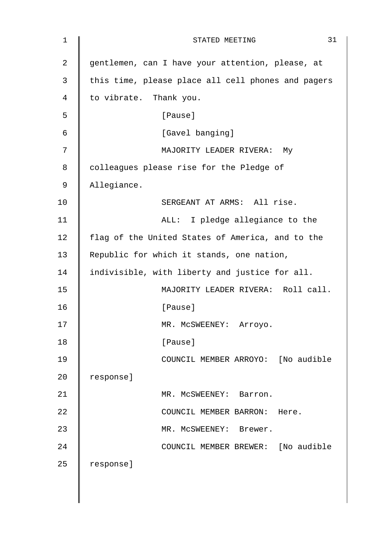| 1  | 31<br>STATED MEETING                               |
|----|----------------------------------------------------|
| 2  | gentlemen, can I have your attention, please, at   |
| 3  | this time, please place all cell phones and pagers |
| 4  | to vibrate. Thank you.                             |
| 5  | [Pause]                                            |
| 6  | [Gavel banging]                                    |
| 7  | MAJORITY LEADER RIVERA: My                         |
| 8  | colleagues please rise for the Pledge of           |
| 9  | Allegiance.                                        |
| 10 | SERGEANT AT ARMS: All rise.                        |
| 11 | ALL: I pledge allegiance to the                    |
| 12 | flag of the United States of America, and to the   |
| 13 | Republic for which it stands, one nation,          |
| 14 | indivisible, with liberty and justice for all.     |
| 15 | MAJORITY LEADER RIVERA: Roll call.                 |
| 16 | [Pause]                                            |
| 17 | MR. MCSWEENEY:<br>Arroyo.                          |
| 18 | [Pause]                                            |
| 19 | COUNCIL MEMBER ARROYO: [No audible                 |
| 20 | response]                                          |
| 21 | MR. MCSWEENEY: Barron.                             |
| 22 | COUNCIL MEMBER BARRON: Here.                       |
| 23 | MR. MCSWEENEY: Brewer.                             |
| 24 | COUNCIL MEMBER BREWER: [No audible                 |
| 25 | response]                                          |
|    |                                                    |
|    |                                                    |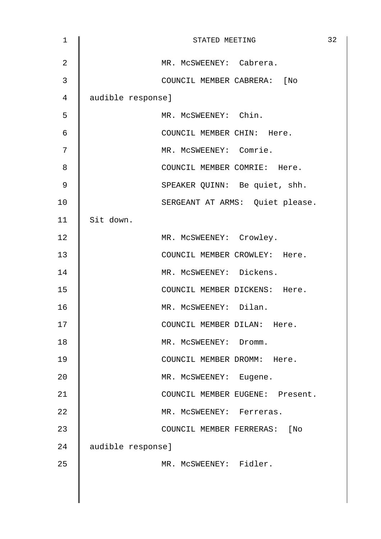| $\mathbf 1$    | STATED MEETING                  | 32 |
|----------------|---------------------------------|----|
| $\overline{2}$ | MR. MCSWEENEY: Cabrera.         |    |
| 3              | COUNCIL MEMBER CABRERA: [No     |    |
| 4              | audible response]               |    |
| 5              | MR. MCSWEENEY: Chin.            |    |
| 6              | COUNCIL MEMBER CHIN: Here.      |    |
| 7              | MR. MCSWEENEY: Comrie.          |    |
| 8              | COUNCIL MEMBER COMRIE: Here.    |    |
| 9              | SPEAKER QUINN: Be quiet, shh.   |    |
| 10             | SERGEANT AT ARMS: Quiet please. |    |
| 11             | Sit down.                       |    |
| 12             | MR. MCSWEENEY: Crowley.         |    |
| 13             | COUNCIL MEMBER CROWLEY: Here.   |    |
| 14             | MR. MCSWEENEY: Dickens.         |    |
| 15             | COUNCIL MEMBER DICKENS: Here.   |    |
| 16             | MR. MCSWEENEY: Dilan.           |    |
| 17             | COUNCIL MEMBER DILAN:<br>Here.  |    |
| 18             | MR. MCSWEENEY: Dromm.           |    |
| 19             | COUNCIL MEMBER DROMM: Here.     |    |
| 20             | MR. MCSWEENEY: Eugene.          |    |
| 21             | COUNCIL MEMBER EUGENE: Present. |    |
| 22             | MR. MCSWEENEY: Ferreras.        |    |
| 23             | COUNCIL MEMBER FERRERAS: [No    |    |
| 24             | audible response]               |    |
| 25             | MR. MCSWEENEY: Fidler.          |    |
|                |                                 |    |
|                |                                 |    |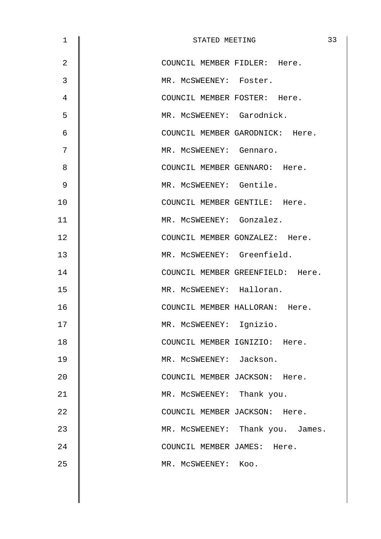| $\mathbf 1$    | STATED MEETING                   | 33 |
|----------------|----------------------------------|----|
| $\overline{2}$ | COUNCIL MEMBER FIDLER: Here.     |    |
| 3              | MR. MCSWEENEY: Foster.           |    |
| 4              | COUNCIL MEMBER FOSTER: Here.     |    |
| 5              | MR. MCSWEENEY: Garodnick.        |    |
| 6              | COUNCIL MEMBER GARODNICK: Here.  |    |
| 7              | MR. MCSWEENEY: Gennaro.          |    |
| 8              | COUNCIL MEMBER GENNARO: Here.    |    |
| 9              | MR. MCSWEENEY: Gentile.          |    |
| 10             | COUNCIL MEMBER GENTILE: Here.    |    |
| 11             | MR. MCSWEENEY: Gonzalez.         |    |
| 12             | COUNCIL MEMBER GONZALEZ: Here.   |    |
| 13             | MR. MCSWEENEY: Greenfield.       |    |
| 14             | COUNCIL MEMBER GREENFIELD: Here. |    |
| 15             | MR. MCSWEENEY: Halloran.         |    |
| 16             | COUNCIL MEMBER HALLORAN: Here.   |    |
| 17             | MR. MCSWEENEY: Ignizio.          |    |
| 18             | COUNCIL MEMBER IGNIZIO: Here.    |    |
| 19             | MR. MCSWEENEY: Jackson.          |    |
| 20             | COUNCIL MEMBER JACKSON: Here.    |    |
| 21             | MR. MCSWEENEY: Thank you.        |    |
| 22             | COUNCIL MEMBER JACKSON: Here.    |    |
| 23             | MR. MCSWEENEY: Thank you. James. |    |
| 24             | COUNCIL MEMBER JAMES: Here.      |    |
| 25             | MR. MCSWEENEY: KOO.              |    |
|                |                                  |    |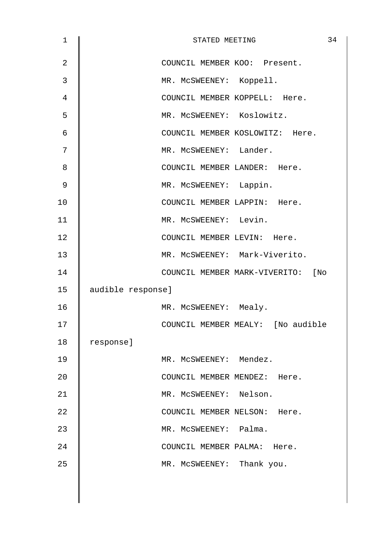| $\mathbf 1$    |                   | STATED MEETING                    | 34 |
|----------------|-------------------|-----------------------------------|----|
| $\overline{2}$ |                   | COUNCIL MEMBER KOO: Present.      |    |
| 3              |                   | MR. MCSWEENEY: Koppell.           |    |
| $\overline{4}$ |                   | COUNCIL MEMBER KOPPELL: Here.     |    |
| 5              |                   | MR. MCSWEENEY: Koslowitz.         |    |
| 6              |                   | COUNCIL MEMBER KOSLOWITZ: Here.   |    |
| 7              |                   | MR. MCSWEENEY: Lander.            |    |
| 8              |                   | COUNCIL MEMBER LANDER: Here.      |    |
| $\mathsf 9$    |                   | MR. MCSWEENEY: Lappin.            |    |
| 10             |                   | COUNCIL MEMBER LAPPIN: Here.      |    |
| 11             |                   | MR. MCSWEENEY: Levin.             |    |
| 12             |                   | COUNCIL MEMBER LEVIN: Here.       |    |
| 13             |                   | MR. MCSWEENEY: Mark-Viverito.     |    |
| 14             |                   | COUNCIL MEMBER MARK-VIVERITO: [No |    |
| 15             | audible response] |                                   |    |
| 16             |                   | MR. MCSWEENEY: Mealy.             |    |
| 17             |                   | COUNCIL MEMBER MEALY: [No audible |    |
| 18             | response]         |                                   |    |
| 19             |                   | MR. MCSWEENEY: Mendez.            |    |
| 20             |                   | COUNCIL MEMBER MENDEZ: Here.      |    |
| 21             |                   | MR. MCSWEENEY: Nelson.            |    |
| 22             |                   | COUNCIL MEMBER NELSON: Here.      |    |
| 23             |                   | MR. MCSWEENEY: Palma.             |    |
| 24             |                   | COUNCIL MEMBER PALMA: Here.       |    |
| 25             |                   | MR. MCSWEENEY: Thank you.         |    |
|                |                   |                                   |    |
|                |                   |                                   |    |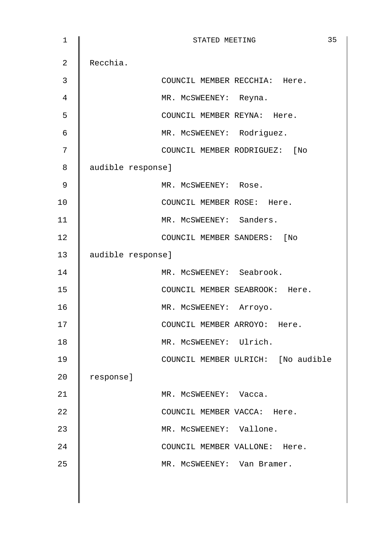| $\mathbf 1$    | 35<br>STATED MEETING               |
|----------------|------------------------------------|
| $\overline{2}$ | Recchia.                           |
| 3              | COUNCIL MEMBER RECCHIA: Here.      |
| 4              | MR. MCSWEENEY: Reyna.              |
| 5              | COUNCIL MEMBER REYNA: Here.        |
| $\epsilon$     | MR. MCSWEENEY: Rodriguez.          |
| 7              | COUNCIL MEMBER RODRIGUEZ: [No      |
| 8              | audible response]                  |
| 9              | MR. MCSWEENEY: Rose.               |
| 10             | COUNCIL MEMBER ROSE: Here.         |
| 11             | MR. MCSWEENEY: Sanders.            |
| 12             | COUNCIL MEMBER SANDERS: [No        |
| 13             | audible response]                  |
| 14             | MR. MCSWEENEY: Seabrook.           |
| 15             | COUNCIL MEMBER SEABROOK: Here.     |
| 16             | MR. MCSWEENEY: Arroyo.             |
| 17             | COUNCIL MEMBER ARROYO: Here.       |
| 18             | MR. MCSWEENEY: Ulrich.             |
| 19             | COUNCIL MEMBER ULRICH: [No audible |
| 20             | response]                          |
| 21             | MR. MCSWEENEY: Vacca.              |
| 22             | COUNCIL MEMBER VACCA: Here.        |
| 23             | MR. MCSWEENEY: Vallone.            |
| 24             | COUNCIL MEMBER VALLONE: Here.      |
| 25             | MR. MCSWEENEY: Van Bramer.         |
|                |                                    |
|                |                                    |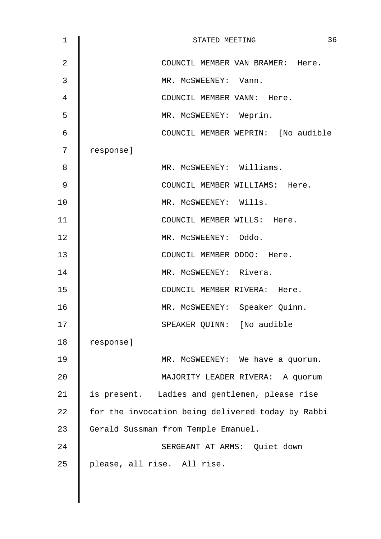| 1              | 36<br>STATED MEETING                              |
|----------------|---------------------------------------------------|
| $\overline{2}$ | COUNCIL MEMBER VAN BRAMER: Here.                  |
| 3              | MR. MCSWEENEY: Vann.                              |
| 4              | COUNCIL MEMBER VANN: Here.                        |
| 5              | MR. MCSWEENEY: Weprin.                            |
| 6              | COUNCIL MEMBER WEPRIN: [No audible                |
| 7              | response]                                         |
| 8              | MR. MCSWEENEY: Williams.                          |
| 9              | COUNCIL MEMBER WILLIAMS: Here.                    |
| 10             | MR. MCSWEENEY: Wills.                             |
| 11             | COUNCIL MEMBER WILLS: Here.                       |
| 12             | MR. MCSWEENEY: Oddo.                              |
| 13             | COUNCIL MEMBER ODDO: Here.                        |
| 14             | MR. MCSWEENEY: Rivera.                            |
| 15             | COUNCIL MEMBER RIVERA: Here.                      |
| 16             | MR. MCSWEENEY: Speaker Quinn.                     |
| 17             | SPEAKER QUINN: [No audible                        |
| 18             | response]                                         |
| 19             | MR. MCSWEENEY: We have a quorum.                  |
| 20             | MAJORITY LEADER RIVERA: A quorum                  |
| 21             | is present. Ladies and gentlemen, please rise     |
| 22             | for the invocation being delivered today by Rabbi |
| 23             | Gerald Sussman from Temple Emanuel.               |
| 24             | SERGEANT AT ARMS: Quiet down                      |
| 25             | please, all rise. All rise.                       |
|                |                                                   |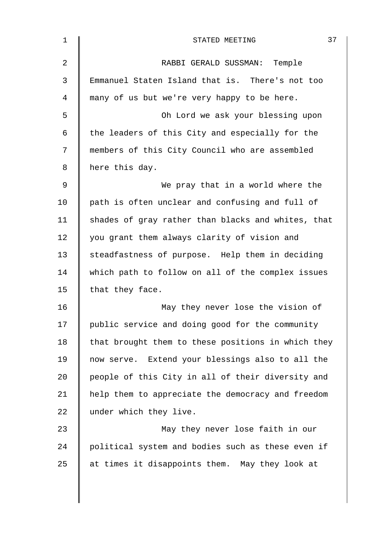| $\mathbf{1}$ | 37<br>STATED MEETING                               |
|--------------|----------------------------------------------------|
| 2            | RABBI GERALD SUSSMAN: Temple                       |
| 3            | Emmanuel Staten Island that is. There's not too    |
| 4            | many of us but we're very happy to be here.        |
| 5            | Oh Lord we ask your blessing upon                  |
| 6            | the leaders of this City and especially for the    |
| 7            | members of this City Council who are assembled     |
| 8            | here this day.                                     |
| 9            | We pray that in a world where the                  |
| 10           | path is often unclear and confusing and full of    |
| 11           | shades of gray rather than blacks and whites, that |
| 12           | you grant them always clarity of vision and        |
| 13           | steadfastness of purpose. Help them in deciding    |
| 14           | which path to follow on all of the complex issues  |
| 15           | that they face.                                    |
| 16           | May they never lose the vision of                  |
| 17           | public service and doing good for the community    |
| 18           | that brought them to these positions in which they |
| 19           | now serve. Extend your blessings also to all the   |
| 20           | people of this City in all of their diversity and  |
| 21           | help them to appreciate the democracy and freedom  |
| 22           | under which they live.                             |
| 23           | May they never lose faith in our                   |
| 24           | political system and bodies such as these even if  |
| 25           | at times it disappoints them. May they look at     |
|              |                                                    |
|              |                                                    |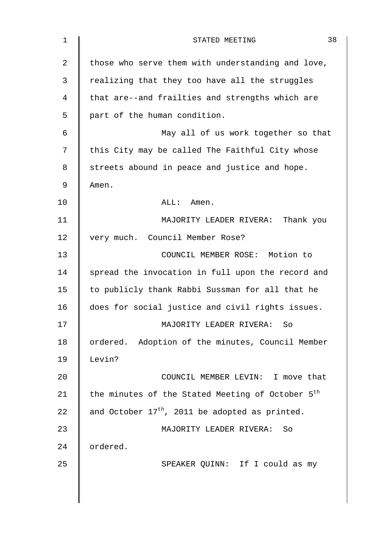| $\mathbf 1$ | 38<br>STATED MEETING                                         |
|-------------|--------------------------------------------------------------|
| 2           | those who serve them with understanding and love,            |
| 3           | realizing that they too have all the struggles               |
| 4           | that are--and frailties and strengths which are              |
| 5           | part of the human condition.                                 |
| 6           | May all of us work together so that                          |
| 7           | this City may be called The Faithful City whose              |
| 8           | streets abound in peace and justice and hope.                |
| 9           | Amen.                                                        |
| 10          | ALL: Amen.                                                   |
| 11          | MAJORITY LEADER RIVERA: Thank you                            |
| 12          | very much. Council Member Rose?                              |
| 13          | COUNCIL MEMBER ROSE: Motion to                               |
| 14          | spread the invocation in full upon the record and            |
| 15          | to publicly thank Rabbi Sussman for all that he              |
| 16          | does for social justice and civil rights issues.             |
| 17          | MAJORITY LEADER RIVERA: So                                   |
| 18          | ordered. Adoption of the minutes, Council Member             |
| 19          | Levin?                                                       |
| 20          | COUNCIL MEMBER LEVIN: I move that                            |
| 21          | the minutes of the Stated Meeting of October 5 <sup>th</sup> |
| 22          | and October $17th$ , 2011 be adopted as printed.             |
| 23          | MAJORITY LEADER RIVERA: So                                   |
| 24          | ordered.                                                     |
| 25          | SPEAKER QUINN: If I could as my                              |
|             |                                                              |
|             |                                                              |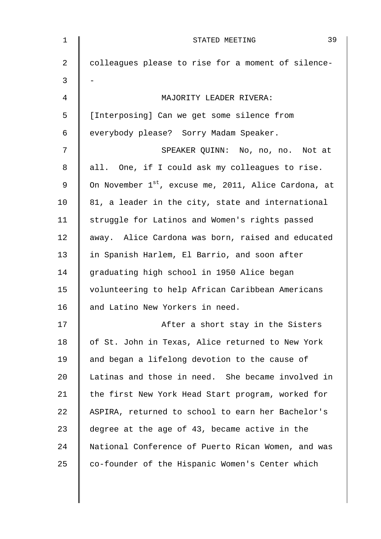| $\mathbf{1}$ | 39<br>STATED MEETING                                             |
|--------------|------------------------------------------------------------------|
| 2            | colleagues please to rise for a moment of silence-               |
| 3            |                                                                  |
| 4            | MAJORITY LEADER RIVERA:                                          |
| 5            | [Interposing] Can we get some silence from                       |
| 6            | everybody please? Sorry Madam Speaker.                           |
| 7            | SPEAKER QUINN: No, no, no. Not at                                |
| 8            | all. One, if I could ask my colleagues to rise.                  |
| 9            | On November 1 <sup>st</sup> , excuse me, 2011, Alice Cardona, at |
| 10           | 81, a leader in the city, state and international                |
| 11           | struggle for Latinos and Women's rights passed                   |
| 12           | away. Alice Cardona was born, raised and educated                |
| 13           | in Spanish Harlem, El Barrio, and soon after                     |
| 14           | graduating high school in 1950 Alice began                       |
| 15           | volunteering to help African Caribbean Americans                 |
| 16           | and Latino New Yorkers in need.                                  |
| 17           | After a short stay in the Sisters                                |
| 18           | of St. John in Texas, Alice returned to New York                 |
| 19           | and began a lifelong devotion to the cause of                    |
| 20           | Latinas and those in need. She became involved in                |
| 21           | the first New York Head Start program, worked for                |
| 22           | ASPIRA, returned to school to earn her Bachelor's                |
| 23           | degree at the age of 43, became active in the                    |
| 24           | National Conference of Puerto Rican Women, and was               |
| 25           | co-founder of the Hispanic Women's Center which                  |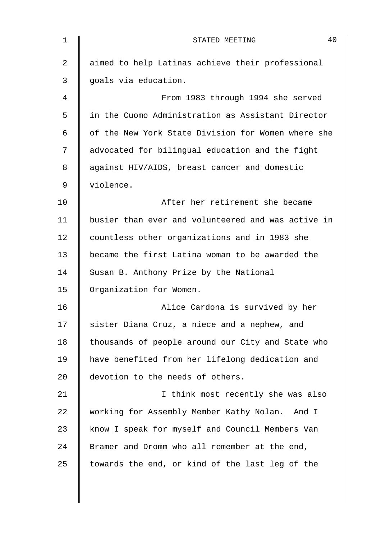| $\mathbf 1$ | 40<br>STATED MEETING                               |
|-------------|----------------------------------------------------|
| 2           | aimed to help Latinas achieve their professional   |
| 3           | goals via education.                               |
| 4           | From 1983 through 1994 she served                  |
| 5           | in the Cuomo Administration as Assistant Director  |
| 6           | of the New York State Division for Women where she |
| 7           | advocated for bilingual education and the fight    |
| 8           | against HIV/AIDS, breast cancer and domestic       |
| 9           | violence.                                          |
| 10          | After her retirement she became                    |
| 11          | busier than ever and volunteered and was active in |
| 12          | countless other organizations and in 1983 she      |
| 13          | became the first Latina woman to be awarded the    |
| 14          | Susan B. Anthony Prize by the National             |
| 15          | Organization for Women.                            |
| 16          | Alice Cardona is survived by her                   |
| 17          | sister Diana Cruz, a niece and a nephew, and       |
| 18          | thousands of people around our City and State who  |
| 19          | have benefited from her lifelong dedication and    |
| 20          | devotion to the needs of others.                   |
| 21          | I think most recently she was also                 |
| 22          | working for Assembly Member Kathy Nolan.<br>And I  |
| 23          | know I speak for myself and Council Members Van    |
| 24          | Bramer and Dromm who all remember at the end,      |
| 25          | towards the end, or kind of the last leg of the    |
|             |                                                    |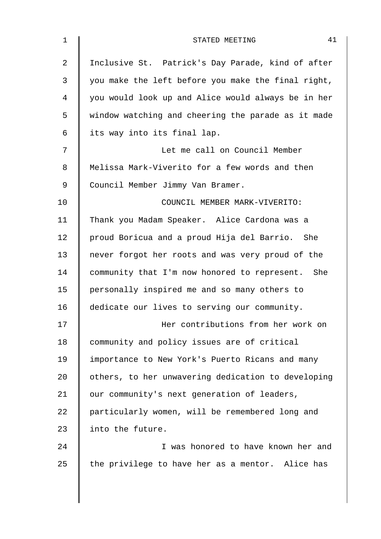| $\mathbf 1$    | 41<br>STATED MEETING                               |
|----------------|----------------------------------------------------|
| $\overline{2}$ | Inclusive St. Patrick's Day Parade, kind of after  |
| 3              | you make the left before you make the final right, |
| 4              | you would look up and Alice would always be in her |
| 5              | window watching and cheering the parade as it made |
| 6              | its way into its final lap.                        |
| 7              | Let me call on Council Member                      |
| 8              | Melissa Mark-Viverito for a few words and then     |
| 9              | Council Member Jimmy Van Bramer.                   |
| 10             | COUNCIL MEMBER MARK-VIVERITO:                      |
| 11             | Thank you Madam Speaker. Alice Cardona was a       |
| 12             | proud Boricua and a proud Hija del Barrio. She     |
| 13             | never forgot her roots and was very proud of the   |
| 14             | community that I'm now honored to represent. She   |
| 15             | personally inspired me and so many others to       |
| 16             | dedicate our lives to serving our community.       |
| 17             | Her contributions from her work on                 |
| 18             | community and policy issues are of critical        |
| 19             | importance to New York's Puerto Ricans and many    |
| 20             | others, to her unwavering dedication to developing |
| 21             | our community's next generation of leaders,        |
| 22             | particularly women, will be remembered long and    |
| 23             | into the future.                                   |
| 24             | I was honored to have known her and                |
| 25             | the privilege to have her as a mentor. Alice has   |
|                |                                                    |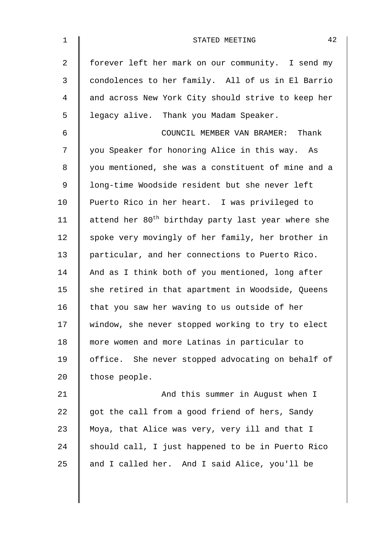| $\mathbf{1}$   | 42<br>STATED MEETING                                           |
|----------------|----------------------------------------------------------------|
| $\overline{2}$ | forever left her mark on our community. I send my              |
| 3              | condolences to her family. All of us in El Barrio              |
| 4              | and across New York City should strive to keep her             |
| 5              | legacy alive. Thank you Madam Speaker.                         |
| 6              | COUNCIL MEMBER VAN BRAMER: Thank                               |
| 7              | you Speaker for honoring Alice in this way. As                 |
| 8              | you mentioned, she was a constituent of mine and a             |
| 9              | long-time Woodside resident but she never left                 |
| 10             | Puerto Rico in her heart. I was privileged to                  |
| 11             | attend her 80 <sup>th</sup> birthday party last year where she |
| 12             | spoke very movingly of her family, her brother in              |
| 13             | particular, and her connections to Puerto Rico.                |
| 14             | And as I think both of you mentioned, long after               |
| 15             | she retired in that apartment in Woodside, Queens              |
| 16             | that you saw her waving to us outside of her                   |
| 17             | window, she never stopped working to try to elect              |
| 18             | more women and more Latinas in particular to                   |
| 19             | office. She never stopped advocating on behalf of              |
| 20             | those people.                                                  |
| 21             | And this summer in August when I                               |
| 22             | got the call from a good friend of hers, Sandy                 |
| 23             | Moya, that Alice was very, very ill and that I                 |
| 24             | should call, I just happened to be in Puerto Rico              |
| 25             | and I called her. And I said Alice, you'll be                  |
|                |                                                                |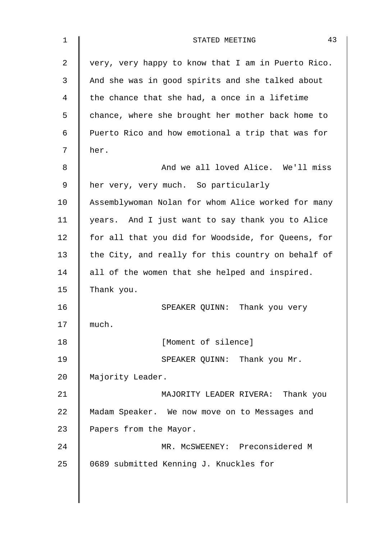| $\mathbf 1$ | 43<br>STATED MEETING                               |
|-------------|----------------------------------------------------|
| 2           | very, very happy to know that I am in Puerto Rico. |
| 3           | And she was in good spirits and she talked about   |
| 4           | the chance that she had, a once in a lifetime      |
| 5           | chance, where she brought her mother back home to  |
| 6           | Puerto Rico and how emotional a trip that was for  |
| 7           | her.                                               |
| 8           | And we all loved Alice. We'll miss                 |
| 9           | her very, very much. So particularly               |
| 10          | Assemblywoman Nolan for whom Alice worked for many |
| 11          | years. And I just want to say thank you to Alice   |
| 12          | for all that you did for Woodside, for Queens, for |
| 13          | the City, and really for this country on behalf of |
| 14          | all of the women that she helped and inspired.     |
| 15          | Thank you.                                         |
| 16          | SPEAKER QUINN: Thank you very                      |
| 17          | much.                                              |
| 18          | [Moment of silence]                                |
| 19          | SPEAKER QUINN: Thank you Mr.                       |
| 20          | Majority Leader.                                   |
| 21          | MAJORITY LEADER RIVERA: Thank you                  |
| 22          | Madam Speaker. We now move on to Messages and      |
| 23          | Papers from the Mayor.                             |
| 24          | MR. MCSWEENEY: Preconsidered M                     |
| 25          | 0689 submitted Kenning J. Knuckles for             |
|             |                                                    |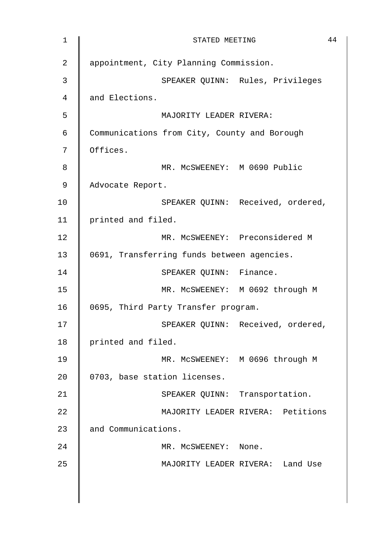| 1              | 44<br>STATED MEETING                         |
|----------------|----------------------------------------------|
| $\overline{2}$ | appointment, City Planning Commission.       |
| $\mathfrak{Z}$ | SPEAKER QUINN: Rules, Privileges             |
| 4              | and Elections.                               |
| 5              | MAJORITY LEADER RIVERA:                      |
| 6              | Communications from City, County and Borough |
| 7              | Offices.                                     |
| 8              | MR. MCSWEENEY: M 0690 Public                 |
| 9              | Advocate Report.                             |
| 10             | SPEAKER QUINN: Received, ordered,            |
| 11             | printed and filed.                           |
| 12             | MR. MCSWEENEY: Preconsidered M               |
| 13             | 0691, Transferring funds between agencies.   |
| 14             | SPEAKER QUINN: Finance.                      |
| 15             | MR. MCSWEENEY: M 0692 through M              |
| 16             | 0695, Third Party Transfer program.          |
| 17             | SPEAKER QUINN: Received, ordered,            |
| 18             | printed and filed.                           |
| 19             | MR. MCSWEENEY: M 0696 through M              |
| 20             | 0703, base station licenses.                 |
| 21             | SPEAKER QUINN: Transportation.               |
| 22             | MAJORITY LEADER RIVERA: Petitions            |
| 23             | and Communications.                          |
| 24             | MR. MCSWEENEY: None.                         |
| 25             | MAJORITY LEADER RIVERA: Land Use             |
|                |                                              |
|                |                                              |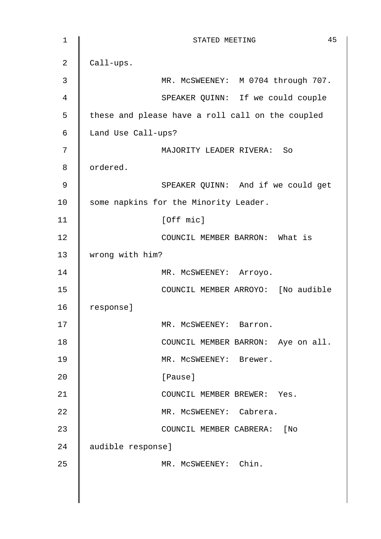1 **||** STATED MEETING 45 2  $\vert$  Call-ups. 3 MR. MCSWEENEY: M 0704 through 707. 4 || SPEAKER QUINN: If we could couple 5 | these and please have a roll call on the coupled 6 Land Use Call-ups? 7 MAJORITY LEADER RIVERA: So 8 | ordered. 9 || SPEAKER QUINN: And if we could get 10 Some napkins for the Minority Leader. 11 | [Off mic] 12 **||** COUNCIL MEMBER BARRON: What is 13 | wrong with him? 14 | MR. MCSWEENEY: Arroyo. 15 || COUNCIL MEMBER ARROYO: [No audible 16 response] 17 | MR. McSWEENEY: Barron. 18 | COUNCIL MEMBER BARRON: Aye on all. 19 || MR. MCSWEENEY: Brewer. 20 | Pause] 21 | COUNCIL MEMBER BREWER: Yes. 22 | MR. McSWEENEY: Cabrera. 23 | COUNCIL MEMBER CABRERA: [No 24 audible response] 25 MR. McSWEENEY: Chin.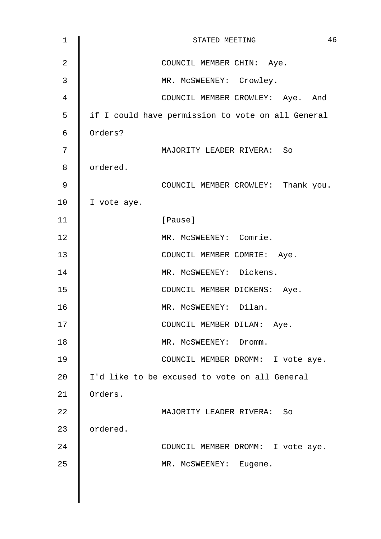| $\mathbf 1$ | 46<br>STATED MEETING                              |
|-------------|---------------------------------------------------|
| 2           | COUNCIL MEMBER CHIN: Aye.                         |
| 3           | MR. MCSWEENEY: Crowley.                           |
| 4           | COUNCIL MEMBER CROWLEY: Aye. And                  |
| 5           | if I could have permission to vote on all General |
| 6           | Orders?                                           |
| 7           | MAJORITY LEADER RIVERA: So                        |
| 8           | ordered.                                          |
| 9           | COUNCIL MEMBER CROWLEY: Thank you.                |
| 10          | I vote aye.                                       |
| 11          | [Pause]                                           |
| 12          | MR. MCSWEENEY: Comrie.                            |
| 13          | COUNCIL MEMBER COMRIE: Aye.                       |
| 14          | MR. MCSWEENEY: Dickens.                           |
| 15          | COUNCIL MEMBER DICKENS: Aye.                      |
| 16          | MR. MCSWEENEY: Dilan.                             |
| 17          | COUNCIL MEMBER DILAN: Aye.                        |
| 18          | MR. MCSWEENEY: Dromm.                             |
| 19          | COUNCIL MEMBER DROMM: I vote aye.                 |
| 20          | I'd like to be excused to vote on all General     |
| 21          | Orders.                                           |
| 22          | MAJORITY LEADER RIVERA: So                        |
| 23          | ordered.                                          |
| 24          | COUNCIL MEMBER DROMM: I vote aye.                 |
| 25          | MR. MCSWEENEY: Eugene.                            |
|             |                                                   |
|             |                                                   |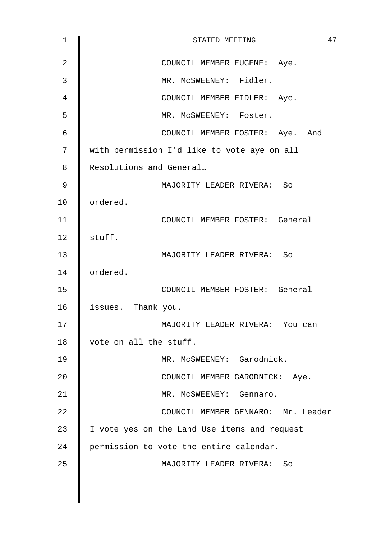| $\mathbf 1$ | 47<br>STATED MEETING                         |
|-------------|----------------------------------------------|
| 2           | COUNCIL MEMBER EUGENE: Aye.                  |
| 3           | MR. MCSWEENEY: Fidler.                       |
| 4           | COUNCIL MEMBER FIDLER: Aye.                  |
| 5           | MR. MCSWEENEY: Foster.                       |
| 6           | COUNCIL MEMBER FOSTER: Aye. And              |
| 7           | with permission I'd like to vote aye on all  |
| 8           | Resolutions and General                      |
| 9           | MAJORITY LEADER RIVERA: So                   |
| 10          | ordered.                                     |
| 11          | COUNCIL MEMBER FOSTER: General               |
| 12          | stuff.                                       |
| 13          | MAJORITY LEADER RIVERA: So                   |
| 14          | ordered.                                     |
| 15          | COUNCIL MEMBER FOSTER: General               |
| 16          | issues. Thank you.                           |
| 17          | MAJORITY LEADER RIVERA: You can              |
| 18          | vote on all the stuff.                       |
| 19          | MR. MCSWEENEY: Garodnick.                    |
| 20          | COUNCIL MEMBER GARODNICK: Aye.               |
| 21          | MR. MCSWEENEY: Gennaro.                      |
| 22          | COUNCIL MEMBER GENNARO: Mr. Leader           |
| 23          | I vote yes on the Land Use items and request |
| 24          | permission to vote the entire calendar.      |
| 25          | MAJORITY LEADER RIVERA: So                   |
|             |                                              |
|             |                                              |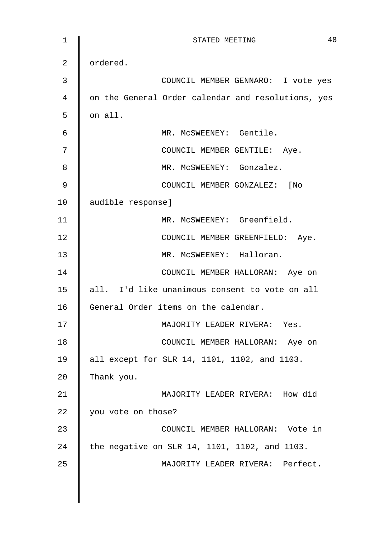| $\mathbf 1$ | 48<br>STATED MEETING                               |
|-------------|----------------------------------------------------|
| 2           | ordered.                                           |
| 3           | COUNCIL MEMBER GENNARO: I vote yes                 |
| 4           | on the General Order calendar and resolutions, yes |
| 5           | on all.                                            |
| 6           | MR. MCSWEENEY: Gentile.                            |
| 7           | COUNCIL MEMBER GENTILE: Aye.                       |
| 8           | MR. MCSWEENEY: Gonzalez.                           |
| 9           | COUNCIL MEMBER GONZALEZ: [No                       |
| 10          | audible response]                                  |
| 11          | MR. MCSWEENEY: Greenfield.                         |
| 12          | COUNCIL MEMBER GREENFIELD: Aye.                    |
| 13          | MR. MCSWEENEY: Halloran.                           |
| 14          | COUNCIL MEMBER HALLORAN: Aye on                    |
| 15          | all. I'd like unanimous consent to vote on all     |
| 16          | General Order items on the calendar.               |
| 17          | MAJORITY LEADER RIVERA: Yes.                       |
| 18          | COUNCIL MEMBER HALLORAN: Aye on                    |
| 19          | all except for SLR 14, 1101, 1102, and 1103.       |
| 20          | Thank you.                                         |
| 21          | MAJORITY LEADER RIVERA: How did                    |
| 22          | you vote on those?                                 |
| 23          | COUNCIL MEMBER HALLORAN: Vote in                   |
| 24          | the negative on SLR 14, 1101, 1102, and 1103.      |
| 25          | MAJORITY LEADER RIVERA: Perfect.                   |
|             |                                                    |
|             |                                                    |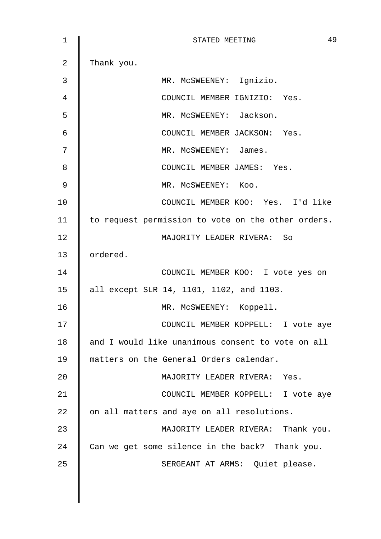| 1  | 49<br>STATED MEETING                               |
|----|----------------------------------------------------|
| 2  | Thank you.                                         |
| 3  | MR. MCSWEENEY: Ignizio.                            |
| 4  | COUNCIL MEMBER IGNIZIO: Yes.                       |
| 5  | MR. MCSWEENEY: Jackson.                            |
| 6  | COUNCIL MEMBER JACKSON: Yes.                       |
| 7  | MR. MCSWEENEY: James.                              |
| 8  | COUNCIL MEMBER JAMES: Yes.                         |
| 9  | MR. MCSWEENEY: Koo.                                |
| 10 | COUNCIL MEMBER KOO: Yes. I'd like                  |
| 11 | to request permission to vote on the other orders. |
| 12 | MAJORITY LEADER RIVERA: So                         |
| 13 | ordered.                                           |
| 14 | COUNCIL MEMBER KOO: I vote yes on                  |
| 15 | all except SLR 14, 1101, 1102, and 1103.           |
| 16 | MR. MCSWEENEY: Koppell.                            |
| 17 | COUNCIL MEMBER KOPPELL: I vote aye                 |
| 18 | and I would like unanimous consent to vote on all  |
| 19 | matters on the General Orders calendar.            |
| 20 | MAJORITY LEADER RIVERA: Yes.                       |
| 21 | COUNCIL MEMBER KOPPELL: I vote aye                 |
| 22 | on all matters and aye on all resolutions.         |
| 23 | MAJORITY LEADER RIVERA: Thank you.                 |
| 24 | Can we get some silence in the back? Thank you.    |
| 25 | SERGEANT AT ARMS: Quiet please.                    |
|    |                                                    |
|    |                                                    |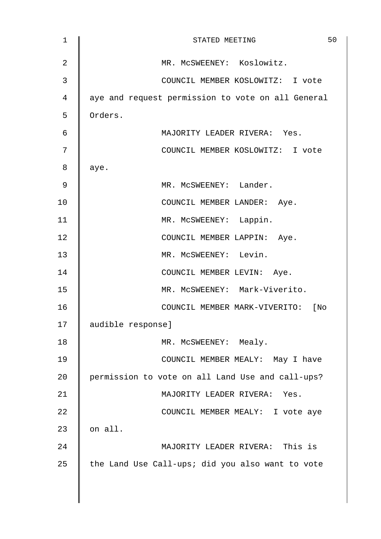| $\mathbf 1$    | 50<br>STATED MEETING                              |
|----------------|---------------------------------------------------|
| $\overline{2}$ | MR. MCSWEENEY: Koslowitz.                         |
| 3              | COUNCIL MEMBER KOSLOWITZ: I vote                  |
| 4              | aye and request permission to vote on all General |
| 5              | Orders.                                           |
| 6              | MAJORITY LEADER RIVERA: Yes.                      |
| 7              | COUNCIL MEMBER KOSLOWITZ: I vote                  |
| 8              | aye.                                              |
| 9              | MR. MCSWEENEY: Lander.                            |
| 10             | COUNCIL MEMBER LANDER: Aye.                       |
| 11             | MR. MCSWEENEY: Lappin.                            |
| 12             | COUNCIL MEMBER LAPPIN: Aye.                       |
| 13             | MR. MCSWEENEY: Levin.                             |
| 14             | COUNCIL MEMBER LEVIN: Aye.                        |
| 15             | MR. MCSWEENEY: Mark-Viverito.                     |
| 16             | COUNCIL MEMBER MARK-VIVERITO: [No                 |
| 17             | audible response]                                 |
| 18             | MR. MCSWEENEY: Mealy.                             |
| 19             | COUNCIL MEMBER MEALY: May I have                  |
| 20             | permission to vote on all Land Use and call-ups?  |
| 21             | MAJORITY LEADER RIVERA: Yes.                      |
| 22             | COUNCIL MEMBER MEALY: I vote aye                  |
| 23             | on all.                                           |
| 24             | MAJORITY LEADER RIVERA: This is                   |
| 25             | the Land Use Call-ups; did you also want to vote  |
|                |                                                   |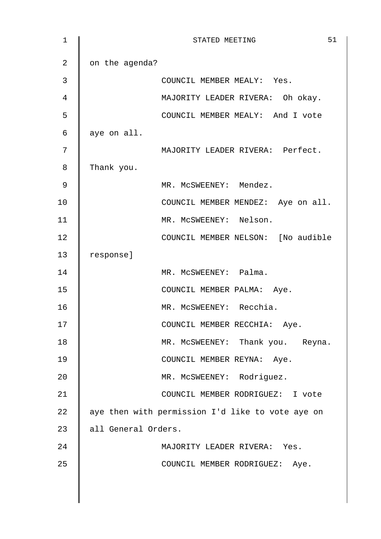| $\mathbf{1}$   | 51<br>STATED MEETING                             |
|----------------|--------------------------------------------------|
| $\overline{2}$ | on the agenda?                                   |
| 3              | COUNCIL MEMBER MEALY: Yes.                       |
| $\overline{4}$ | MAJORITY LEADER RIVERA: Oh okay.                 |
| 5              | COUNCIL MEMBER MEALY: And I vote                 |
| 6              | aye on all.                                      |
| 7              | MAJORITY LEADER RIVERA: Perfect.                 |
| 8              | Thank you.                                       |
| 9              | MR. MCSWEENEY: Mendez.                           |
| 10             | COUNCIL MEMBER MENDEZ: Aye on all.               |
| 11             | MR. MCSWEENEY: Nelson.                           |
| 12             | COUNCIL MEMBER NELSON: [No audible               |
| 13             | response]                                        |
| 14             | MR. MCSWEENEY: Palma.                            |
| 15             | COUNCIL MEMBER PALMA: Aye.                       |
| 16             | MR. MCSWEENEY: Recchia.                          |
| 17             | COUNCIL MEMBER RECCHIA: Aye.                     |
| 18             | MR. MCSWEENEY: Thank you. Reyna.                 |
| 19             | COUNCIL MEMBER REYNA: Aye.                       |
| 20             | MR. MCSWEENEY: Rodriguez.                        |
| 21             | COUNCIL MEMBER RODRIGUEZ: I vote                 |
| 22             | aye then with permission I'd like to vote aye on |
| 23             | all General Orders.                              |
| 24             | MAJORITY LEADER RIVERA: Yes.                     |
| 25             | COUNCIL MEMBER RODRIGUEZ: Aye.                   |
|                |                                                  |
|                |                                                  |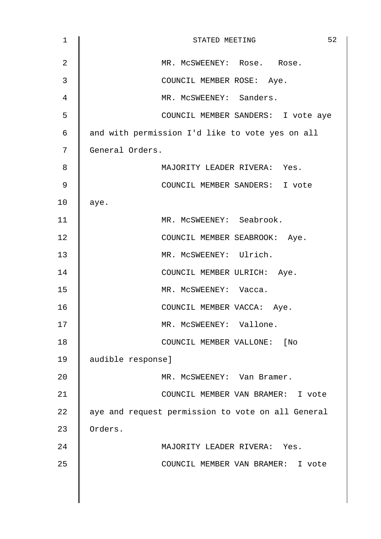| $\mathbf 1$    | 52<br>STATED MEETING                              |
|----------------|---------------------------------------------------|
| $\overline{2}$ | MR. MCSWEENEY: Rose. Rose.                        |
| 3              | COUNCIL MEMBER ROSE: Aye.                         |
| 4              | MR. MCSWEENEY: Sanders.                           |
| 5              | COUNCIL MEMBER SANDERS: I vote aye                |
| 6              | and with permission I'd like to vote yes on all   |
| 7              | General Orders.                                   |
| 8              | MAJORITY LEADER RIVERA: Yes.                      |
| 9              | COUNCIL MEMBER SANDERS: I vote                    |
| 10             | aye.                                              |
| 11             | MR. MCSWEENEY: Seabrook.                          |
| 12             | COUNCIL MEMBER SEABROOK: Aye.                     |
| 13             | MR. MCSWEENEY: Ulrich.                            |
| 14             | COUNCIL MEMBER ULRICH: Aye.                       |
| 15             | MR. MCSWEENEY: Vacca.                             |
| 16             | COUNCIL MEMBER VACCA: Aye.                        |
| 17             | MR. MCSWEENEY: Vallone.                           |
| 18             | COUNCIL MEMBER VALLONE: [No                       |
| 19             | audible response]                                 |
| 20             | MR. MCSWEENEY: Van Bramer.                        |
| 21             | COUNCIL MEMBER VAN BRAMER: I vote                 |
| 22             | aye and request permission to vote on all General |
| 23             | Orders.                                           |
| 24             | MAJORITY LEADER RIVERA: Yes.                      |
| 25             | COUNCIL MEMBER VAN BRAMER: I vote                 |
|                |                                                   |
|                |                                                   |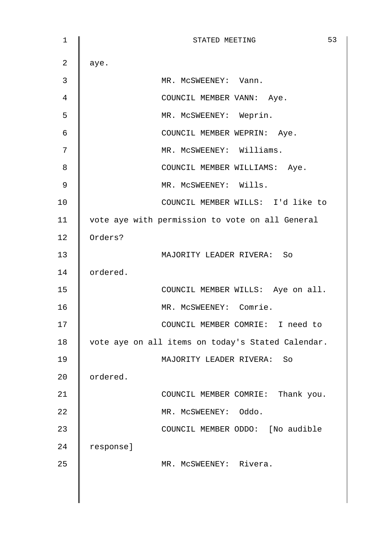1 || STATED MEETING 53 2 | aye. 3 MR. McSWEENEY: Vann. 4 || COUNCIL MEMBER VANN: Aye. 5 MR. McSWEENEY: Weprin. 6 | COUNCIL MEMBER WEPRIN: Aye. 7 || MR. MCSWEENEY: Williams. 8 **COUNCIL MEMBER WILLIAMS:** Aye. 9 || MR. MCSWEENEY: Wills. 10 COUNCIL MEMBER WILLS: I'd like to 11 | vote aye with permission to vote on all General 12 Orders? 13 MAJORITY LEADER RIVERA: So 14 | ordered. 15 || COUNCIL MEMBER WILLS: Aye on all. 16 MR. McSWEENEY: Comrie. 17 || COUNCIL MEMBER COMRIE: I need to 18 vote aye on all items on today's Stated Calendar. 19 MAJORITY LEADER RIVERA: So 20 **c**ordered. 21 **||** COUNCIL MEMBER COMRIE: Thank you. 22 | MR. McSWEENEY: Oddo. 23 | COUNCIL MEMBER ODDO: [No audible 24 | response] 25 | MR. McSWEENEY: Rivera.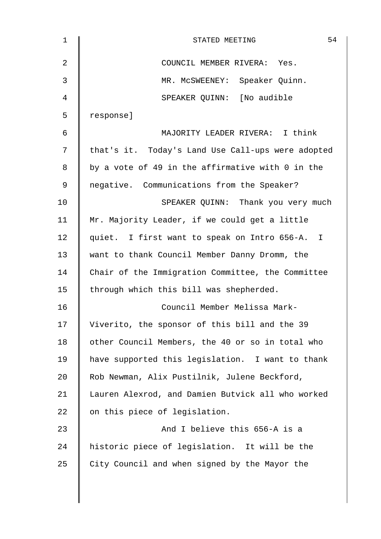| $\mathbf 1$ | 54<br>STATED MEETING                              |
|-------------|---------------------------------------------------|
| 2           | COUNCIL MEMBER RIVERA: Yes.                       |
| 3           | MR. MCSWEENEY: Speaker Quinn.                     |
| 4           | SPEAKER QUINN: [No audible                        |
| 5           | response]                                         |
| 6           | MAJORITY LEADER RIVERA: I think                   |
| 7           | that's it. Today's Land Use Call-ups were adopted |
| 8           | by a vote of 49 in the affirmative with 0 in the  |
| 9           | negative. Communications from the Speaker?        |
| 10          | SPEAKER QUINN: Thank you very much                |
| 11          | Mr. Majority Leader, if we could get a little     |
| 12          | quiet. I first want to speak on Intro 656-A. I    |
| 13          | want to thank Council Member Danny Dromm, the     |
| 14          | Chair of the Immigration Committee, the Committee |
| 15          | through which this bill was shepherded.           |
| 16          | Council Member Melissa Mark-                      |
| 17          | Viverito, the sponsor of this bill and the 39     |
| 18          | other Council Members, the 40 or so in total who  |
| 19          | have supported this legislation. I want to thank  |
| 20          | Rob Newman, Alix Pustilnik, Julene Beckford,      |
| 21          | Lauren Alexrod, and Damien Butvick all who worked |
| 22          | on this piece of legislation.                     |
| 23          | And I believe this 656-A is a                     |
| 24          | historic piece of legislation. It will be the     |
| 25          | City Council and when signed by the Mayor the     |
|             |                                                   |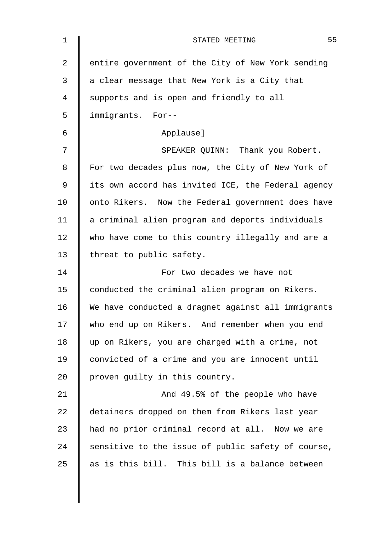| $\mathbf 1$    | 55<br>STATED MEETING                               |
|----------------|----------------------------------------------------|
| $\overline{2}$ | entire government of the City of New York sending  |
| 3              | a clear message that New York is a City that       |
| 4              | supports and is open and friendly to all           |
| 5              | immigrants. For--                                  |
| $\epsilon$     | Applause]                                          |
| 7              | SPEAKER QUINN: Thank you Robert.                   |
| 8              | For two decades plus now, the City of New York of  |
| $\mathsf 9$    | its own accord has invited ICE, the Federal agency |
| 10             | onto Rikers. Now the Federal government does have  |
| 11             | a criminal alien program and deports individuals   |
| 12             | who have come to this country illegally and are a  |
| 13             | threat to public safety.                           |
| 14             | For two decades we have not                        |
| 15             | conducted the criminal alien program on Rikers.    |
| 16             | We have conducted a dragnet against all immigrants |
| 17             | who end up on Rikers. And remember when you end    |
| 18             | up on Rikers, you are charged with a crime, not    |
| 19             | convicted of a crime and you are innocent until    |
| 20             | proven guilty in this country.                     |
| 21             | And 49.5% of the people who have                   |
| 22             | detainers dropped on them from Rikers last year    |
| 23             | had no prior criminal record at all. Now we are    |
| 24             | sensitive to the issue of public safety of course, |
| 25             | as is this bill. This bill is a balance between    |
|                |                                                    |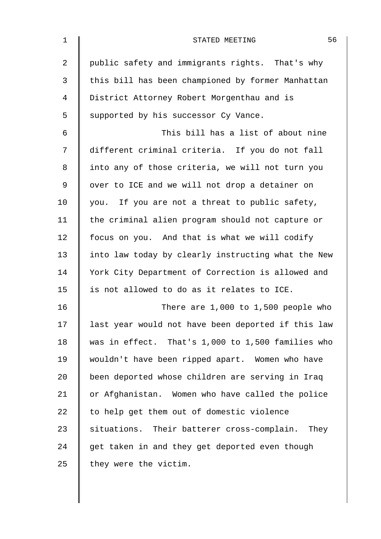| $\mathbf 1$ | 56<br>STATED MEETING                               |
|-------------|----------------------------------------------------|
| 2           | public safety and immigrants rights. That's why    |
| 3           | this bill has been championed by former Manhattan  |
| 4           | District Attorney Robert Morgenthau and is         |
| 5           | supported by his successor Cy Vance.               |
| 6           | This bill has a list of about nine                 |
| 7           | different criminal criteria. If you do not fall    |
| 8           | into any of those criteria, we will not turn you   |
| 9           | over to ICE and we will not drop a detainer on     |
| 10          | you. If you are not a threat to public safety,     |
| 11          | the criminal alien program should not capture or   |
| 12          | focus on you. And that is what we will codify      |
| 13          | into law today by clearly instructing what the New |
| 14          | York City Department of Correction is allowed and  |
| 15          | is not allowed to do as it relates to ICE.         |
| 16          | There are $1,000$ to $1,500$ people who            |
| 17          | last year would not have been deported if this law |
| 18          | was in effect. That's 1,000 to 1,500 families who  |
| 19          | wouldn't have been ripped apart. Women who have    |
| 20          | been deported whose children are serving in Iraq   |
| 21          | or Afghanistan. Women who have called the police   |
| 22          | to help get them out of domestic violence          |
| 23          | situations. Their batterer cross-complain. They    |
| 24          | get taken in and they get deported even though     |
| 25          | they were the victim.                              |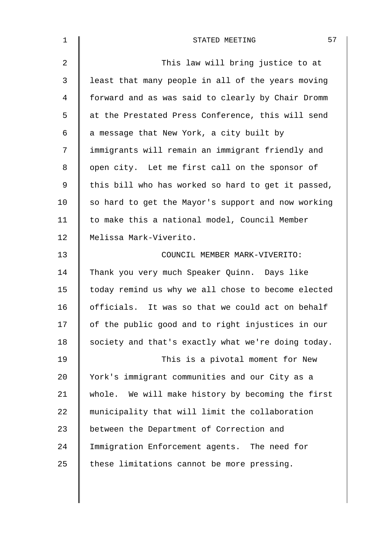| $\mathbf 1$    | 57<br>STATED MEETING                               |
|----------------|----------------------------------------------------|
| $\overline{2}$ | This law will bring justice to at                  |
| 3              | least that many people in all of the years moving  |
| 4              | forward and as was said to clearly by Chair Dromm  |
| 5              | at the Prestated Press Conference, this will send  |
| 6              | a message that New York, a city built by           |
| 7              | immigrants will remain an immigrant friendly and   |
| 8              | open city. Let me first call on the sponsor of     |
| 9              | this bill who has worked so hard to get it passed, |
| 10             | so hard to get the Mayor's support and now working |
| 11             | to make this a national model, Council Member      |
| 12             | Melissa Mark-Viverito.                             |
| 13             | COUNCIL MEMBER MARK-VIVERITO:                      |
| 14             | Thank you very much Speaker Quinn. Days like       |
| 15             | today remind us why we all chose to become elected |
| 16             | officials. It was so that we could act on behalf   |
| 17             | of the public good and to right injustices in our  |
| 18             | society and that's exactly what we're doing today. |
| 19             | This is a pivotal moment for New                   |
| 20             | York's immigrant communities and our City as a     |
| 21             | whole. We will make history by becoming the first  |
| 22             | municipality that will limit the collaboration     |
| 23             | between the Department of Correction and           |
| 24             | Immigration Enforcement agents. The need for       |
| 25             | these limitations cannot be more pressing.         |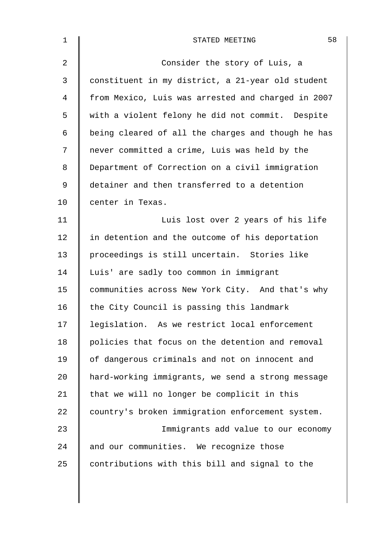| $\mathbf 1$    | 58<br>STATED MEETING                               |
|----------------|----------------------------------------------------|
| $\overline{a}$ | Consider the story of Luis, a                      |
| 3              | constituent in my district, a 21-year old student  |
| 4              | from Mexico, Luis was arrested and charged in 2007 |
| 5              | with a violent felony he did not commit. Despite   |
| 6              | being cleared of all the charges and though he has |
| 7              | never committed a crime, Luis was held by the      |
| 8              | Department of Correction on a civil immigration    |
| $\mathsf 9$    | detainer and then transferred to a detention       |
| 10             | center in Texas.                                   |
| 11             | Luis lost over 2 years of his life                 |
| 12             | in detention and the outcome of his deportation    |
| 13             | proceedings is still uncertain. Stories like       |
| 14             | Luis' are sadly too common in immigrant            |
| 15             | communities across New York City. And that's why   |
| 16             | the City Council is passing this landmark          |
| 17             | legislation. As we restrict local enforcement      |
| 18             | policies that focus on the detention and removal   |
| 19             | of dangerous criminals and not on innocent and     |
| 20             | hard-working immigrants, we send a strong message  |
| 21             | that we will no longer be complicit in this        |
| 22             | country's broken immigration enforcement system.   |
| 23             | Immigrants add value to our economy                |
| 24             | and our communities. We recognize those            |
| 25             | contributions with this bill and signal to the     |
|                |                                                    |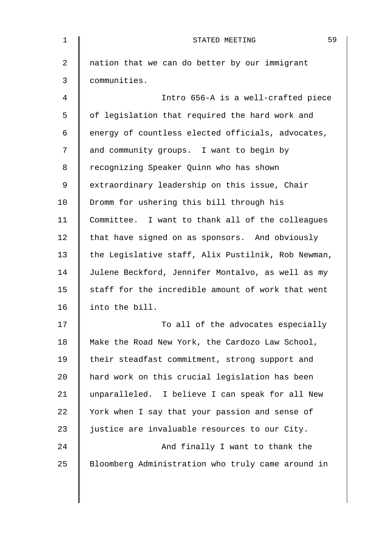| 1      | 59<br>STATED MEETING                               |
|--------|----------------------------------------------------|
| 2      | nation that we can do better by our immigrant      |
| 3      | communities.                                       |
| 4      | Intro 656-A is a well-crafted piece                |
| 5      | of legislation that required the hard work and     |
| 6      | energy of countless elected officials, advocates,  |
| 7      | and community groups. I want to begin by           |
| 8      | recognizing Speaker Quinn who has shown            |
| 9      | extraordinary leadership on this issue, Chair      |
| 10     | Dromm for ushering this bill through his           |
| 11     | Committee. I want to thank all of the colleagues   |
| 12     | that have signed on as sponsors. And obviously     |
| 13     | the Legislative staff, Alix Pustilnik, Rob Newman, |
| 14     | Julene Beckford, Jennifer Montalvo, as well as my  |
| 15     | staff for the incredible amount of work that went  |
| 16     | into the bill.                                     |
| 17     | To all of the advocates especially                 |
| $18\,$ | Make the Road New York, the Cardozo Law School,    |
| 19     | their steadfast commitment, strong support and     |
| 20     | hard work on this crucial legislation has been     |
| 21     | unparalleled. I believe I can speak for all New    |
| 22     | York when I say that your passion and sense of     |
| 23     | justice are invaluable resources to our City.      |
| 24     | And finally I want to thank the                    |
| 25     | Bloomberg Administration who truly came around in  |
|        |                                                    |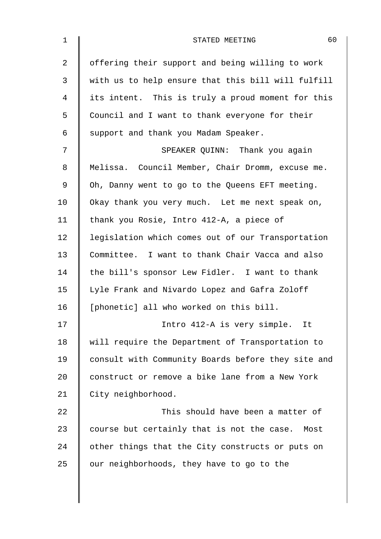| $\mathbf 1$ | 60<br>STATED MEETING                               |
|-------------|----------------------------------------------------|
| 2           | offering their support and being willing to work   |
| 3           | with us to help ensure that this bill will fulfill |
| 4           | its intent. This is truly a proud moment for this  |
| 5           | Council and I want to thank everyone for their     |
| 6           | support and thank you Madam Speaker.               |
| 7           | SPEAKER QUINN: Thank you again                     |
| 8           | Melissa. Council Member, Chair Dromm, excuse me.   |
| 9           | Oh, Danny went to go to the Queens EFT meeting.    |
| 10          | Okay thank you very much. Let me next speak on,    |
| 11          | thank you Rosie, Intro 412-A, a piece of           |
| 12          | legislation which comes out of our Transportation  |
| 13          | Committee. I want to thank Chair Vacca and also    |
| 14          | the bill's sponsor Lew Fidler. I want to thank     |
| 15          | Lyle Frank and Nivardo Lopez and Gafra Zoloff      |
| 16          | [phonetic] all who worked on this bill.            |
| 17          | Intro 412-A is very simple. It                     |
| 18          | will require the Department of Transportation to   |
| 19          | consult with Community Boards before they site and |
| 20          | construct or remove a bike lane from a New York    |
| 21          | City neighborhood.                                 |
| 22          | This should have been a matter of                  |
| 23          | course but certainly that is not the case. Most    |
| 24          | other things that the City constructs or puts on   |
| 25          | our neighborhoods, they have to go to the          |
|             |                                                    |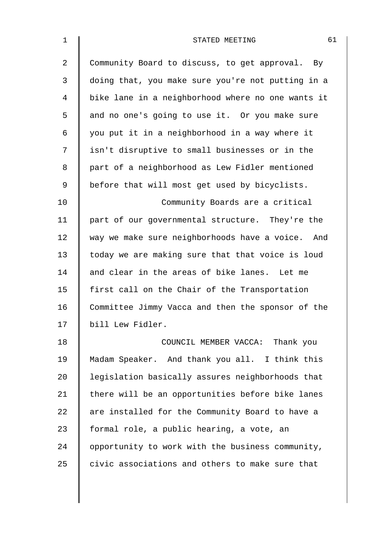| $\mathbf{1}$ | 61<br>STATED MEETING                              |
|--------------|---------------------------------------------------|
| 2            | Community Board to discuss, to get approval. By   |
| 3            | doing that, you make sure you're not putting in a |
| 4            | bike lane in a neighborhood where no one wants it |
| 5            | and no one's going to use it. Or you make sure    |
| 6            | you put it in a neighborhood in a way where it    |
| 7            | isn't disruptive to small businesses or in the    |
| 8            | part of a neighborhood as Lew Fidler mentioned    |
| 9            | before that will most get used by bicyclists.     |
| 10           | Community Boards are a critical                   |
| 11           | part of our governmental structure. They're the   |
| 12           | way we make sure neighborhoods have a voice. And  |
| 13           | today we are making sure that that voice is loud  |
| 14           | and clear in the areas of bike lanes. Let me      |
| 15           | first call on the Chair of the Transportation     |
| 16           | Committee Jimmy Vacca and then the sponsor of the |
| 17           | bill Lew Fidler.                                  |
| 18           | COUNCIL MEMBER VACCA: Thank you                   |
| 19           | Madam Speaker. And thank you all. I think this    |
| 20           | legislation basically assures neighborhoods that  |
| 21           | there will be an opportunities before bike lanes  |
| 22           | are installed for the Community Board to have a   |
| 23           | formal role, a public hearing, a vote, an         |
| 24           | opportunity to work with the business community,  |
| 25           | civic associations and others to make sure that   |
|              |                                                   |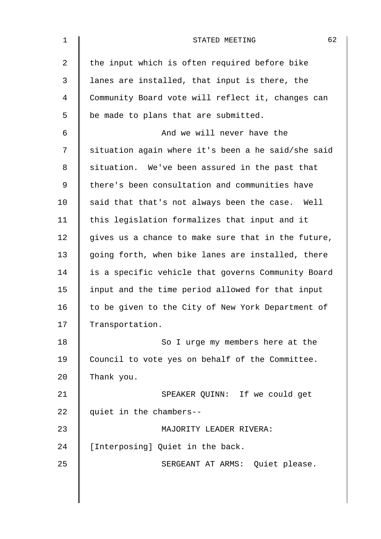| $\mathbf{1}$ | 62<br>STATED MEETING                               |
|--------------|----------------------------------------------------|
| 2            | the input which is often required before bike      |
| 3            | lanes are installed, that input is there, the      |
| 4            | Community Board vote will reflect it, changes can  |
| 5            | be made to plans that are submitted.               |
| 6            | And we will never have the                         |
| 7            | situation again where it's been a he said/she said |
| 8            | situation. We've been assured in the past that     |
| 9            | there's been consultation and communities have     |
| 10           | said that that's not always been the case. Well    |
| 11           | this legislation formalizes that input and it      |
| 12           | gives us a chance to make sure that in the future, |
| 13           | going forth, when bike lanes are installed, there  |
| 14           | is a specific vehicle that governs Community Board |
| 15           | input and the time period allowed for that input   |
| 16           | to be given to the City of New York Department of  |
| 17           | Transportation.                                    |
| 18           | So I urge my members here at the                   |
| 19           | Council to vote yes on behalf of the Committee.    |
| 20           | Thank you.                                         |
| 21           | SPEAKER QUINN: If we could get                     |
| 22           | quiet in the chambers--                            |
| 23           | MAJORITY LEADER RIVERA:                            |
| 24           | [Interposing] Quiet in the back.                   |
| 25           | SERGEANT AT ARMS: Quiet please.                    |
|              |                                                    |
|              |                                                    |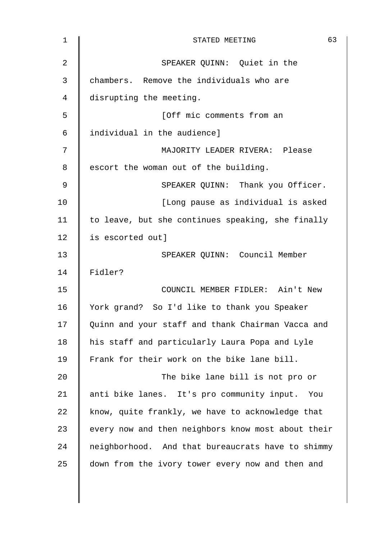| $\mathbf 1$ | 63<br>STATED MEETING                               |
|-------------|----------------------------------------------------|
| 2           | SPEAKER QUINN: Quiet in the                        |
| 3           | chambers. Remove the individuals who are           |
| 4           | disrupting the meeting.                            |
| 5           | [Off mic comments from an                          |
| 6           | individual in the audience]                        |
| 7           | MAJORITY LEADER RIVERA: Please                     |
| 8           | escort the woman out of the building.              |
| 9           | SPEAKER QUINN: Thank you Officer.                  |
| 10          | [Long pause as individual is asked                 |
| 11          | to leave, but she continues speaking, she finally  |
| 12          | is escorted out]                                   |
| 13          | SPEAKER QUINN: Council Member                      |
| 14          | Fidler?                                            |
| 15          | COUNCIL MEMBER FIDLER: Ain't New                   |
| 16          | York grand? So I'd like to thank you Speaker       |
| 17          | Quinn and your staff and thank Chairman Vacca and  |
| 18          | his staff and particularly Laura Popa and Lyle     |
| 19          | Frank for their work on the bike lane bill.        |
| 20          | The bike lane bill is not pro or                   |
| 21          | anti bike lanes. It's pro community input. You     |
| 22          | know, quite frankly, we have to acknowledge that   |
| 23          | every now and then neighbors know most about their |
| 24          | neighborhood. And that bureaucrats have to shimmy  |
| 25          | down from the ivory tower every now and then and   |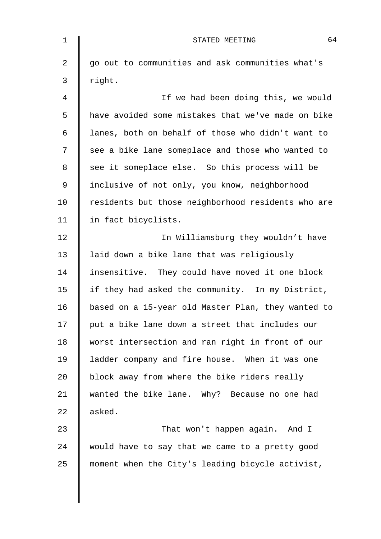| 1  | 64<br>STATED MEETING                               |
|----|----------------------------------------------------|
| 2  | go out to communities and ask communities what's   |
| 3  | right.                                             |
| 4  | If we had been doing this, we would                |
| 5  | have avoided some mistakes that we've made on bike |
| 6  | lanes, both on behalf of those who didn't want to  |
| 7  | see a bike lane someplace and those who wanted to  |
| 8  | see it someplace else. So this process will be     |
| 9  | inclusive of not only, you know, neighborhood      |
| 10 | residents but those neighborhood residents who are |
| 11 | in fact bicyclists.                                |
| 12 | In Williamsburg they wouldn't have                 |
| 13 | laid down a bike lane that was religiously         |
| 14 | insensitive. They could have moved it one block    |
| 15 | if they had asked the community. In my District,   |
| 16 | based on a 15-year old Master Plan, they wanted to |
| 17 | put a bike lane down a street that includes our    |
| 18 | worst intersection and ran right in front of our   |
| 19 | ladder company and fire house. When it was one     |
| 20 | block away from where the bike riders really       |
| 21 | wanted the bike lane. Why? Because no one had      |
| 22 | asked.                                             |
| 23 | That won't happen again. And I                     |
| 24 | would have to say that we came to a pretty good    |
| 25 | moment when the City's leading bicycle activist,   |
|    |                                                    |

 $\overline{\phantom{a}}$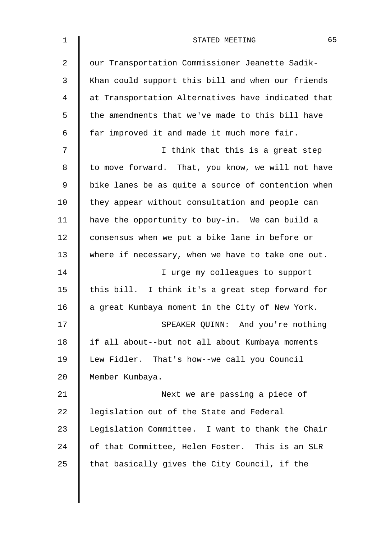| $\mathbf 1$    | 65<br>STATED MEETING                               |
|----------------|----------------------------------------------------|
| $\overline{2}$ | our Transportation Commissioner Jeanette Sadik-    |
| 3              | Khan could support this bill and when our friends  |
| 4              | at Transportation Alternatives have indicated that |
| 5              | the amendments that we've made to this bill have   |
| 6              | far improved it and made it much more fair.        |
| 7              | I think that this is a great step                  |
| 8              | to move forward. That, you know, we will not have  |
| 9              | bike lanes be as quite a source of contention when |
| 10             | they appear without consultation and people can    |
| 11             | have the opportunity to buy-in. We can build a     |
| 12             | consensus when we put a bike lane in before or     |
| 13             | where if necessary, when we have to take one out.  |
| 14             | I urge my colleagues to support                    |
| 15             | this bill. I think it's a great step forward for   |
| 16             | a great Kumbaya moment in the City of New York.    |
| 17             | SPEAKER QUINN: And you're nothing                  |
| 18             | if all about--but not all about Kumbaya moments    |
| 19             | Lew Fidler. That's how--we call you Council        |
| 20             | Member Kumbaya.                                    |
| 21             | Next we are passing a piece of                     |
| 22             | legislation out of the State and Federal           |
| 23             | Legislation Committee. I want to thank the Chair   |
| 24             | of that Committee, Helen Foster. This is an SLR    |
| 25             | that basically gives the City Council, if the      |
|                |                                                    |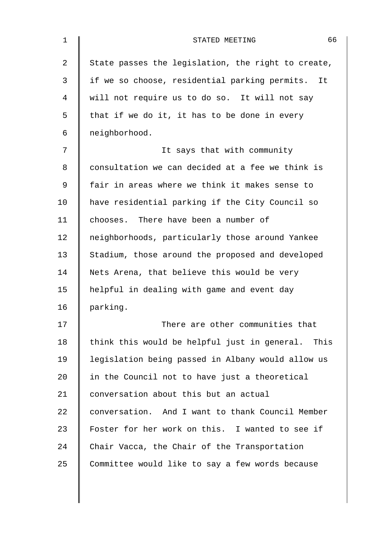| 66<br>STATED MEETING                               |
|----------------------------------------------------|
| State passes the legislation, the right to create, |
| if we so choose, residential parking permits. It   |
| will not require us to do so. It will not say      |
| that if we do it, it has to be done in every       |
| neighborhood.                                      |
| It says that with community                        |
| consultation we can decided at a fee we think is   |
| fair in areas where we think it makes sense to     |
| have residential parking if the City Council so    |
| chooses. There have been a number of               |
| neighborhoods, particularly those around Yankee    |
| Stadium, those around the proposed and developed   |
| Nets Arena, that believe this would be very        |
| helpful in dealing with game and event day         |
| parking.                                           |
| There are other communities that                   |
| think this would be helpful just in general. This  |
| legislation being passed in Albany would allow us  |
| in the Council not to have just a theoretical      |
| conversation about this but an actual              |
| conversation. And I want to thank Council Member   |
| Foster for her work on this. I wanted to see if    |
| Chair Vacca, the Chair of the Transportation       |
| Committee would like to say a few words because    |
|                                                    |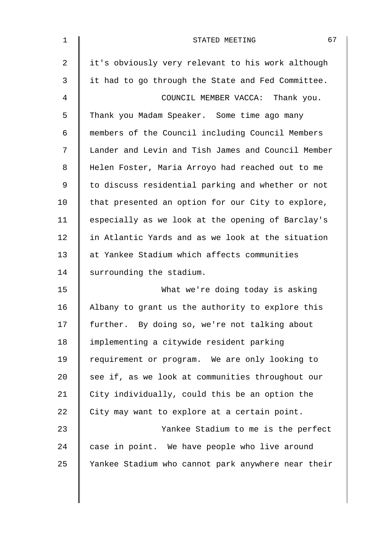| $\mathbf 1$ | 67<br>STATED MEETING                               |
|-------------|----------------------------------------------------|
| 2           | it's obviously very relevant to his work although  |
| 3           | it had to go through the State and Fed Committee.  |
| 4           | COUNCIL MEMBER VACCA: Thank you.                   |
| 5           | Thank you Madam Speaker. Some time ago many        |
| 6           | members of the Council including Council Members   |
| 7           | Lander and Levin and Tish James and Council Member |
| 8           | Helen Foster, Maria Arroyo had reached out to me   |
| $\mathsf 9$ | to discuss residential parking and whether or not  |
| 10          | that presented an option for our City to explore,  |
| 11          | especially as we look at the opening of Barclay's  |
| 12          | in Atlantic Yards and as we look at the situation  |
| 13          | at Yankee Stadium which affects communities        |
| 14          | surrounding the stadium.                           |
| 15          | What we're doing today is asking                   |
| 16          | Albany to grant us the authority to explore this   |
| 17          | further. By doing so, we're not talking about      |
| 18          | implementing a citywide resident parking           |
| 19          | requirement or program. We are only looking to     |
| 20          | see if, as we look at communities throughout our   |
| 21          | City individually, could this be an option the     |
| 22          | City may want to explore at a certain point.       |
| 23          | Yankee Stadium to me is the perfect                |
| 24          | case in point. We have people who live around      |
| 25          | Yankee Stadium who cannot park anywhere near their |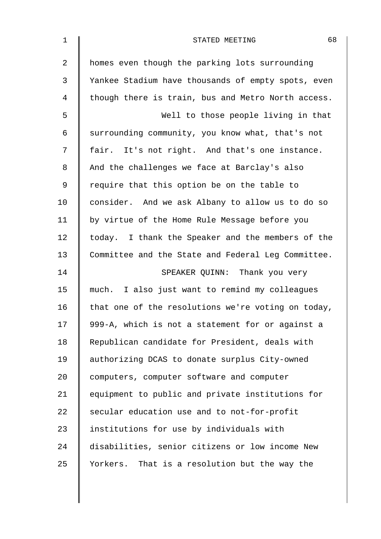| 1  | 68<br>STATED MEETING                               |
|----|----------------------------------------------------|
| 2  | homes even though the parking lots surrounding     |
| 3  | Yankee Stadium have thousands of empty spots, even |
| 4  | though there is train, bus and Metro North access. |
| 5  | Well to those people living in that                |
| 6  | surrounding community, you know what, that's not   |
| 7  | fair. It's not right. And that's one instance.     |
| 8  | And the challenges we face at Barclay's also       |
| 9  | require that this option be on the table to        |
| 10 | consider. And we ask Albany to allow us to do so   |
| 11 | by virtue of the Home Rule Message before you      |
| 12 | today. I thank the Speaker and the members of the  |
| 13 | Committee and the State and Federal Leg Committee. |
| 14 | SPEAKER QUINN: Thank you very                      |
| 15 | much. I also just want to remind my colleagues     |
| 16 | that one of the resolutions we're voting on today, |
| 17 | 999-A, which is not a statement for or against a   |
| 18 | Republican candidate for President, deals with     |
| 19 | authorizing DCAS to donate surplus City-owned      |
| 20 | computers, computer software and computer          |
| 21 | equipment to public and private institutions for   |
| 22 | secular education use and to not-for-profit        |
| 23 | institutions for use by individuals with           |
| 24 | disabilities, senior citizens or low income New    |
| 25 | Yorkers. That is a resolution but the way the      |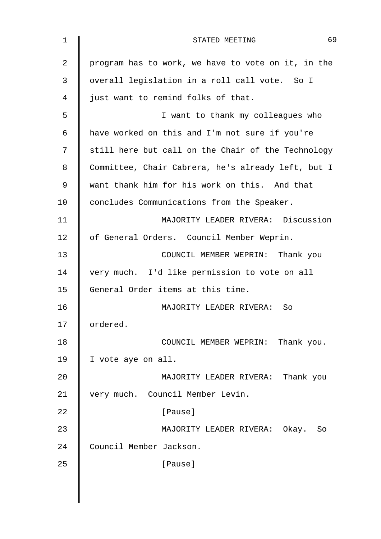| $\mathbf 1$ | 69<br>STATED MEETING                               |
|-------------|----------------------------------------------------|
| 2           | program has to work, we have to vote on it, in the |
| 3           | overall legislation in a roll call vote. So I      |
| 4           | just want to remind folks of that.                 |
| 5           | I want to thank my colleagues who                  |
| 6           | have worked on this and I'm not sure if you're     |
| 7           | still here but call on the Chair of the Technology |
| 8           | Committee, Chair Cabrera, he's already left, but I |
| 9           | want thank him for his work on this. And that      |
| 10          | concludes Communications from the Speaker.         |
| 11          | MAJORITY LEADER RIVERA: Discussion                 |
| 12          | of General Orders. Council Member Weprin.          |
| 13          | COUNCIL MEMBER WEPRIN: Thank you                   |
| 14          | very much. I'd like permission to vote on all      |
| 15          | General Order items at this time.                  |
| 16          | MAJORITY LEADER RIVERA:<br>So                      |
| 17          | ordered.                                           |
| 18          | COUNCIL MEMBER WEPRIN: Thank you.                  |
| 19          | I vote aye on all.                                 |
| 20          | MAJORITY LEADER RIVERA: Thank you                  |
| 21          | very much. Council Member Levin.                   |
| 22          | [Pause]                                            |
| 23          | MAJORITY LEADER RIVERA: Okay. So                   |
| 24          | Council Member Jackson.                            |
| 25          | [Pause]                                            |
|             |                                                    |
|             |                                                    |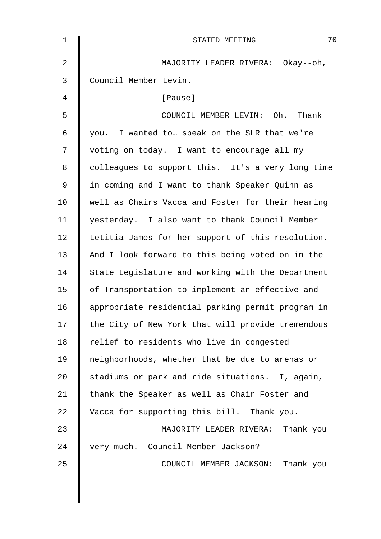| $\mathbf{1}$   | 70<br>STATED MEETING                              |
|----------------|---------------------------------------------------|
| $\overline{2}$ | MAJORITY LEADER RIVERA: Okay--oh,                 |
| 3              | Council Member Levin.                             |
| 4              | [Pause]                                           |
| 5              | COUNCIL MEMBER LEVIN: Oh. Thank                   |
| 6              | you. I wanted to speak on the SLR that we're      |
| 7              | voting on today. I want to encourage all my       |
| 8              | colleagues to support this. It's a very long time |
| 9              | in coming and I want to thank Speaker Quinn as    |
| 10             | well as Chairs Vacca and Foster for their hearing |
| 11             | yesterday. I also want to thank Council Member    |
| 12             | Letitia James for her support of this resolution. |
| 13             | And I look forward to this being voted on in the  |
| 14             | State Legislature and working with the Department |
| 15             | of Transportation to implement an effective and   |
| 16             | appropriate residential parking permit program in |
| 17             | the City of New York that will provide tremendous |
| 18             | relief to residents who live in congested         |
| 19             | neighborhoods, whether that be due to arenas or   |
| 20             | stadiums or park and ride situations. I, again,   |
| 21             | thank the Speaker as well as Chair Foster and     |
| 22             | Vacca for supporting this bill. Thank you.        |
| 23             | MAJORITY LEADER RIVERA: Thank you                 |
| 24             | very much. Council Member Jackson?                |
| 25             | COUNCIL MEMBER JACKSON: Thank you                 |
|                |                                                   |
|                |                                                   |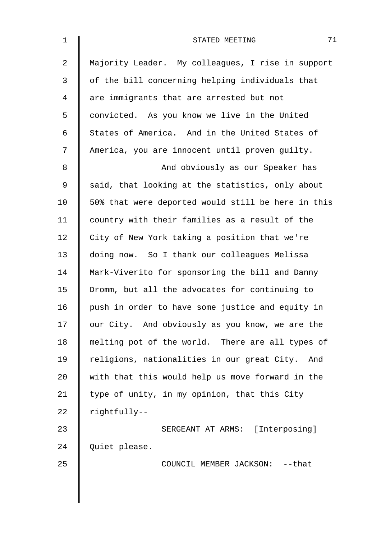| $\mathbf 1$    | 71<br>STATED MEETING                               |
|----------------|----------------------------------------------------|
| $\overline{2}$ | Majority Leader. My colleagues, I rise in support  |
| 3              | of the bill concerning helping individuals that    |
| 4              | are immigrants that are arrested but not           |
| 5              | convicted. As you know we live in the United       |
| 6              | States of America. And in the United States of     |
| 7              | America, you are innocent until proven guilty.     |
| $8\,$          | And obviously as our Speaker has                   |
| 9              | said, that looking at the statistics, only about   |
| 10             | 50% that were deported would still be here in this |
| 11             | country with their families as a result of the     |
| 12             | City of New York taking a position that we're      |
| 13             | doing now. So I thank our colleagues Melissa       |
| 14             | Mark-Viverito for sponsoring the bill and Danny    |
| 15             | Dromm, but all the advocates for continuing to     |
| 16             | push in order to have some justice and equity in   |
| 17             | our City. And obviously as you know, we are the    |
| 18             | melting pot of the world. There are all types of   |
| 19             | religions, nationalities in our great City. And    |
| 20             | with that this would help us move forward in the   |
| 21             | type of unity, in my opinion, that this City       |
| 22             | rightfully--                                       |
| 23             | SERGEANT AT ARMS: [Interposing]                    |
| 24             | Quiet please.                                      |
| 25             | COUNCIL MEMBER JACKSON: -- that                    |
|                |                                                    |
|                |                                                    |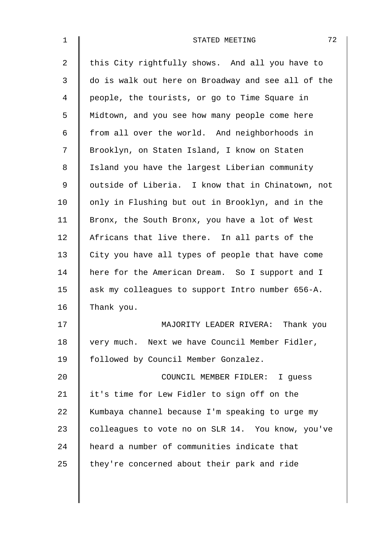| $\mathbf 1$    | 72<br>STATED MEETING                               |
|----------------|----------------------------------------------------|
| $\overline{a}$ | this City rightfully shows. And all you have to    |
| 3              | do is walk out here on Broadway and see all of the |
| 4              | people, the tourists, or go to Time Square in      |
| 5              | Midtown, and you see how many people come here     |
| 6              | from all over the world. And neighborhoods in      |
| 7              | Brooklyn, on Staten Island, I know on Staten       |
| 8              | Island you have the largest Liberian community     |
| $\mathsf 9$    | outside of Liberia. I know that in Chinatown, not  |
| 10             | only in Flushing but out in Brooklyn, and in the   |
| 11             | Bronx, the South Bronx, you have a lot of West     |
| 12             | Africans that live there. In all parts of the      |
| 13             | City you have all types of people that have come   |
| 14             | here for the American Dream. So I support and I    |
| 15             | ask my colleagues to support Intro number 656-A.   |
| 16             | Thank you.                                         |
| 17             | MAJORITY LEADER RIVERA: Thank you                  |
| 18             | very much. Next we have Council Member Fidler,     |
| 19             | followed by Council Member Gonzalez.               |
| 20             | COUNCIL MEMBER FIDLER: I guess                     |
| 21             | it's time for Lew Fidler to sign off on the        |
| 22             | Kumbaya channel because I'm speaking to urge my    |
| 23             | colleagues to vote no on SLR 14. You know, you've  |
| 24             | heard a number of communities indicate that        |
| 25             | they're concerned about their park and ride        |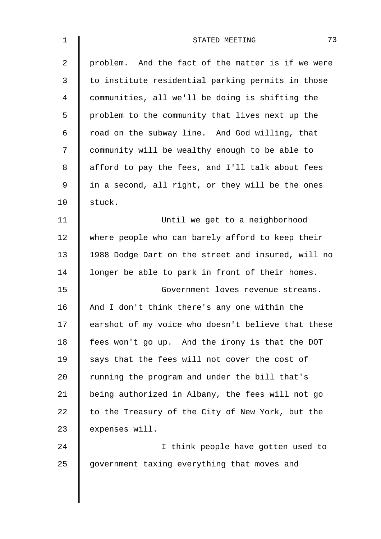| $\mathbf 1$    | 73<br>STATED MEETING                               |
|----------------|----------------------------------------------------|
| $\overline{a}$ | problem. And the fact of the matter is if we were  |
| 3              | to institute residential parking permits in those  |
| 4              | communities, all we'll be doing is shifting the    |
| 5              | problem to the community that lives next up the    |
| 6              | road on the subway line. And God willing, that     |
| 7              | community will be wealthy enough to be able to     |
| 8              | afford to pay the fees, and I'll talk about fees   |
| 9              | in a second, all right, or they will be the ones   |
| 10             | stuck.                                             |
| 11             | Until we get to a neighborhood                     |
| 12             | where people who can barely afford to keep their   |
| 13             | 1988 Dodge Dart on the street and insured, will no |
| 14             | longer be able to park in front of their homes.    |
| 15             | Government loves revenue streams.                  |
| 16             | And I don't think there's any one within the       |
| 17             | earshot of my voice who doesn't believe that these |
| 18             | fees won't go up. And the irony is that the DOT    |
| 19             | says that the fees will not cover the cost of      |
| 20             | running the program and under the bill that's      |
| 21             | being authorized in Albany, the fees will not go   |
| 22             | to the Treasury of the City of New York, but the   |
| 23             | expenses will.                                     |
| 24             | I think people have gotten used to                 |
| 25             | government taxing everything that moves and        |
|                |                                                    |

 $\overline{\phantom{a}}$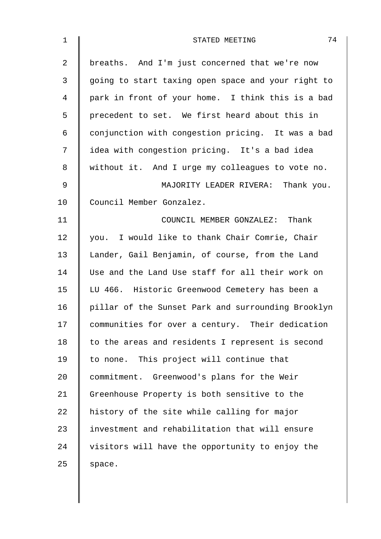| $\mathbf 1$ | 74<br>STATED MEETING                               |
|-------------|----------------------------------------------------|
| 2           | breaths. And I'm just concerned that we're now     |
| 3           | going to start taxing open space and your right to |
| 4           | park in front of your home. I think this is a bad  |
| 5           | precedent to set. We first heard about this in     |
| 6           | conjunction with congestion pricing. It was a bad  |
| 7           | idea with congestion pricing. It's a bad idea      |
| 8           | without it. And I urge my colleagues to vote no.   |
| 9           | MAJORITY LEADER RIVERA: Thank you.                 |
| 10          | Council Member Gonzalez.                           |
| 11          | COUNCIL MEMBER GONZALEZ: Thank                     |
| 12          | you. I would like to thank Chair Comrie, Chair     |
| 13          | Lander, Gail Benjamin, of course, from the Land    |
| 14          | Use and the Land Use staff for all their work on   |
| 15          | LU 466. Historic Greenwood Cemetery has been a     |
| 16          | pillar of the Sunset Park and surrounding Brooklyn |
| 17          | communities for over a century. Their dedication   |
| 18          | to the areas and residents I represent is second   |
| 19          | to none. This project will continue that           |
| 20          | commitment. Greenwood's plans for the Weir         |
| 21          | Greenhouse Property is both sensitive to the       |
| 22          | history of the site while calling for major        |
| 23          | investment and rehabilitation that will ensure     |
| 24          | visitors will have the opportunity to enjoy the    |
| 25          | space.                                             |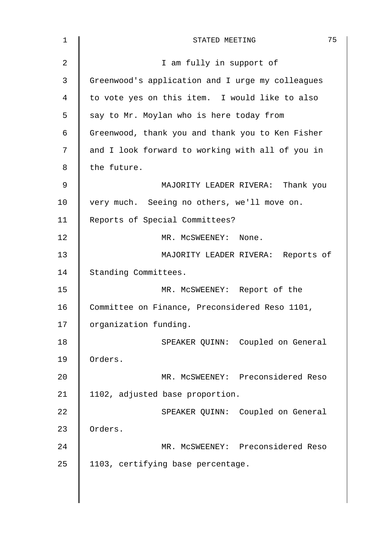| $\mathbf 1$    | 75<br>STATED MEETING                             |
|----------------|--------------------------------------------------|
| $\overline{2}$ | I am fully in support of                         |
| 3              | Greenwood's application and I urge my colleagues |
| 4              | to vote yes on this item. I would like to also   |
| 5              | say to Mr. Moylan who is here today from         |
| 6              | Greenwood, thank you and thank you to Ken Fisher |
| 7              | and I look forward to working with all of you in |
| 8              | the future.                                      |
| 9              | MAJORITY LEADER RIVERA: Thank you                |
| 10             | very much. Seeing no others, we'll move on.      |
| 11             | Reports of Special Committees?                   |
| 12             | MR. MCSWEENEY: None.                             |
| 13             | MAJORITY LEADER RIVERA: Reports of               |
| 14             | Standing Committees.                             |
| 15             | MR. MCSWEENEY: Report of the                     |
| 16             | Committee on Finance, Preconsidered Reso 1101,   |
| 17             | organization funding.                            |
| 18             | SPEAKER QUINN: Coupled on General                |
| 19             | Orders.                                          |
| 20             | MR. MCSWEENEY: Preconsidered Reso                |
| 21             | 1102, adjusted base proportion.                  |
| 22             | SPEAKER QUINN: Coupled on General                |
| 23             | Orders.                                          |
| 24             | MR. MCSWEENEY: Preconsidered Reso                |
| 25             | 1103, certifying base percentage.                |
|                |                                                  |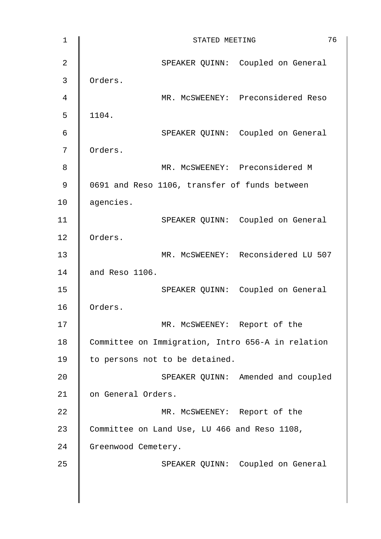| $\mathbf{1}$   | 76<br>STATED MEETING                              |
|----------------|---------------------------------------------------|
| $\overline{2}$ | SPEAKER QUINN: Coupled on General                 |
| 3              | Orders.                                           |
| $\overline{4}$ | MR. MCSWEENEY: Preconsidered Reso                 |
| 5              | 1104.                                             |
| 6              | SPEAKER QUINN: Coupled on General                 |
| 7              | Orders.                                           |
| 8              | MR. MCSWEENEY: Preconsidered M                    |
| $\mathsf 9$    | 0691 and Reso 1106, transfer of funds between     |
| 10             | agencies.                                         |
| 11             | SPEAKER QUINN: Coupled on General                 |
| 12             | Orders.                                           |
| 13             | MR. MCSWEENEY: Reconsidered LU 507                |
| 14             | and Reso 1106.                                    |
| 15             | SPEAKER QUINN: Coupled on General                 |
| 16             | Orders.                                           |
| 17             | MR. MCSWEENEY: Report of the                      |
| 18             | Committee on Immigration, Intro 656-A in relation |
| 19             | to persons not to be detained.                    |
| 20             | SPEAKER QUINN: Amended and coupled                |
| 21             | on General Orders.                                |
| 22             | MR. MCSWEENEY: Report of the                      |
| 23             | Committee on Land Use, LU 466 and Reso 1108,      |
| 24             | Greenwood Cemetery.                               |
| 25             | SPEAKER QUINN: Coupled on General                 |
|                |                                                   |
|                |                                                   |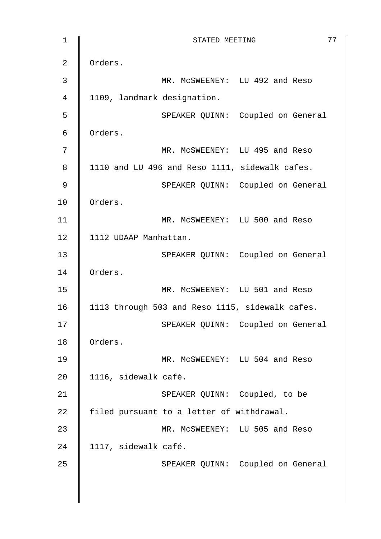| $\mathbf{1}$   | 77<br>STATED MEETING                            |
|----------------|-------------------------------------------------|
| $\overline{2}$ | Orders.                                         |
| 3              | MR. MCSWEENEY: LU 492 and Reso                  |
| $\overline{4}$ | 1109, landmark designation.                     |
| 5              | SPEAKER QUINN: Coupled on General               |
| 6              | Orders.                                         |
| 7              | MR. MCSWEENEY: LU 495 and Reso                  |
| 8              | 1110 and LU 496 and Reso 1111, sidewalk cafes.  |
| 9              | SPEAKER QUINN: Coupled on General               |
| 10             | Orders.                                         |
| 11             | MR. MCSWEENEY: LU 500 and Reso                  |
| 12             | 1112 UDAAP Manhattan.                           |
| 13             | SPEAKER QUINN: Coupled on General               |
| 14             | Orders.                                         |
| 15             | MR. MCSWEENEY: LU 501 and Reso                  |
| 16             | 1113 through 503 and Reso 1115, sidewalk cafes. |
| $17$           | SPEAKER QUINN: Coupled on General               |
| 18             | Orders.                                         |
| 19             | MR. MCSWEENEY: LU 504 and Reso                  |
| 20             | 1116, sidewalk café.                            |
| 21             | SPEAKER QUINN: Coupled, to be                   |
| 22             | filed pursuant to a letter of withdrawal.       |
| 23             | MR. MCSWEENEY: LU 505 and Reso                  |
| 24             | 1117, sidewalk café.                            |
| 25             | SPEAKER QUINN: Coupled on General               |
|                |                                                 |
|                |                                                 |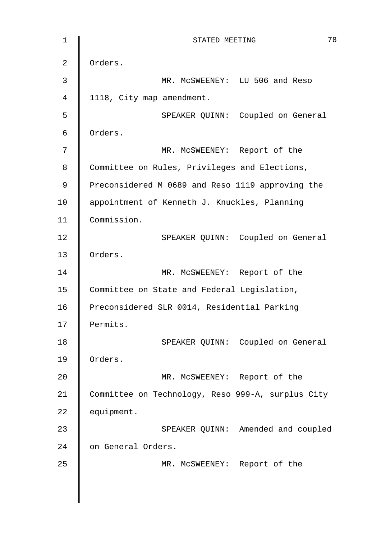| $1\,$          | 78<br>STATED MEETING                              |
|----------------|---------------------------------------------------|
| $\overline{2}$ | Orders.                                           |
| 3              | MR. MCSWEENEY: LU 506 and Reso                    |
| $\overline{4}$ | 1118, City map amendment.                         |
| 5              | SPEAKER QUINN: Coupled on General                 |
| 6              | Orders.                                           |
| 7              | MR. MCSWEENEY: Report of the                      |
| 8              | Committee on Rules, Privileges and Elections,     |
| 9              | Preconsidered M 0689 and Reso 1119 approving the  |
| 10             | appointment of Kenneth J. Knuckles, Planning      |
| 11             | Commission.                                       |
| 12             | SPEAKER QUINN: Coupled on General                 |
| 13             | Orders.                                           |
| 14             | MR. MCSWEENEY: Report of the                      |
| 15             | Committee on State and Federal Legislation,       |
| 16             | Preconsidered SLR 0014, Residential Parking       |
| 17             | Permits.                                          |
| 18             | SPEAKER QUINN: Coupled on General                 |
| 19             | Orders.                                           |
| 20             | MR. MCSWEENEY: Report of the                      |
| 21             | Committee on Technology, Reso 999-A, surplus City |
| 22             | equipment.                                        |
| 23             | SPEAKER QUINN: Amended and coupled                |
| 24             | on General Orders.                                |
| 25             | MR. MCSWEENEY: Report of the                      |
|                |                                                   |
|                |                                                   |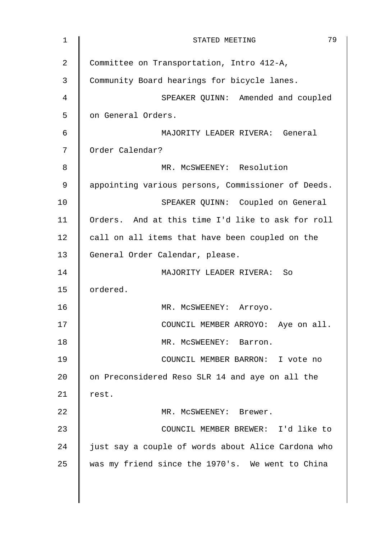| 1  | 79<br>STATED MEETING                               |
|----|----------------------------------------------------|
| 2  | Committee on Transportation, Intro 412-A,          |
| 3  | Community Board hearings for bicycle lanes.        |
| 4  | SPEAKER QUINN: Amended and coupled                 |
| 5  | on General Orders.                                 |
| 6  | MAJORITY LEADER RIVERA: General                    |
| 7  | Order Calendar?                                    |
| 8  | MR. MCSWEENEY: Resolution                          |
| 9  | appointing various persons, Commissioner of Deeds. |
| 10 | SPEAKER QUINN: Coupled on General                  |
| 11 | Orders. And at this time I'd like to ask for roll  |
| 12 | call on all items that have been coupled on the    |
| 13 | General Order Calendar, please.                    |
| 14 | MAJORITY LEADER RIVERA:<br><b>So</b>               |
| 15 | ordered.                                           |
| 16 | MR. MCSWEENEY: Arroyo.                             |
| 17 | COUNCIL MEMBER ARROYO: Aye on all.                 |
| 18 | MR. MCSWEENEY: Barron.                             |
| 19 | COUNCIL MEMBER BARRON: I vote no                   |
| 20 | on Preconsidered Reso SLR 14 and aye on all the    |
| 21 | rest.                                              |
| 22 | MR. MCSWEENEY: Brewer.                             |
| 23 | COUNCIL MEMBER BREWER: I'd like to                 |
| 24 | just say a couple of words about Alice Cardona who |
| 25 | was my friend since the 1970's. We went to China   |
|    |                                                    |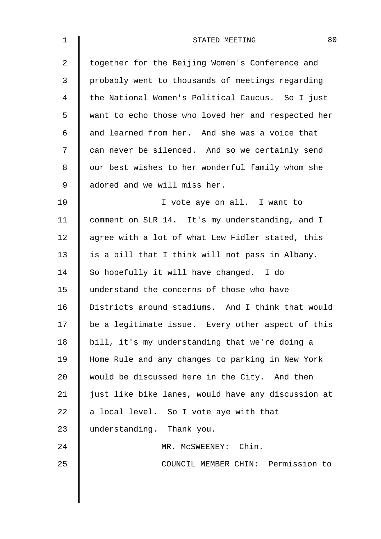| $\mathbf 1$    | 80<br>STATED MEETING                               |
|----------------|----------------------------------------------------|
| $\overline{2}$ | together for the Beijing Women's Conference and    |
| 3              | probably went to thousands of meetings regarding   |
| 4              | the National Women's Political Caucus. So I just   |
| 5              | want to echo those who loved her and respected her |
| 6              | and learned from her. And she was a voice that     |
| 7              | can never be silenced. And so we certainly send    |
| 8              | our best wishes to her wonderful family whom she   |
| 9              | adored and we will miss her.                       |
| 10             | I vote aye on all. I want to                       |
| 11             | comment on SLR 14. It's my understanding, and I    |
| 12             | agree with a lot of what Lew Fidler stated, this   |
| 13             | is a bill that I think will not pass in Albany.    |
| 14             | So hopefully it will have changed. I do            |
| 15             | understand the concerns of those who have          |
| 16             | Districts around stadiums. And I think that would  |
| 17             | be a legitimate issue. Every other aspect of this  |
| 18             | bill, it's my understanding that we're doing a     |
| 19             | Home Rule and any changes to parking in New York   |
| 20             | would be discussed here in the City. And then      |
| 21             | just like bike lanes, would have any discussion at |
| 22             | a local level. So I vote aye with that             |
| 23             | understanding. Thank you.                          |
| 24             | MR. MCSWEENEY: Chin.                               |
| 25             | COUNCIL MEMBER CHIN: Permission to                 |
|                |                                                    |
|                |                                                    |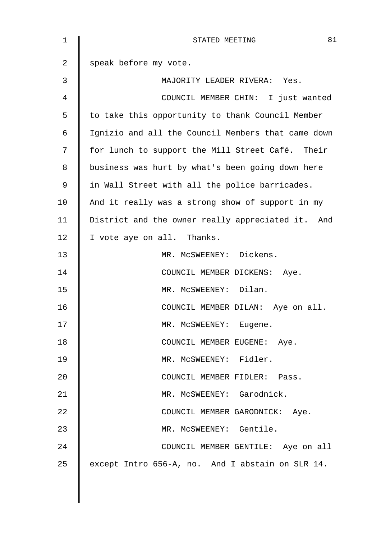| 1  | 81<br>STATED MEETING                               |
|----|----------------------------------------------------|
| 2  | speak before my vote.                              |
| 3  | MAJORITY LEADER RIVERA: Yes.                       |
| 4  | COUNCIL MEMBER CHIN: I just wanted                 |
| 5  | to take this opportunity to thank Council Member   |
| 6  | Ignizio and all the Council Members that came down |
| 7  | for lunch to support the Mill Street Café. Their   |
| 8  | business was hurt by what's been going down here   |
| 9  | in Wall Street with all the police barricades.     |
| 10 | And it really was a strong show of support in my   |
| 11 | District and the owner really appreciated it. And  |
| 12 | I vote aye on all. Thanks.                         |
| 13 | MR. MCSWEENEY: Dickens.                            |
| 14 | COUNCIL MEMBER DICKENS: Aye.                       |
| 15 | MR. MCSWEENEY: Dilan.                              |
| 16 | COUNCIL MEMBER DILAN: Aye on all.                  |
| 17 | MR. MCSWEENEY: Eugene.                             |
| 18 | COUNCIL MEMBER EUGENE: Aye.                        |
| 19 | MR. MCSWEENEY: Fidler.                             |
| 20 | COUNCIL MEMBER FIDLER: Pass.                       |
| 21 | MR. MCSWEENEY: Garodnick.                          |
| 22 | COUNCIL MEMBER GARODNICK: Aye.                     |
| 23 | MR. MCSWEENEY: Gentile.                            |
| 24 | COUNCIL MEMBER GENTILE: Aye on all                 |
| 25 | except Intro 656-A, no. And I abstain on SLR 14.   |
|    |                                                    |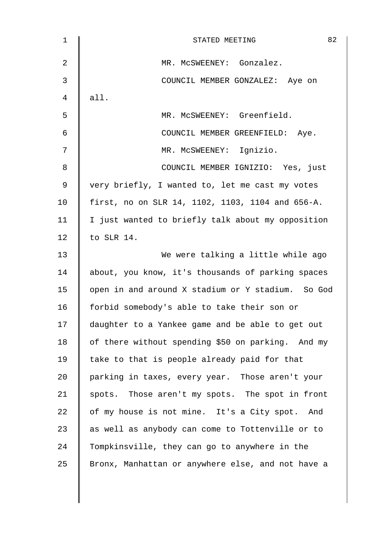| 1  | 82<br>STATED MEETING                              |
|----|---------------------------------------------------|
| 2  | MR. MCSWEENEY: Gonzalez.                          |
| 3  | COUNCIL MEMBER GONZALEZ: Aye on                   |
| 4  | all.                                              |
| 5  | MR. MCSWEENEY: Greenfield.                        |
| 6  | COUNCIL MEMBER GREENFIELD: Aye.                   |
| 7  | MR. MCSWEENEY: Ignizio.                           |
| 8  | COUNCIL MEMBER IGNIZIO: Yes, just                 |
| 9  | very briefly, I wanted to, let me cast my votes   |
| 10 | first, no on SLR 14, 1102, 1103, 1104 and 656-A.  |
| 11 | I just wanted to briefly talk about my opposition |
| 12 | to SLR 14.                                        |
| 13 | We were talking a little while ago                |
| 14 | about, you know, it's thousands of parking spaces |
| 15 | open in and around X stadium or Y stadium. So God |
| 16 | forbid somebody's able to take their son or       |
| 17 | daughter to a Yankee game and be able to get out  |
| 18 | of there without spending \$50 on parking. And my |
| 19 | take to that is people already paid for that      |
| 20 | parking in taxes, every year. Those aren't your   |
| 21 | spots. Those aren't my spots. The spot in front   |
| 22 | of my house is not mine. It's a City spot. And    |
| 23 | as well as anybody can come to Tottenville or to  |
| 24 | Tompkinsville, they can go to anywhere in the     |
| 25 | Bronx, Manhattan or anywhere else, and not have a |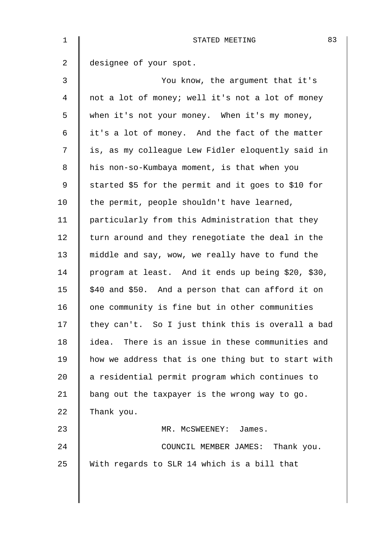| $\mathbf 1$ | 83<br>STATED MEETING                                |
|-------------|-----------------------------------------------------|
| 2           | designee of your spot.                              |
| 3           | You know, the argument that it's                    |
| 4           | not a lot of money; well it's not a lot of money    |
| 5           | when it's not your money. When it's my money,       |
| 6           | it's a lot of money. And the fact of the matter     |
| 7           | is, as my colleague Lew Fidler eloquently said in   |
| 8           | his non-so-Kumbaya moment, is that when you         |
| 9           | started \$5 for the permit and it goes to \$10 for  |
| 10          | the permit, people shouldn't have learned,          |
| 11          | particularly from this Administration that they     |
| 12          | turn around and they renegotiate the deal in the    |
| 13          | middle and say, wow, we really have to fund the     |
| 14          | program at least. And it ends up being \$20, \$30,  |
| 15          | \$40 and \$50. And a person that can afford it on   |
| 16          | one community is fine but in other communities      |
| 17          | they can't. So I just think this is overall a bad   |
| 18          | There is an issue in these communities and<br>idea. |
| 19          | how we address that is one thing but to start with  |
| 20          | a residential permit program which continues to     |
| 21          | bang out the taxpayer is the wrong way to go.       |
| 22          | Thank you.                                          |
| 23          | MR. MCSWEENEY: James.                               |
| 24          | COUNCIL MEMBER JAMES: Thank you.                    |
| 25          | With regards to SLR 14 which is a bill that         |
|             |                                                     |
|             |                                                     |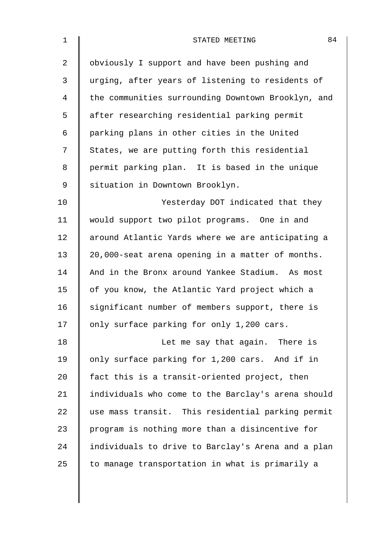| $\mathbf 1$    | 84<br>STATED MEETING                               |
|----------------|----------------------------------------------------|
| $\overline{2}$ | obviously I support and have been pushing and      |
| 3              | urging, after years of listening to residents of   |
| 4              | the communities surrounding Downtown Brooklyn, and |
| 5              | after researching residential parking permit       |
| 6              | parking plans in other cities in the United        |
| 7              | States, we are putting forth this residential      |
| 8              | permit parking plan. It is based in the unique     |
| 9              | situation in Downtown Brooklyn.                    |
| 10             | Yesterday DOT indicated that they                  |
| 11             | would support two pilot programs. One in and       |
| 12             | around Atlantic Yards where we are anticipating a  |
| 13             | 20,000-seat arena opening in a matter of months.   |
| 14             | And in the Bronx around Yankee Stadium. As most    |
| 15             | of you know, the Atlantic Yard project which a     |
| 16             | significant number of members support, there is    |
| 17             | only surface parking for only 1,200 cars.          |
| 18             | Let me say that again. There is                    |
| 19             | only surface parking for 1,200 cars. And if in     |
| 20             | fact this is a transit-oriented project, then      |
| 21             | individuals who come to the Barclay's arena should |
| 22             | use mass transit. This residential parking permit  |
| 23             | program is nothing more than a disincentive for    |
| 24             | individuals to drive to Barclay's Arena and a plan |
| 25             | to manage transportation in what is primarily a    |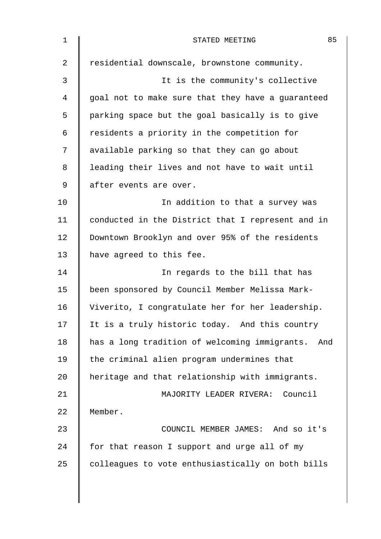| $\mathbf 1$ | 85<br>STATED MEETING                                 |
|-------------|------------------------------------------------------|
| 2           | residential downscale, brownstone community.         |
| 3           | It is the community's collective                     |
| 4           | goal not to make sure that they have a guaranteed    |
| 5           | parking space but the goal basically is to give      |
| 6           | residents a priority in the competition for          |
| 7           | available parking so that they can go about          |
| 8           | leading their lives and not have to wait until       |
| 9           | after events are over.                               |
| 10          | In addition to that a survey was                     |
| 11          | conducted in the District that I represent and in    |
| 12          | Downtown Brooklyn and over 95% of the residents      |
| 13          | have agreed to this fee.                             |
| 14          | In regards to the bill that has                      |
| 15          | been sponsored by Council Member Melissa Mark-       |
| 16          | Viverito, I congratulate her for her leadership.     |
| 17          | It is a truly historic today. And this country       |
| 18          | has a long tradition of welcoming immigrants.<br>And |
| 19          | the criminal alien program undermines that           |
| 20          | heritage and that relationship with immigrants.      |
| 21          | MAJORITY LEADER RIVERA: Council                      |
| 22          | Member.                                              |
| 23          | COUNCIL MEMBER JAMES: And so it's                    |
| 24          | for that reason I support and urge all of my         |
| 25          | colleagues to vote enthusiastically on both bills    |
|             |                                                      |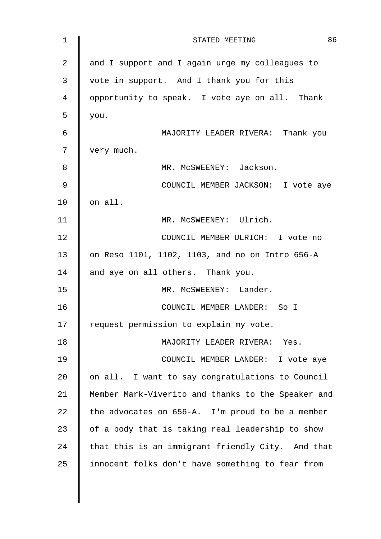| $\mathbf 1$    | 86<br>STATED MEETING                               |
|----------------|----------------------------------------------------|
| $\overline{2}$ | and I support and I again urge my colleagues to    |
| 3              | vote in support. And I thank you for this          |
| 4              | opportunity to speak. I vote aye on all. Thank     |
| 5              | you.                                               |
| 6              | MAJORITY LEADER RIVERA: Thank you                  |
| 7              | very much.                                         |
| 8              | MR. MCSWEENEY: Jackson.                            |
| 9              | COUNCIL MEMBER JACKSON: I vote aye                 |
| 10             | on all.                                            |
| 11             | MR. MCSWEENEY: Ulrich.                             |
| 12             | COUNCIL MEMBER ULRICH: I vote no                   |
| 13             | on Reso 1101, 1102, 1103, and no on Intro 656-A    |
| 14             | and aye on all others. Thank you.                  |
| 15             | MR. MCSWEENEY: Lander.                             |
| 16             | COUNCIL MEMBER LANDER: So I                        |
| 17             | request permission to explain my vote.             |
| 18             | MAJORITY LEADER RIVERA: Yes.                       |
| 19             | COUNCIL MEMBER LANDER: I vote aye                  |
| 20             | on all. I want to say congratulations to Council   |
| 21             | Member Mark-Viverito and thanks to the Speaker and |
| 22             | the advocates on 656-A. I'm proud to be a member   |
| 23             | of a body that is taking real leadership to show   |
| 24             | that this is an immigrant-friendly City. And that  |
| 25             | innocent folks don't have something to fear from   |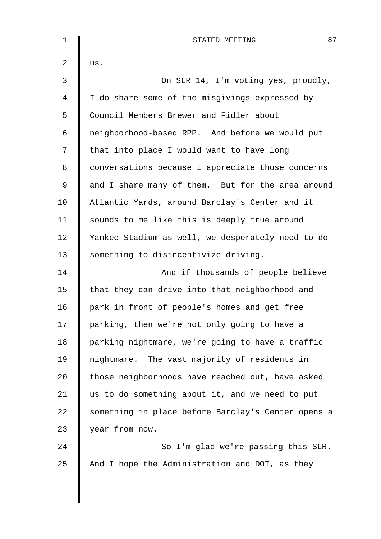| $\mathbf 1$ | 87<br>STATED MEETING                               |
|-------------|----------------------------------------------------|
| 2           | us.                                                |
| 3           | On SLR 14, I'm voting yes, proudly,                |
| 4           | I do share some of the misgivings expressed by     |
| 5           | Council Members Brewer and Fidler about            |
| 6           | neighborhood-based RPP. And before we would put    |
| 7           | that into place I would want to have long          |
| 8           | conversations because I appreciate those concerns  |
| 9           | and I share many of them. But for the area around  |
| 10          | Atlantic Yards, around Barclay's Center and it     |
| 11          | sounds to me like this is deeply true around       |
| 12          | Yankee Stadium as well, we desperately need to do  |
| 13          | something to disincentivize driving.               |
| 14          | And if thousands of people believe                 |
| 15          | that they can drive into that neighborhood and     |
| 16          | park in front of people's homes and get free       |
| 17          | parking, then we're not only going to have a       |
| 18          | parking nightmare, we're going to have a traffic   |
| 19          | nightmare. The vast majority of residents in       |
| 20          | those neighborhoods have reached out, have asked   |
| 21          | us to do something about it, and we need to put    |
| 22          | something in place before Barclay's Center opens a |
| 23          | year from now.                                     |
| 24          | So I'm glad we're passing this SLR.                |
| 25          | And I hope the Administration and DOT, as they     |
|             |                                                    |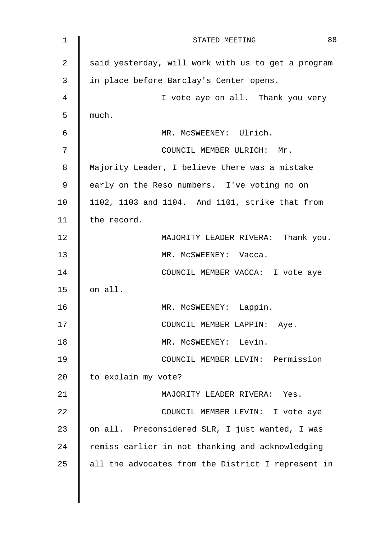| 1  | 88<br>STATED MEETING                               |
|----|----------------------------------------------------|
| 2  | said yesterday, will work with us to get a program |
| 3  | in place before Barclay's Center opens.            |
| 4  | I vote aye on all. Thank you very                  |
| 5  | much.                                              |
| 6  | MR. MCSWEENEY: Ulrich.                             |
| 7  | COUNCIL MEMBER ULRICH: Mr.                         |
| 8  | Majority Leader, I believe there was a mistake     |
| 9  | early on the Reso numbers. I've voting no on       |
| 10 | 1102, 1103 and 1104. And 1101, strike that from    |
| 11 | the record.                                        |
| 12 | MAJORITY LEADER RIVERA: Thank you.                 |
| 13 | MR. MCSWEENEY: Vacca.                              |
| 14 | COUNCIL MEMBER VACCA: I vote aye                   |
| 15 | on all.                                            |
| 16 | MR. MCSWEENEY: Lappin.                             |
| 17 | COUNCIL MEMBER LAPPIN: Aye.                        |
| 18 | MR. MCSWEENEY: Levin.                              |
| 19 | COUNCIL MEMBER LEVIN: Permission                   |
| 20 | to explain my vote?                                |
| 21 | MAJORITY LEADER RIVERA: Yes.                       |
| 22 | COUNCIL MEMBER LEVIN: I vote aye                   |
| 23 | on all. Preconsidered SLR, I just wanted, I was    |
| 24 | remiss earlier in not thanking and acknowledging   |
| 25 | all the advocates from the District I represent in |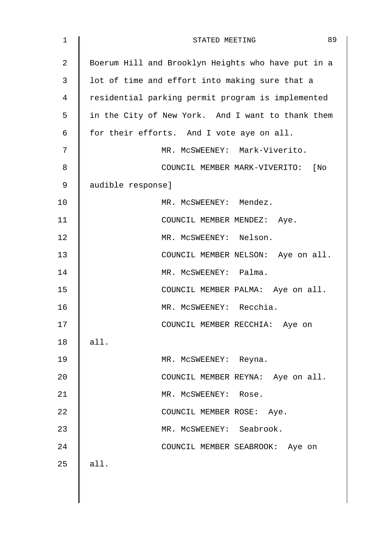| $\mathbf 1$    | 89<br>STATED MEETING                               |
|----------------|----------------------------------------------------|
| $\overline{2}$ | Boerum Hill and Brooklyn Heights who have put in a |
| 3              | lot of time and effort into making sure that a     |
| 4              | residential parking permit program is implemented  |
| 5              | in the City of New York. And I want to thank them  |
| 6              | for their efforts. And I vote aye on all.          |
| 7              | MR. MCSWEENEY: Mark-Viverito.                      |
| 8              | COUNCIL MEMBER MARK-VIVERITO: [No                  |
| 9              | audible response]                                  |
| 10             | MR. MCSWEENEY: Mendez.                             |
| 11             | COUNCIL MEMBER MENDEZ: Aye.                        |
| 12             | MR. MCSWEENEY: Nelson.                             |
| 13             | COUNCIL MEMBER NELSON: Aye on all.                 |
| 14             | MR. MCSWEENEY: Palma.                              |
| 15             | COUNCIL MEMBER PALMA: Aye on all.                  |
| 16             | MR. MCSWEENEY: Recchia.                            |
| 17             | COUNCIL MEMBER RECCHIA: Aye on                     |
| 18             | all.                                               |
| 19             | MR. MCSWEENEY: Reyna.                              |
| 20             | COUNCIL MEMBER REYNA: Aye on all.                  |
| 21             | MR. MCSWEENEY: Rose.                               |
| 22             | COUNCIL MEMBER ROSE: Aye.                          |
| 23             | MR. MCSWEENEY: Seabrook.                           |
| 24             | COUNCIL MEMBER SEABROOK: Aye on                    |
| 25             | all.                                               |
|                |                                                    |
|                |                                                    |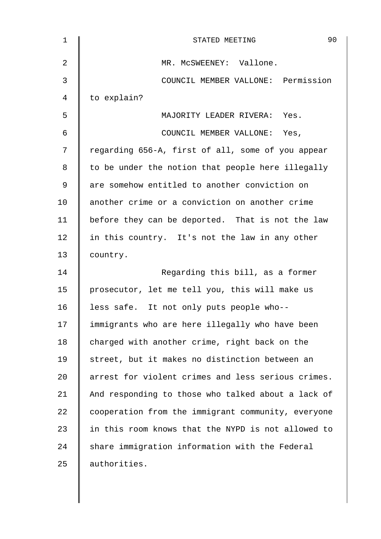| $\mathbf 1$ | 90<br>STATED MEETING                               |
|-------------|----------------------------------------------------|
| 2           | MR. MCSWEENEY: Vallone.                            |
| 3           | COUNCIL MEMBER VALLONE: Permission                 |
| 4           | to explain?                                        |
| 5           | MAJORITY LEADER RIVERA: Yes.                       |
| 6           | COUNCIL MEMBER VALLONE: Yes,                       |
| 7           | regarding 656-A, first of all, some of you appear  |
| 8           | to be under the notion that people here illegally  |
| 9           | are somehow entitled to another conviction on      |
| 10          | another crime or a conviction on another crime     |
| 11          | before they can be deported. That is not the law   |
| 12          | in this country. It's not the law in any other     |
| 13          | country.                                           |
| 14          | Regarding this bill, as a former                   |
| 15          | prosecutor, let me tell you, this will make us     |
| 16          | less safe. It not only puts people who--           |
| 17          | immigrants who are here illegally who have been    |
| 18          | charged with another crime, right back on the      |
| 19          | street, but it makes no distinction between an     |
| 20          | arrest for violent crimes and less serious crimes. |
| 21          | And responding to those who talked about a lack of |
| 22          | cooperation from the immigrant community, everyone |
| 23          | in this room knows that the NYPD is not allowed to |
| 24          | share immigration information with the Federal     |
| 25          | authorities.                                       |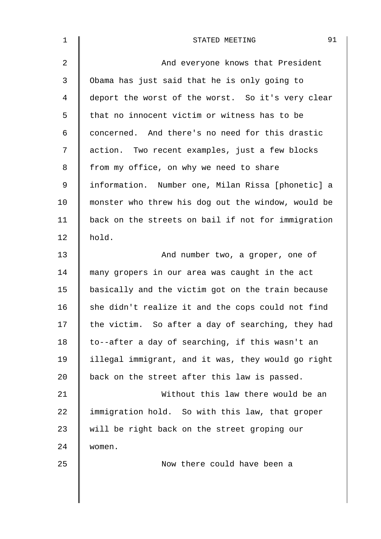| $\mathbf{1}$ | 91<br>STATED MEETING                               |
|--------------|----------------------------------------------------|
| 2            | And everyone knows that President                  |
| 3            | Obama has just said that he is only going to       |
| 4            | deport the worst of the worst. So it's very clear  |
| 5            | that no innocent victim or witness has to be       |
| 6            | concerned. And there's no need for this drastic    |
| 7            | action. Two recent examples, just a few blocks     |
| 8            | from my office, on why we need to share            |
| $\mathsf 9$  | information. Number one, Milan Rissa [phonetic] a  |
| 10           | monster who threw his dog out the window, would be |
| 11           | back on the streets on bail if not for immigration |
| 12           | hold.                                              |
| 13           | And number two, a groper, one of                   |
| 14           | many gropers in our area was caught in the act     |
| 15           | basically and the victim got on the train because  |
| 16           | she didn't realize it and the cops could not find  |
| 17           | the victim. So after a day of searching, they had  |
| 18           | to--after a day of searching, if this wasn't an    |
| 19           | illegal immigrant, and it was, they would go right |
| 20           | back on the street after this law is passed.       |
| 21           | Without this law there would be an                 |
| 22           | immigration hold. So with this law, that groper    |
| 23           | will be right back on the street groping our       |
| 24           | women.                                             |
| 25           | Now there could have been a                        |
|              |                                                    |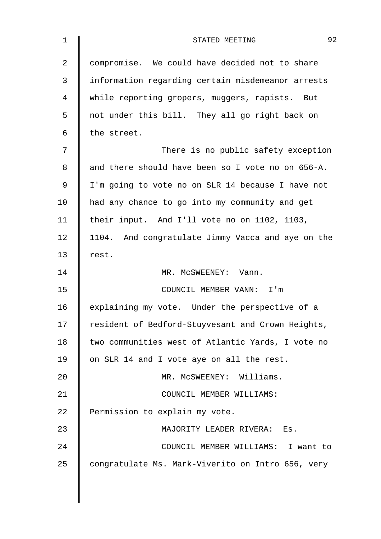| $\mathbf 1$    | 92<br>STATED MEETING                              |
|----------------|---------------------------------------------------|
| $\overline{2}$ | compromise. We could have decided not to share    |
| 3              | information regarding certain misdemeanor arrests |
| 4              | while reporting gropers, muggers, rapists. But    |
| 5              | not under this bill. They all go right back on    |
| 6              | the street.                                       |
| 7              | There is no public safety exception               |
| 8              | and there should have been so I vote no on 656-A. |
| 9              | I'm going to vote no on SLR 14 because I have not |
| 10             | had any chance to go into my community and get    |
| 11             | their input. And I'll vote no on 1102, 1103,      |
| 12             | 1104. And congratulate Jimmy Vacca and aye on the |
| 13             | rest.                                             |
| 14             | MR. MCSWEENEY: Vann.                              |
| 15             | COUNCIL MEMBER VANN: I'm                          |
| 16             | explaining my vote. Under the perspective of a    |
| 17             | resident of Bedford-Stuyvesant and Crown Heights, |
| 18             | two communities west of Atlantic Yards, I vote no |
| 19             | on SLR 14 and I vote aye on all the rest.         |
| 20             | MR. MCSWEENEY: Williams.                          |
| 21             | COUNCIL MEMBER WILLIAMS:                          |
| 22             | Permission to explain my vote.                    |
| 23             | MAJORITY LEADER RIVERA:<br>Es.                    |
| 24             | COUNCIL MEMBER WILLIAMS: I want to                |
| 25             | congratulate Ms. Mark-Viverito on Intro 656, very |
|                |                                                   |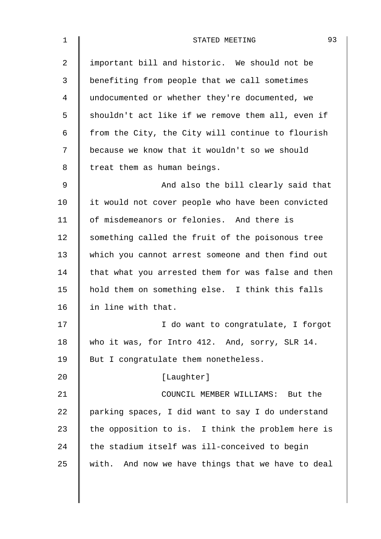| $\mathbf 1$ | 93<br>STATED MEETING                               |
|-------------|----------------------------------------------------|
| 2           | important bill and historic. We should not be      |
| 3           | benefiting from people that we call sometimes      |
| 4           | undocumented or whether they're documented, we     |
| 5           | shouldn't act like if we remove them all, even if  |
| 6           | from the City, the City will continue to flourish  |
| 7           | because we know that it wouldn't so we should      |
| 8           | treat them as human beings.                        |
| 9           | And also the bill clearly said that                |
| 10          | it would not cover people who have been convicted  |
| 11          | of misdemeanors or felonies. And there is          |
| 12          | something called the fruit of the poisonous tree   |
| 13          | which you cannot arrest someone and then find out  |
| 14          | that what you arrested them for was false and then |
| 15          | hold them on something else. I think this falls    |
| 16          | in line with that.                                 |
| 17          | I do want to congratulate, I forgot                |
| 18          | who it was, for Intro 412. And, sorry, SLR 14.     |
| 19          | But I congratulate them nonetheless.               |
| 20          | [Laughter]                                         |
| 21          | COUNCIL MEMBER WILLIAMS: But the                   |
| 22          | parking spaces, I did want to say I do understand  |
| 23          | the opposition to is. I think the problem here is  |
| 24          | the stadium itself was ill-conceived to begin      |
| 25          | with. And now we have things that we have to deal  |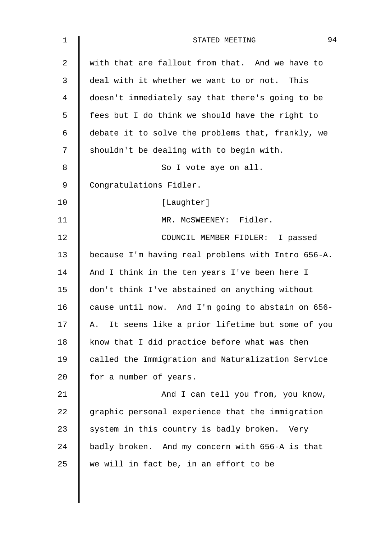| $\mathbf 1$    | 94<br>STATED MEETING                                 |
|----------------|------------------------------------------------------|
| $\overline{a}$ | with that are fallout from that. And we have to      |
| 3              | deal with it whether we want to or not. This         |
| 4              | doesn't immediately say that there's going to be     |
| 5              | fees but I do think we should have the right to      |
| 6              | debate it to solve the problems that, frankly, we    |
| 7              | shouldn't be dealing with to begin with.             |
| 8              | So I vote aye on all.                                |
| 9              | Congratulations Fidler.                              |
| 10             | [Laughter]                                           |
| 11             | MR. MCSWEENEY: Fidler.                               |
| 12             | COUNCIL MEMBER FIDLER: I passed                      |
| 13             | because I'm having real problems with Intro 656-A.   |
| 14             | And I think in the ten years I've been here I        |
| 15             | don't think I've abstained on anything without       |
| 16             | cause until now. And I'm going to abstain on 656-    |
| 17             | It seems like a prior lifetime but some of you<br>Α. |
| 18             | know that I did practice before what was then        |
| 19             | called the Immigration and Naturalization Service    |
| 20             | for a number of years.                               |
| 21             | And I can tell you from, you know,                   |
| 22             | graphic personal experience that the immigration     |
| 23             | system in this country is badly broken. Very         |
| 24             | badly broken. And my concern with 656-A is that      |
| 25             | we will in fact be, in an effort to be               |
|                |                                                      |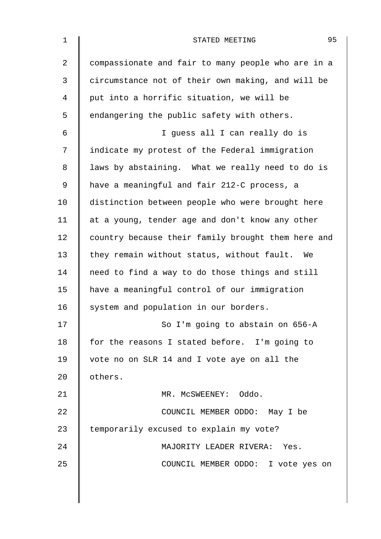| $\mathbf 1$ | 95<br>STATED MEETING                               |
|-------------|----------------------------------------------------|
| 2           | compassionate and fair to many people who are in a |
| 3           | circumstance not of their own making, and will be  |
| 4           | put into a horrific situation, we will be          |
| 5           | endangering the public safety with others.         |
| 6           | I guess all I can really do is                     |
| 7           | indicate my protest of the Federal immigration     |
| 8           | laws by abstaining. What we really need to do is   |
| 9           | have a meaningful and fair 212-C process, a        |
| 10          | distinction between people who were brought here   |
| 11          | at a young, tender age and don't know any other    |
| 12          | country because their family brought them here and |
| 13          | they remain without status, without fault. We      |
| 14          | need to find a way to do those things and still    |
| 15          | have a meaningful control of our immigration       |
| 16          | system and population in our borders.              |
| 17          | So I'm going to abstain on 656-A                   |
| 18          | for the reasons I stated before. I'm going to      |
| 19          | vote no on SLR 14 and I vote aye on all the        |
| 20          | others.                                            |
| 21          | MR. MCSWEENEY: Oddo.                               |
| 22          | COUNCIL MEMBER ODDO: May I be                      |
| 23          | temporarily excused to explain my vote?            |
| 24          | MAJORITY LEADER RIVERA: Yes.                       |
| 25          | COUNCIL MEMBER ODDO: I vote yes on                 |
|             |                                                    |
|             |                                                    |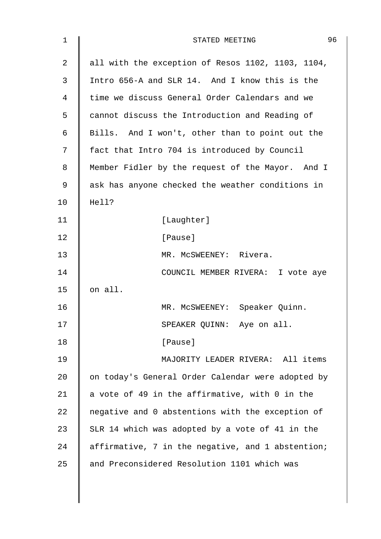| 1              | 96<br>STATED MEETING                              |
|----------------|---------------------------------------------------|
| $\overline{2}$ | all with the exception of Resos 1102, 1103, 1104, |
| 3              | Intro 656-A and SLR 14. And I know this is the    |
| 4              | time we discuss General Order Calendars and we    |
| 5              | cannot discuss the Introduction and Reading of    |
| 6              | Bills. And I won't, other than to point out the   |
| 7              | fact that Intro 704 is introduced by Council      |
| 8              | Member Fidler by the request of the Mayor. And I  |
| 9              | ask has anyone checked the weather conditions in  |
| 10             | Hell?                                             |
| 11             | [Laughter]                                        |
| 12             | [Pause]                                           |
| 13             | MR. MCSWEENEY: Rivera.                            |
| 14             | COUNCIL MEMBER RIVERA: I vote aye                 |
| 15             | on all.                                           |
| 16             | MR. MCSWEENEY: Speaker Quinn.                     |
| 17             | SPEAKER QUINN: Aye on all.                        |
| 18             | [Pause]                                           |
| 19             | MAJORITY LEADER RIVERA: All items                 |
| 20             | on today's General Order Calendar were adopted by |
| 21             | a vote of 49 in the affirmative, with 0 in the    |
| 22             | negative and 0 abstentions with the exception of  |
| 23             | SLR 14 which was adopted by a vote of 41 in the   |
| 24             | affirmative, 7 in the negative, and 1 abstention; |
| 25             | and Preconsidered Resolution 1101 which was       |
|                |                                                   |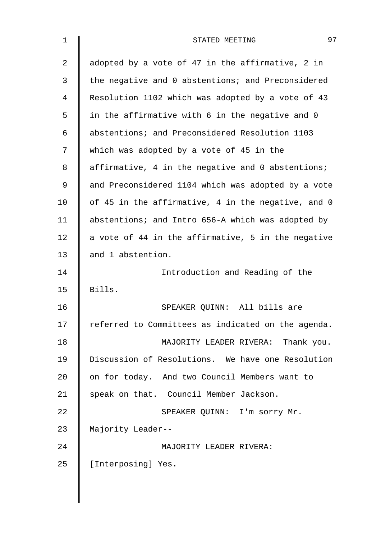| 1  | 97<br>STATED MEETING                               |
|----|----------------------------------------------------|
| 2  | adopted by a vote of 47 in the affirmative, 2 in   |
| 3  | the negative and 0 abstentions; and Preconsidered  |
| 4  | Resolution 1102 which was adopted by a vote of 43  |
| 5  | in the affirmative with 6 in the negative and 0    |
| 6  | abstentions; and Preconsidered Resolution 1103     |
| 7  | which was adopted by a vote of 45 in the           |
| 8  | affirmative, 4 in the negative and 0 abstentions;  |
| 9  | and Preconsidered 1104 which was adopted by a vote |
| 10 | of 45 in the affirmative, 4 in the negative, and 0 |
| 11 | abstentions; and Intro 656-A which was adopted by  |
| 12 | a vote of 44 in the affirmative, 5 in the negative |
| 13 | and 1 abstention.                                  |
| 14 | Introduction and Reading of the                    |
| 15 | Bills.                                             |
| 16 | SPEAKER QUINN: All bills are                       |
| 17 | referred to Committees as indicated on the agenda. |
| 18 | MAJORITY LEADER RIVERA: Thank you.                 |
| 19 | Discussion of Resolutions. We have one Resolution  |
| 20 | on for today. And two Council Members want to      |
| 21 | speak on that. Council Member Jackson.             |
| 22 | SPEAKER QUINN: I'm sorry Mr.                       |
| 23 | Majority Leader--                                  |
| 24 | MAJORITY LEADER RIVERA:                            |
| 25 | [Interposing] Yes.                                 |
|    |                                                    |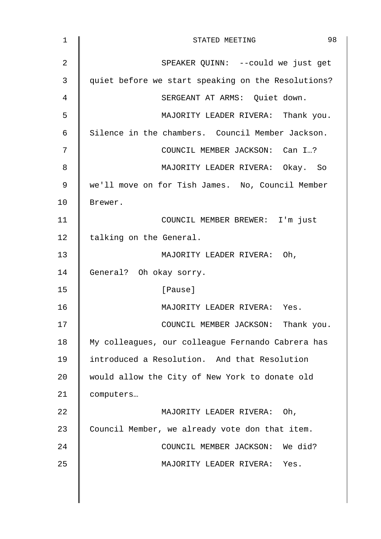| 1  | 98<br>STATED MEETING                               |
|----|----------------------------------------------------|
| 2  | SPEAKER QUINN: --could we just get                 |
| 3  | quiet before we start speaking on the Resolutions? |
| 4  | SERGEANT AT ARMS: Quiet down.                      |
| 5  | MAJORITY LEADER RIVERA: Thank you.                 |
| 6  | Silence in the chambers. Council Member Jackson.   |
| 7  | COUNCIL MEMBER JACKSON: Can I?                     |
| 8  | MAJORITY LEADER RIVERA: Okay. So                   |
| 9  | we'll move on for Tish James. No, Council Member   |
| 10 | Brewer.                                            |
| 11 | COUNCIL MEMBER BREWER: I'm just                    |
| 12 | talking on the General.                            |
| 13 | MAJORITY LEADER RIVERA: Oh,                        |
| 14 | General? Oh okay sorry.                            |
| 15 | [Pause]                                            |
| 16 | MAJORITY LEADER RIVERA: Yes.                       |
| 17 | COUNCIL MEMBER JACKSON: Thank you.                 |
| 18 | My colleagues, our colleague Fernando Cabrera has  |
| 19 | introduced a Resolution. And that Resolution       |
| 20 | would allow the City of New York to donate old     |
| 21 | computers                                          |
| 22 | MAJORITY LEADER RIVERA: Oh,                        |
| 23 | Council Member, we already vote don that item.     |
| 24 | COUNCIL MEMBER JACKSON: We did?                    |
| 25 | MAJORITY LEADER RIVERA: Yes.                       |
|    |                                                    |

 $\overline{\phantom{a}}$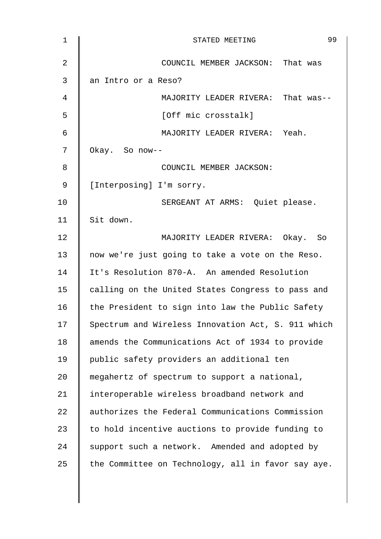| $\mathbf 1$    | 99<br>STATED MEETING                               |
|----------------|----------------------------------------------------|
| $\overline{2}$ | COUNCIL MEMBER JACKSON: That was                   |
| 3              | an Intro or a Reso?                                |
| 4              | MAJORITY LEADER RIVERA: That was--                 |
| 5              | [Off mic crosstalk]                                |
| 6              | MAJORITY LEADER RIVERA: Yeah.                      |
| 7              | Okay. So now--                                     |
| 8              | COUNCIL MEMBER JACKSON:                            |
| 9              | [Interposing] I'm sorry.                           |
| 10             | SERGEANT AT ARMS: Quiet please.                    |
| 11             | Sit down.                                          |
| 12             | MAJORITY LEADER RIVERA: Okay. So                   |
| 13             | now we're just going to take a vote on the Reso.   |
| 14             | It's Resolution 870-A. An amended Resolution       |
| 15             | calling on the United States Congress to pass and  |
| 16             | the President to sign into law the Public Safety   |
| 17             | Spectrum and Wireless Innovation Act, S. 911 which |
| 18             | amends the Communications Act of 1934 to provide   |
| 19             | public safety providers an additional ten          |
| 20             | megahertz of spectrum to support a national,       |
| 21             | interoperable wireless broadband network and       |
| 22             | authorizes the Federal Communications Commission   |
| 23             | to hold incentive auctions to provide funding to   |
| 24             | support such a network. Amended and adopted by     |
| 25             | the Committee on Technology, all in favor say aye. |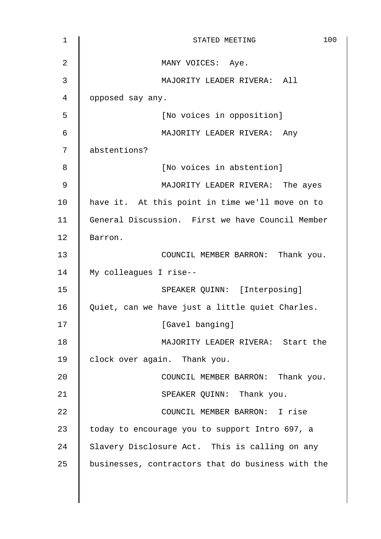| $\mathbf 1$ | 100<br>STATED MEETING                             |
|-------------|---------------------------------------------------|
| 2           | MANY VOICES: Aye.                                 |
| 3           | MAJORITY LEADER RIVERA: All                       |
| 4           | opposed say any.                                  |
| 5           | [No voices in opposition]                         |
| 6           | MAJORITY LEADER RIVERA: Any                       |
| 7           | abstentions?                                      |
| 8           | [No voices in abstention]                         |
| 9           | MAJORITY LEADER RIVERA: The ayes                  |
| 10          | have it. At this point in time we'll move on to   |
| 11          | General Discussion. First we have Council Member  |
| 12          | Barron.                                           |
| 13          | COUNCIL MEMBER BARRON: Thank you.                 |
| 14          | My colleagues I rise--                            |
| 15          | SPEAKER QUINN: [Interposing]                      |
| 16          | Quiet, can we have just a little quiet Charles.   |
| 17          | [Gavel banging]                                   |
| 18          | MAJORITY LEADER RIVERA: Start the                 |
| 19          | clock over again. Thank you.                      |
| 20          | COUNCIL MEMBER BARRON: Thank you.                 |
| 21          | SPEAKER QUINN: Thank you.                         |
| 22          | COUNCIL MEMBER BARRON: I rise                     |
| 23          | today to encourage you to support Intro 697, a    |
| 24          | Slavery Disclosure Act. This is calling on any    |
| 25          | businesses, contractors that do business with the |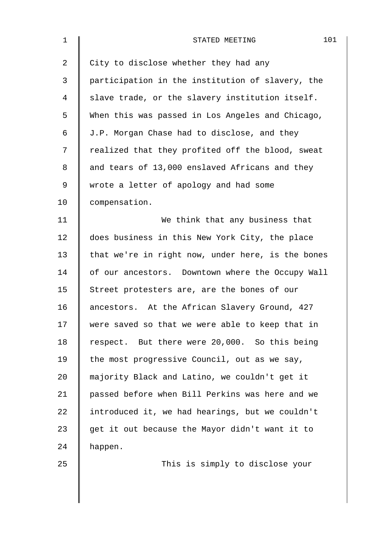| $\mathbf 1$    | 101<br>STATED MEETING                             |
|----------------|---------------------------------------------------|
| $\overline{2}$ | City to disclose whether they had any             |
| 3              | participation in the institution of slavery, the  |
| $\overline{4}$ | slave trade, or the slavery institution itself.   |
| 5              | When this was passed in Los Angeles and Chicago,  |
| 6              | J.P. Morgan Chase had to disclose, and they       |
| 7              | realized that they profited off the blood, sweat  |
| 8              | and tears of 13,000 enslaved Africans and they    |
| 9              | wrote a letter of apology and had some            |
| 10             | compensation.                                     |
| 11             | We think that any business that                   |
| 12             | does business in this New York City, the place    |
| 13             | that we're in right now, under here, is the bones |
| 14             | of our ancestors. Downtown where the Occupy Wall  |
| 15             | Street protesters are, are the bones of our       |
| 16             | ancestors. At the African Slavery Ground, 427     |
| 17             | were saved so that we were able to keep that in   |
| 18             | respect. But there were 20,000. So this being     |
| 19             | the most progressive Council, out as we say,      |
| 20             | majority Black and Latino, we couldn't get it     |
| 21             | passed before when Bill Perkins was here and we   |
| 22             | introduced it, we had hearings, but we couldn't   |
| 23             | get it out because the Mayor didn't want it to    |
| 24             | happen.                                           |
| 25             | This is simply to disclose your                   |
|                |                                                   |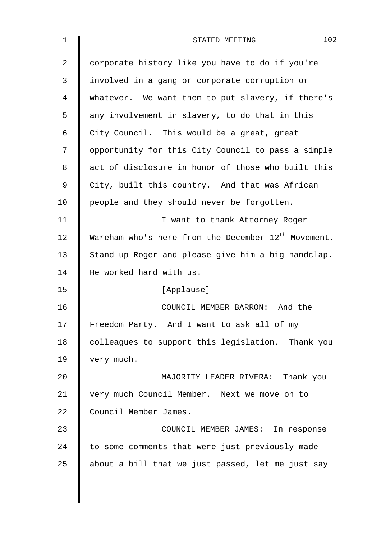| 1  | 102<br>STATED MEETING                                    |
|----|----------------------------------------------------------|
| 2  | corporate history like you have to do if you're          |
| 3  | involved in a gang or corporate corruption or            |
| 4  | whatever. We want them to put slavery, if there's        |
| 5  | any involvement in slavery, to do that in this           |
| 6  | City Council. This would be a great, great               |
| 7  | opportunity for this City Council to pass a simple       |
| 8  | act of disclosure in honor of those who built this       |
| 9  | City, built this country. And that was African           |
| 10 | people and they should never be forgotten.               |
| 11 | I want to thank Attorney Roger                           |
| 12 | Wareham who's here from the December $12^{th}$ Movement. |
| 13 | Stand up Roger and please give him a big handclap.       |
| 14 | He worked hard with us.                                  |
| 15 | [Applause]                                               |
| 16 | COUNCIL MEMBER BARRON: And the                           |
| 17 | Freedom Party. And I want to ask all of my               |
| 18 | colleagues to support this legislation. Thank you        |
| 19 | very much.                                               |
| 20 | MAJORITY LEADER RIVERA: Thank you                        |
| 21 | very much Council Member. Next we move on to             |
| 22 | Council Member James.                                    |
| 23 | COUNCIL MEMBER JAMES: In response                        |
| 24 | to some comments that were just previously made          |
| 25 | about a bill that we just passed, let me just say        |
|    |                                                          |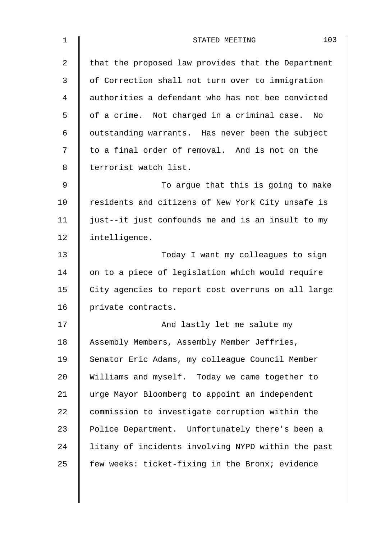| $\mathbf 1$    | 103<br>STATED MEETING                              |
|----------------|----------------------------------------------------|
| $\overline{2}$ | that the proposed law provides that the Department |
| 3              | of Correction shall not turn over to immigration   |
| 4              | authorities a defendant who has not bee convicted  |
| 5              | of a crime. Not charged in a criminal case.<br>No  |
| 6              | outstanding warrants. Has never been the subject   |
| 7              | to a final order of removal. And is not on the     |
| 8              | terrorist watch list.                              |
| 9              | To argue that this is going to make                |
| 10             | residents and citizens of New York City unsafe is  |
| 11             | just--it just confounds me and is an insult to my  |
| 12             | intelligence.                                      |
| 13             | Today I want my colleagues to sign                 |
| 14             | on to a piece of legislation which would require   |
| 15             | City agencies to report cost overruns on all large |
| 16             | private contracts.                                 |
| 17             | And lastly let me salute my                        |
| 18             | Assembly Members, Assembly Member Jeffries,        |
| 19             | Senator Eric Adams, my colleague Council Member    |
| 20             | Williams and myself. Today we came together to     |
| 21             | urge Mayor Bloomberg to appoint an independent     |
| 22             | commission to investigate corruption within the    |
| 23             | Police Department. Unfortunately there's been a    |
| 24             | litany of incidents involving NYPD within the past |
| 25             | few weeks: ticket-fixing in the Bronx; evidence    |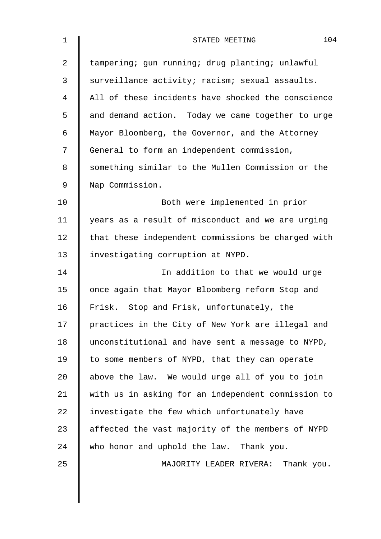| $\mathbf 1$    | 104<br>STATED MEETING                              |
|----------------|----------------------------------------------------|
| $\overline{a}$ | tampering; gun running; drug planting; unlawful    |
| 3              | surveillance activity; racism; sexual assaults.    |
| 4              | All of these incidents have shocked the conscience |
| 5              | and demand action. Today we came together to urge  |
| 6              | Mayor Bloomberg, the Governor, and the Attorney    |
| 7              | General to form an independent commission,         |
| 8              | something similar to the Mullen Commission or the  |
| $\mathsf 9$    | Nap Commission.                                    |
| 10             | Both were implemented in prior                     |
| 11             | years as a result of misconduct and we are urging  |
| 12             | that these independent commissions be charged with |
| 13             | investigating corruption at NYPD.                  |
| 14             | In addition to that we would urge                  |
| 15             | once again that Mayor Bloomberg reform Stop and    |
| 16             | Frisk. Stop and Frisk, unfortunately, the          |
| 17             | practices in the City of New York are illegal and  |
| 18             | unconstitutional and have sent a message to NYPD,  |
| 19             | to some members of NYPD, that they can operate     |
| 20             | above the law. We would urge all of you to join    |
| 21             | with us in asking for an independent commission to |
| 22             | investigate the few which unfortunately have       |
| 23             | affected the vast majority of the members of NYPD  |
| 24             | who honor and uphold the law. Thank you.           |
| 25             | MAJORITY LEADER RIVERA: Thank you.                 |
|                |                                                    |
|                |                                                    |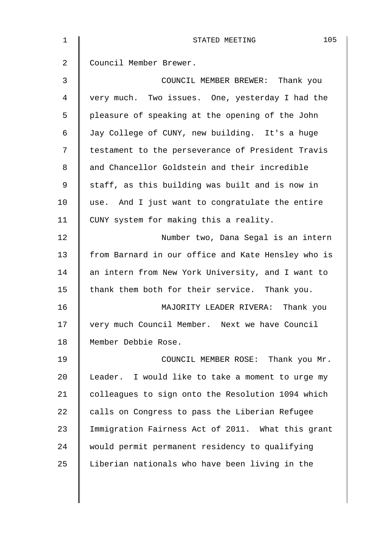| $\mathbf{1}$ | 105<br>STATED MEETING                              |
|--------------|----------------------------------------------------|
| 2            | Council Member Brewer.                             |
| 3            | COUNCIL MEMBER BREWER: Thank you                   |
| 4            | very much. Two issues. One, yesterday I had the    |
| 5            | pleasure of speaking at the opening of the John    |
| 6            | Jay College of CUNY, new building. It's a huge     |
| 7            | testament to the perseverance of President Travis  |
| 8            | and Chancellor Goldstein and their incredible      |
| 9            | staff, as this building was built and is now in    |
| 10           | use. And I just want to congratulate the entire    |
| 11           | CUNY system for making this a reality.             |
| 12           | Number two, Dana Segal is an intern                |
| 13           | from Barnard in our office and Kate Hensley who is |
| 14           | an intern from New York University, and I want to  |
| 15           | thank them both for their service. Thank you.      |
| 16           | MAJORITY LEADER RIVERA: Thank you                  |
| 17           | very much Council Member. Next we have Council     |
| 18           | Member Debbie Rose.                                |
| 19           | COUNCIL MEMBER ROSE: Thank you Mr.                 |
| 20           | Leader. I would like to take a moment to urge my   |
| 21           | colleagues to sign onto the Resolution 1094 which  |
| 22           | calls on Congress to pass the Liberian Refugee     |
| 23           | Immigration Fairness Act of 2011. What this grant  |
| 24           | would permit permanent residency to qualifying     |
| 25           | Liberian nationals who have been living in the     |
|              |                                                    |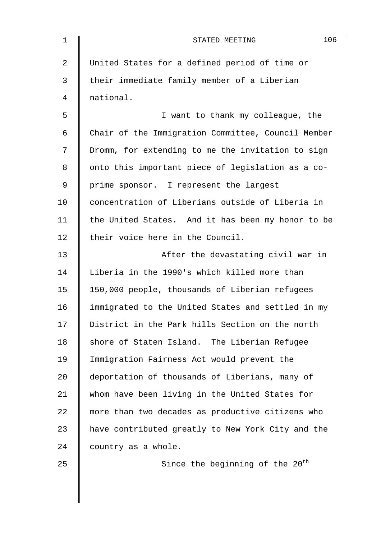| $\mathbf 1$ | 106<br>STATED MEETING                              |
|-------------|----------------------------------------------------|
| 2           | United States for a defined period of time or      |
| 3           | their immediate family member of a Liberian        |
| 4           | national.                                          |
| 5           | I want to thank my colleague, the                  |
| 6           | Chair of the Immigration Committee, Council Member |
| 7           | Dromm, for extending to me the invitation to sign  |
| 8           | onto this important piece of legislation as a co-  |
| 9           | prime sponsor. I represent the largest             |
| 10          | concentration of Liberians outside of Liberia in   |
| 11          | the United States. And it has been my honor to be  |
| 12          | their voice here in the Council.                   |
| 13          | After the devastating civil war in                 |
| 14          | Liberia in the 1990's which killed more than       |
| 15          | 150,000 people, thousands of Liberian refugees     |
| 16          | immigrated to the United States and settled in my  |
| 17          | District in the Park hills Section on the north    |
| 18          | shore of Staten Island. The Liberian Refugee       |
| 19          | Immigration Fairness Act would prevent the         |
| $20 \,$     | deportation of thousands of Liberians, many of     |
| 21          | whom have been living in the United States for     |
| 22          | more than two decades as productive citizens who   |
| 23          | have contributed greatly to New York City and the  |
| 24          | country as a whole.                                |
| 25          | Since the beginning of the 20 <sup>th</sup>        |
|             |                                                    |
|             |                                                    |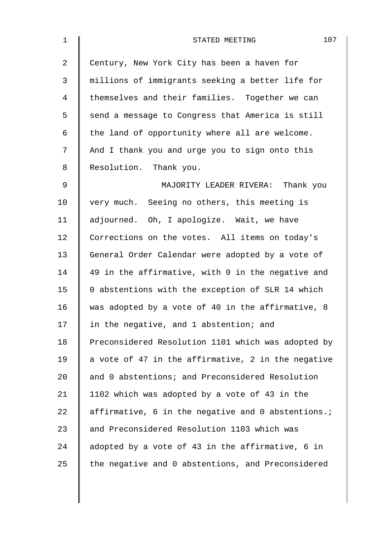| $\mathbf 1$ | 107<br>STATED MEETING                              |
|-------------|----------------------------------------------------|
| 2           | Century, New York City has been a haven for        |
| 3           | millions of immigrants seeking a better life for   |
| 4           | themselves and their families. Together we can     |
| 5           | send a message to Congress that America is still   |
| 6           | the land of opportunity where all are welcome.     |
| 7           | And I thank you and urge you to sign onto this     |
| 8           | Resolution. Thank you.                             |
| $\mathsf 9$ | MAJORITY LEADER RIVERA: Thank you                  |
| 10          | very much. Seeing no others, this meeting is       |
| 11          | adjourned. Oh, I apologize. Wait, we have          |
| 12          | Corrections on the votes. All items on today's     |
| 13          | General Order Calendar were adopted by a vote of   |
| 14          | 49 in the affirmative, with 0 in the negative and  |
| 15          | 0 abstentions with the exception of SLR 14 which   |
| 16          | was adopted by a vote of 40 in the affirmative, 8  |
| 17          | in the negative, and 1 abstention; and             |
| 18          | Preconsidered Resolution 1101 which was adopted by |
| 19          | a vote of 47 in the affirmative, 2 in the negative |
| 20          | and 0 abstentions; and Preconsidered Resolution    |
| 21          | 1102 which was adopted by a vote of 43 in the      |
| 22          | affirmative, 6 in the negative and 0 abstentions.; |
| 23          | and Preconsidered Resolution 1103 which was        |
| 24          | adopted by a vote of 43 in the affirmative, 6 in   |
| 25          | the negative and 0 abstentions, and Preconsidered  |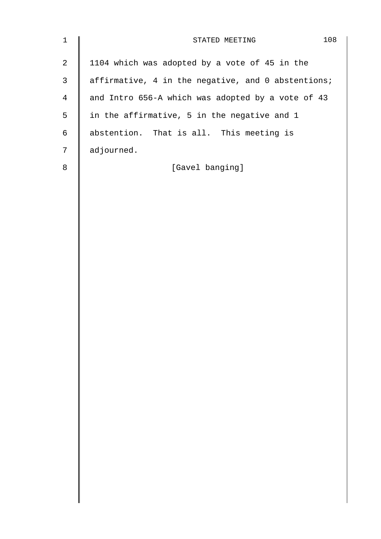| $\mathbf 1$    | 108<br>STATED MEETING                              |
|----------------|----------------------------------------------------|
| $\mathbf{2}$   | 1104 which was adopted by a vote of 45 in the      |
| $\mathsf{3}$   | affirmative, 4 in the negative, and 0 abstentions; |
| $\overline{4}$ | and Intro 656-A which was adopted by a vote of 43  |
| 5              | in the affirmative, 5 in the negative and 1        |
| $\epsilon$     | abstention. That is all. This meeting is           |
| 7              | adjourned.                                         |
| $\,8\,$        | [Gavel banging]                                    |
|                |                                                    |
|                |                                                    |
|                |                                                    |
|                |                                                    |
|                |                                                    |
|                |                                                    |
|                |                                                    |
|                |                                                    |
|                |                                                    |
|                |                                                    |
|                |                                                    |
|                |                                                    |
|                |                                                    |
|                |                                                    |
|                |                                                    |
|                |                                                    |
|                |                                                    |
|                |                                                    |
|                |                                                    |